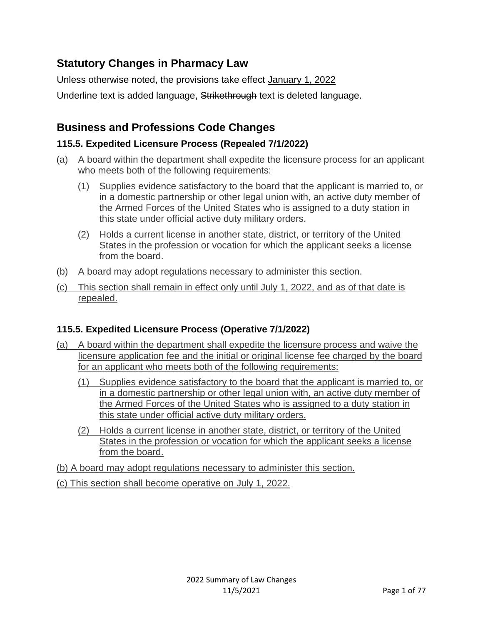# **Statutory Changes in Pharmacy Law**

Unless otherwise noted, the provisions take effect January 1, 2022 Underline text is added language, Strikethrough text is deleted language.

# **Business and Professions Code Changes**

# **115.5. Expedited Licensure Process (Repealed 7/1/2022)**

- (a) A board within the department shall expedite the licensure process for an applicant who meets both of the following requirements:
	- (1) Supplies evidence satisfactory to the board that the applicant is married to, or in a domestic partnership or other legal union with, an active duty member of the Armed Forces of the United States who is assigned to a duty station in this state under official active duty military orders.
	- (2) Holds a current license in another state, district, or territory of the United States in the profession or vocation for which the applicant seeks a license from the board.
- (b) A board may adopt regulations necessary to administer this section.
- (c) This section shall remain in effect only until July 1, 2022, and as of that date is repealed.

# **115.5. Expedited Licensure Process (Operative 7/1/2022)**

- (a) A board within the department shall expedite the licensure process and waive the licensure application fee and the initial or original license fee charged by the board for an applicant who meets both of the following requirements:
	- (1) Supplies evidence satisfactory to the board that the applicant is married to, or in a domestic partnership or other legal union with, an active duty member of the Armed Forces of the United States who is assigned to a duty station in this state under official active duty military orders.
	- (2) Holds a current license in another state, district, or territory of the United States in the profession or vocation for which the applicant seeks a license from the board.
- (b) A board may adopt regulations necessary to administer this section.
- (c) This section shall become operative on July 1, 2022.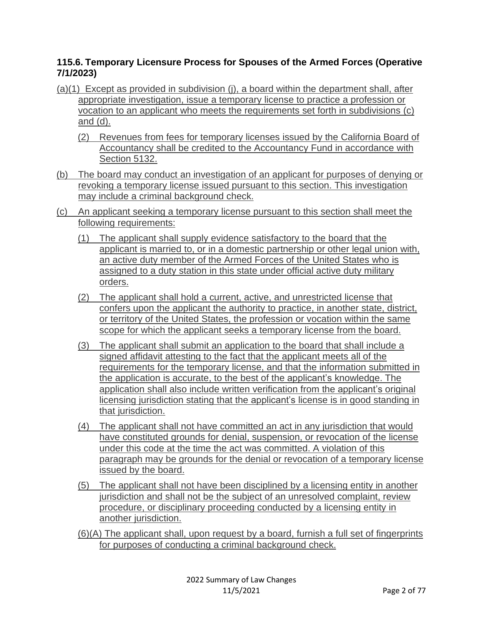# **115.6. Temporary Licensure Process for Spouses of the Armed Forces (Operative 7/1/2023)**

- (a)(1) Except as provided in subdivision (j), a board within the department shall, after appropriate investigation, issue a temporary license to practice a profession or vocation to an applicant who meets the requirements set forth in subdivisions (c) and (d).
	- (2) Revenues from fees for temporary licenses issued by the California Board of Accountancy shall be credited to the Accountancy Fund in accordance with Section 5132.
- (b) The board may conduct an investigation of an applicant for purposes of denying or revoking a temporary license issued pursuant to this section. This investigation may include a criminal background check.
- (c) An applicant seeking a temporary license pursuant to this section shall meet the following requirements:
	- (1) The applicant shall supply evidence satisfactory to the board that the applicant is married to, or in a domestic partnership or other legal union with, an active duty member of the Armed Forces of the United States who is assigned to a duty station in this state under official active duty military orders.
	- (2) The applicant shall hold a current, active, and unrestricted license that confers upon the applicant the authority to practice, in another state, district, or territory of the United States, the profession or vocation within the same scope for which the applicant seeks a temporary license from the board.
	- (3) The applicant shall submit an application to the board that shall include a signed affidavit attesting to the fact that the applicant meets all of the requirements for the temporary license, and that the information submitted in the application is accurate, to the best of the applicant's knowledge. The application shall also include written verification from the applicant's original licensing jurisdiction stating that the applicant's license is in good standing in that jurisdiction.
	- (4) The applicant shall not have committed an act in any jurisdiction that would have constituted grounds for denial, suspension, or revocation of the license under this code at the time the act was committed. A violation of this paragraph may be grounds for the denial or revocation of a temporary license issued by the board.
	- (5) The applicant shall not have been disciplined by a licensing entity in another jurisdiction and shall not be the subject of an unresolved complaint, review procedure, or disciplinary proceeding conducted by a licensing entity in another jurisdiction.
	- (6)(A) The applicant shall, upon request by a board, furnish a full set of fingerprints for purposes of conducting a criminal background check.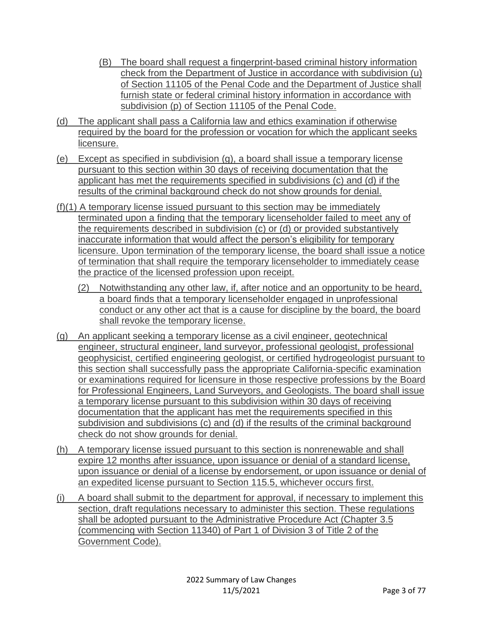- (B) The board shall request a fingerprint-based criminal history information check from the Department of Justice in accordance with subdivision (u) of Section 11105 of the Penal Code and the Department of Justice shall furnish state or federal criminal history information in accordance with subdivision (p) of Section 11105 of the Penal Code.
- (d) The applicant shall pass a California law and ethics examination if otherwise required by the board for the profession or vocation for which the applicant seeks licensure.
- (e) Except as specified in subdivision (g), a board shall issue a temporary license pursuant to this section within 30 days of receiving documentation that the applicant has met the requirements specified in subdivisions (c) and (d) if the results of the criminal background check do not show grounds for denial.
- (f)(1) A temporary license issued pursuant to this section may be immediately terminated upon a finding that the temporary licenseholder failed to meet any of the requirements described in subdivision (c) or (d) or provided substantively inaccurate information that would affect the person's eligibility for temporary licensure. Upon termination of the temporary license, the board shall issue a notice of termination that shall require the temporary licenseholder to immediately cease the practice of the licensed profession upon receipt.
	- (2) Notwithstanding any other law, if, after notice and an opportunity to be heard, a board finds that a temporary licenseholder engaged in unprofessional conduct or any other act that is a cause for discipline by the board, the board shall revoke the temporary license.
- (g) An applicant seeking a temporary license as a civil engineer, geotechnical engineer, structural engineer, land surveyor, professional geologist, professional geophysicist, certified engineering geologist, or certified hydrogeologist pursuant to this section shall successfully pass the appropriate California-specific examination or examinations required for licensure in those respective professions by the Board for Professional Engineers, Land Surveyors, and Geologists. The board shall issue a temporary license pursuant to this subdivision within 30 days of receiving documentation that the applicant has met the requirements specified in this subdivision and subdivisions (c) and (d) if the results of the criminal background check do not show grounds for denial.
- (h) A temporary license issued pursuant to this section is nonrenewable and shall expire 12 months after issuance, upon issuance or denial of a standard license, upon issuance or denial of a license by endorsement, or upon issuance or denial of an expedited license pursuant to Section 115.5, whichever occurs first.
- (i) A board shall submit to the department for approval, if necessary to implement this section, draft regulations necessary to administer this section. These regulations shall be adopted pursuant to the Administrative Procedure Act (Chapter 3.5 (commencing with Section 11340) of Part 1 of Division 3 of Title 2 of the Government Code).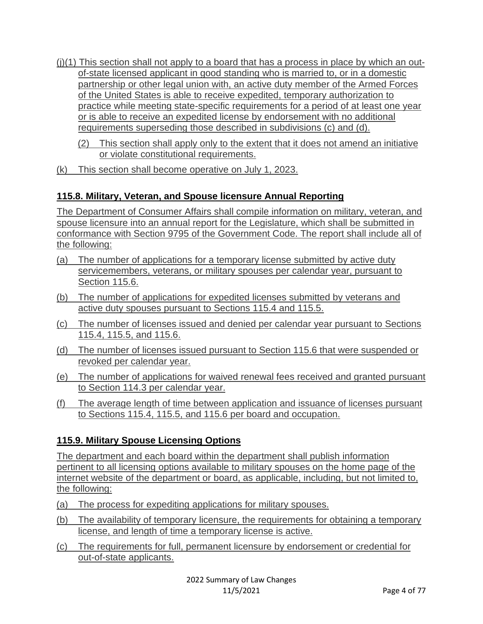- $(i)(1)$  This section shall not apply to a board that has a process in place by which an outof-state licensed applicant in good standing who is married to, or in a domestic partnership or other legal union with, an active duty member of the Armed Forces of the United States is able to receive expedited, temporary authorization to practice while meeting state-specific requirements for a period of at least one year or is able to receive an expedited license by endorsement with no additional requirements superseding those described in subdivisions (c) and (d).
	- (2) This section shall apply only to the extent that it does not amend an initiative or violate constitutional requirements.
- (k) This section shall become operative on July 1, 2023.

# **115.8. Military, Veteran, and Spouse licensure Annual Reporting**

The Department of Consumer Affairs shall compile information on military, veteran, and spouse licensure into an annual report for the Legislature, which shall be submitted in conformance with Section 9795 of the Government Code. The report shall include all of the following:

- (a) The number of applications for a temporary license submitted by active duty servicemembers, veterans, or military spouses per calendar year, pursuant to Section 115.6.
- (b) The number of applications for expedited licenses submitted by veterans and active duty spouses pursuant to Sections 115.4 and 115.5.
- (c) The number of licenses issued and denied per calendar year pursuant to Sections 115.4, 115.5, and 115.6.
- (d) The number of licenses issued pursuant to Section 115.6 that were suspended or revoked per calendar year.
- (e) The number of applications for waived renewal fees received and granted pursuant to Section 114.3 per calendar year.
- (f) The average length of time between application and issuance of licenses pursuant to Sections 115.4, 115.5, and 115.6 per board and occupation.

# **115.9. Military Spouse Licensing Options**

The department and each board within the department shall publish information pertinent to all licensing options available to military spouses on the home page of the internet website of the department or board, as applicable, including, but not limited to, the following:

- (a) The process for expediting applications for military spouses.
- (b) The availability of temporary licensure, the requirements for obtaining a temporary license, and length of time a temporary license is active.
- (c) The requirements for full, permanent licensure by endorsement or credential for out-of-state applicants.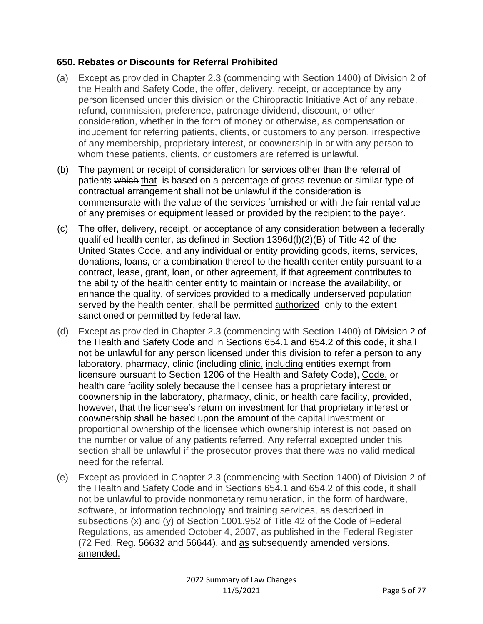### **650. Rebates or Discounts for Referral Prohibited**

- (a) Except as provided in Chapter 2.3 (commencing with Section 1400) of Division 2 of the Health and Safety Code, the offer, delivery, receipt, or acceptance by any person licensed under this division or the Chiropractic Initiative Act of any rebate, refund, commission, preference, patronage dividend, discount, or other consideration, whether in the form of money or otherwise, as compensation or inducement for referring patients, clients, or customers to any person, irrespective of any membership, proprietary interest, or coownership in or with any person to whom these patients, clients, or customers are referred is unlawful.
- (b) The payment or receipt of consideration for services other than the referral of patients which that is based on a percentage of gross revenue or similar type of contractual arrangement shall not be unlawful if the consideration is commensurate with the value of the services furnished or with the fair rental value of any premises or equipment leased or provided by the recipient to the payer.
- (c) The offer, delivery, receipt, or acceptance of any consideration between a federally qualified health center, as defined in Section 1396d(l)(2)(B) of Title 42 of the United States Code, and any individual or entity providing goods, items, services, donations, loans, or a combination thereof to the health center entity pursuant to a contract, lease, grant, loan, or other agreement, if that agreement contributes to the ability of the health center entity to maintain or increase the availability, or enhance the quality, of services provided to a medically underserved population served by the health center, shall be permitted authorized only to the extent sanctioned or permitted by federal law.
- (d) Except as provided in Chapter 2.3 (commencing with Section 1400) of Division 2 of the Health and Safety Code and in Sections 654.1 and 654.2 of this code, it shall not be unlawful for any person licensed under this division to refer a person to any laboratory, pharmacy, clinic (including clinic*,* including entities exempt from licensure pursuant to Section 1206 of the Health and Safety Code), Code, or health care facility solely because the licensee has a proprietary interest or coownership in the laboratory, pharmacy, clinic, or health care facility, provided, however, that the licensee's return on investment for that proprietary interest or coownership shall be based upon the amount of the capital investment or proportional ownership of the licensee which ownership interest is not based on the number or value of any patients referred. Any referral excepted under this section shall be unlawful if the prosecutor proves that there was no valid medical need for the referral.
- (e) Except as provided in Chapter 2.3 (commencing with Section 1400) of Division 2 of the Health and Safety Code and in Sections 654.1 and 654.2 of this code, it shall not be unlawful to provide nonmonetary remuneration, in the form of hardware, software, or information technology and training services, as described in subsections (x) and (y) of Section 1001.952 of Title 42 of the Code of Federal Regulations, as amended October 4, 2007, as published in the Federal Register (72 Fed. Reg. 56632 and 56644), and as subsequently amended versions. amended.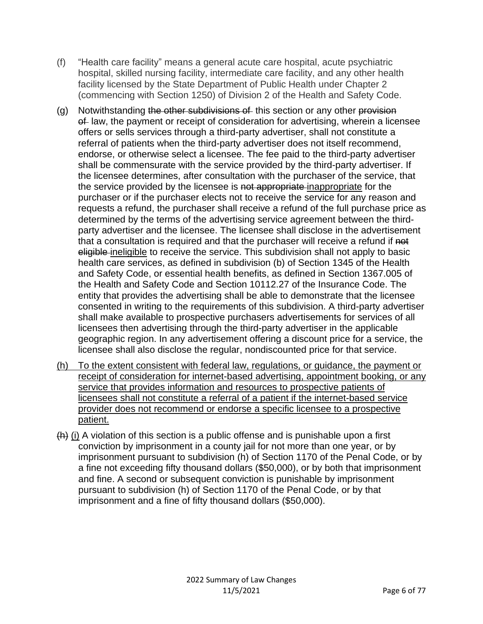- (f) "Health care facility" means a general acute care hospital, acute psychiatric hospital, skilled nursing facility, intermediate care facility, and any other health facility licensed by the State Department of Public Health under Chapter 2 (commencing with Section 1250) of Division 2 of the Health and Safety Code.
- (g) Notwithstanding the other subdivisions of this section or any other provision of law, the payment or receipt of consideration for advertising, wherein a licensee offers or sells services through a third-party advertiser, shall not constitute a referral of patients when the third-party advertiser does not itself recommend, endorse, or otherwise select a licensee. The fee paid to the third-party advertiser shall be commensurate with the service provided by the third-party advertiser. If the licensee determines, after consultation with the purchaser of the service, that the service provided by the licensee is not appropriate inappropriate for the purchaser or if the purchaser elects not to receive the service for any reason and requests a refund, the purchaser shall receive a refund of the full purchase price as determined by the terms of the advertising service agreement between the thirdparty advertiser and the licensee. The licensee shall disclose in the advertisement that a consultation is required and that the purchaser will receive a refund if not eligible ineligible to receive the service. This subdivision shall not apply to basic health care services, as defined in subdivision (b) of Section 1345 of the Health and Safety Code, or essential health benefits, as defined in Section 1367.005 of the Health and Safety Code and Section 10112.27 of the Insurance Code. The entity that provides the advertising shall be able to demonstrate that the licensee consented in writing to the requirements of this subdivision. A third-party advertiser shall make available to prospective purchasers advertisements for services of all licensees then advertising through the third-party advertiser in the applicable geographic region. In any advertisement offering a discount price for a service, the licensee shall also disclose the regular, nondiscounted price for that service.
- (h) To the extent consistent with federal law, regulations, or guidance, the payment or receipt of consideration for internet-based advertising, appointment booking, or any service that provides information and resources to prospective patients of licensees shall not constitute a referral of a patient if the internet-based service provider does not recommend or endorse a specific licensee to a prospective patient.
- $(h)$  (i) A violation of this section is a public offense and is punishable upon a first conviction by imprisonment in a county jail for not more than one year, or by imprisonment pursuant to subdivision (h) of Section 1170 of the Penal Code, or by a fine not exceeding fifty thousand dollars (\$50,000), or by both that imprisonment and fine. A second or subsequent conviction is punishable by imprisonment pursuant to subdivision (h) of Section 1170 of the Penal Code, or by that imprisonment and a fine of fifty thousand dollars (\$50,000).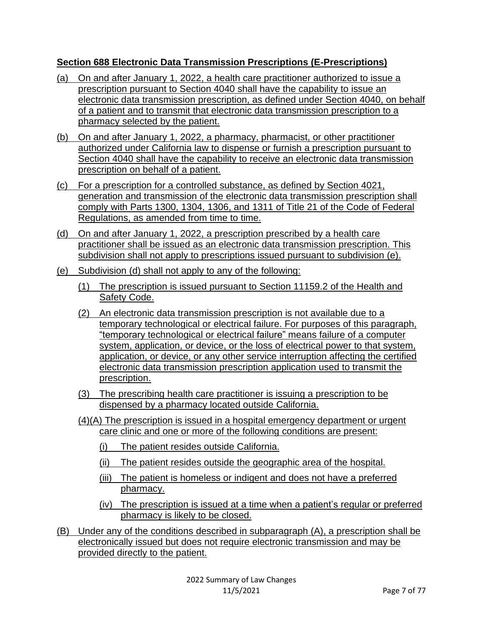# **Section 688 Electronic Data Transmission Prescriptions (E-Prescriptions)**

- (a) On and after January 1, 2022, a health care practitioner authorized to issue a prescription pursuant to Section 4040 shall have the capability to issue an electronic data transmission prescription, as defined under Section 4040, on behalf of a patient and to transmit that electronic data transmission prescription to a pharmacy selected by the patient.
- (b) On and after January 1, 2022, a pharmacy, pharmacist, or other practitioner authorized under California law to dispense or furnish a prescription pursuant to Section 4040 shall have the capability to receive an electronic data transmission prescription on behalf of a patient.
- (c) For a prescription for a controlled substance, as defined by Section 4021, generation and transmission of the electronic data transmission prescription shall comply with Parts 1300, 1304, 1306, and 1311 of Title 21 of the Code of Federal Regulations, as amended from time to time.
- (d) On and after January 1, 2022, a prescription prescribed by a health care practitioner shall be issued as an electronic data transmission prescription. This subdivision shall not apply to prescriptions issued pursuant to subdivision (e).
- (e) Subdivision (d) shall not apply to any of the following:
	- (1) The prescription is issued pursuant to Section 11159.2 of the Health and Safety Code.
	- (2) An electronic data transmission prescription is not available due to a temporary technological or electrical failure. For purposes of this paragraph, "temporary technological or electrical failure" means failure of a computer system, application, or device, or the loss of electrical power to that system, application, or device, or any other service interruption affecting the certified electronic data transmission prescription application used to transmit the prescription.
	- (3) The prescribing health care practitioner is issuing a prescription to be dispensed by a pharmacy located outside California.
	- (4)(A) The prescription is issued in a hospital emergency department or urgent care clinic and one or more of the following conditions are present:
		- (i) The patient resides outside California.
		- (ii) The patient resides outside the geographic area of the hospital.
		- (iii) The patient is homeless or indigent and does not have a preferred pharmacy.
		- (iv) The prescription is issued at a time when a patient's regular or preferred pharmacy is likely to be closed.
- (B) Under any of the conditions described in subparagraph (A), a prescription shall be electronically issued but does not require electronic transmission and may be provided directly to the patient.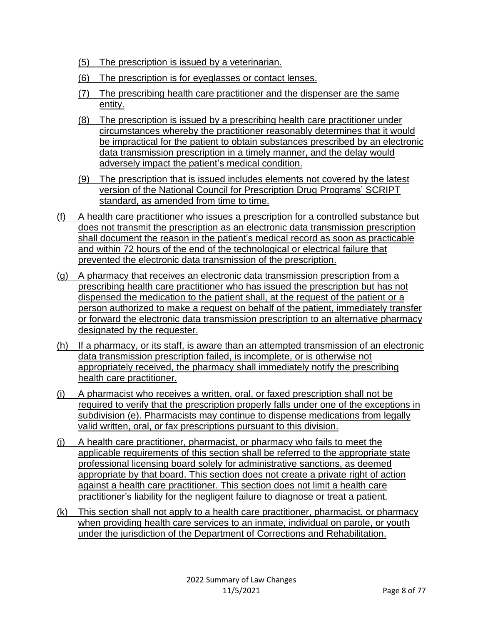- (5) The prescription is issued by a veterinarian.
- (6) The prescription is for eyeglasses or contact lenses.
- (7) The prescribing health care practitioner and the dispenser are the same entity.
- (8) The prescription is issued by a prescribing health care practitioner under circumstances whereby the practitioner reasonably determines that it would be impractical for the patient to obtain substances prescribed by an electronic data transmission prescription in a timely manner, and the delay would adversely impact the patient's medical condition.
- (9) The prescription that is issued includes elements not covered by the latest version of the National Council for Prescription Drug Programs' SCRIPT standard, as amended from time to time.
- (f) A health care practitioner who issues a prescription for a controlled substance but does not transmit the prescription as an electronic data transmission prescription shall document the reason in the patient's medical record as soon as practicable and within 72 hours of the end of the technological or electrical failure that prevented the electronic data transmission of the prescription.
- (g) A pharmacy that receives an electronic data transmission prescription from a prescribing health care practitioner who has issued the prescription but has not dispensed the medication to the patient shall, at the request of the patient or a person authorized to make a request on behalf of the patient, immediately transfer or forward the electronic data transmission prescription to an alternative pharmacy designated by the requester.
- (h) If a pharmacy, or its staff, is aware than an attempted transmission of an electronic data transmission prescription failed, is incomplete, or is otherwise not appropriately received, the pharmacy shall immediately notify the prescribing health care practitioner.
- (i) A pharmacist who receives a written, oral, or faxed prescription shall not be required to verify that the prescription properly falls under one of the exceptions in subdivision (e). Pharmacists may continue to dispense medications from legally valid written, oral, or fax prescriptions pursuant to this division.
- (j) A health care practitioner, pharmacist, or pharmacy who fails to meet the applicable requirements of this section shall be referred to the appropriate state professional licensing board solely for administrative sanctions, as deemed appropriate by that board. This section does not create a private right of action against a health care practitioner. This section does not limit a health care practitioner's liability for the negligent failure to diagnose or treat a patient.
- (k) This section shall not apply to a health care practitioner, pharmacist, or pharmacy when providing health care services to an inmate, individual on parole, or youth under the jurisdiction of the Department of Corrections and Rehabilitation.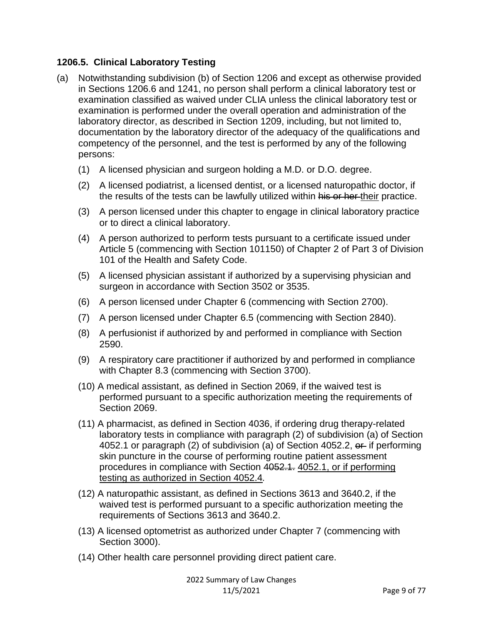### **1206.5. Clinical Laboratory Testing**

- (a) Notwithstanding subdivision (b) of Section 1206 and except as otherwise provided in Sections 1206.6 and 1241, no person shall perform a clinical laboratory test or examination classified as waived under CLIA unless the clinical laboratory test or examination is performed under the overall operation and administration of the laboratory director, as described in Section 1209, including, but not limited to, documentation by the laboratory director of the adequacy of the qualifications and competency of the personnel, and the test is performed by any of the following persons:
	- (1) A licensed physician and surgeon holding a M.D. or D.O. degree.
	- (2) A licensed podiatrist, a licensed dentist, or a licensed naturopathic doctor, if the results of the tests can be lawfully utilized within his or her their practice.
	- (3) A person licensed under this chapter to engage in clinical laboratory practice or to direct a clinical laboratory.
	- (4) A person authorized to perform tests pursuant to a certificate issued under Article 5 (commencing with Section 101150) of Chapter 2 of Part 3 of Division 101 of the Health and Safety Code.
	- (5) A licensed physician assistant if authorized by a supervising physician and surgeon in accordance with Section 3502 or 3535.
	- (6) A person licensed under Chapter 6 (commencing with Section 2700).
	- (7) A person licensed under Chapter 6.5 (commencing with Section 2840).
	- (8) A perfusionist if authorized by and performed in compliance with Section 2590.
	- (9) A respiratory care practitioner if authorized by and performed in compliance with Chapter 8.3 (commencing with Section 3700).
	- (10) A medical assistant, as defined in Section 2069, if the waived test is performed pursuant to a specific authorization meeting the requirements of Section 2069.
	- (11) A pharmacist, as defined in Section 4036, if ordering drug therapy-related laboratory tests in compliance with paragraph (2) of subdivision (a) of Section 4052.1 or paragraph (2) of subdivision (a) of Section 4052.2, or if performing skin puncture in the course of performing routine patient assessment procedures in compliance with Section 4052.1. 4052.1, or if performing testing as authorized in Section 4052.4*.*
	- (12) A naturopathic assistant, as defined in Sections 3613 and 3640.2, if the waived test is performed pursuant to a specific authorization meeting the requirements of Sections 3613 and 3640.2.
	- (13) A licensed optometrist as authorized under Chapter 7 (commencing with Section 3000).
	- (14) Other health care personnel providing direct patient care.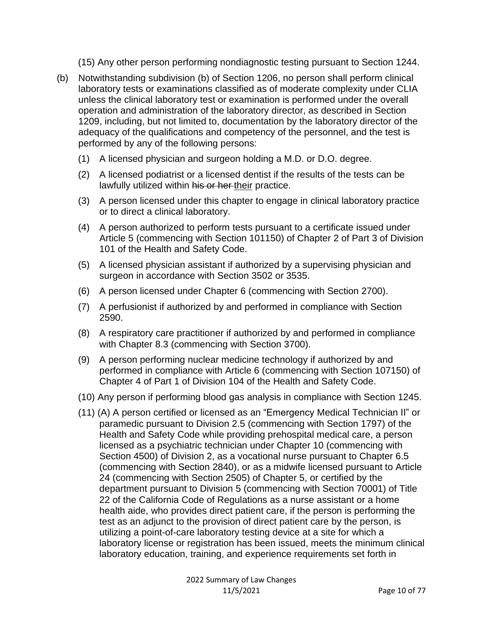(15) Any other person performing nondiagnostic testing pursuant to Section 1244.

- (b) Notwithstanding subdivision (b) of Section 1206, no person shall perform clinical laboratory tests or examinations classified as of moderate complexity under CLIA unless the clinical laboratory test or examination is performed under the overall operation and administration of the laboratory director, as described in Section 1209, including, but not limited to, documentation by the laboratory director of the adequacy of the qualifications and competency of the personnel, and the test is performed by any of the following persons:
	- (1) A licensed physician and surgeon holding a M.D. or D.O. degree.
	- (2) A licensed podiatrist or a licensed dentist if the results of the tests can be lawfully utilized within his or her their practice.
	- (3) A person licensed under this chapter to engage in clinical laboratory practice or to direct a clinical laboratory.
	- (4) A person authorized to perform tests pursuant to a certificate issued under Article 5 (commencing with Section 101150) of Chapter 2 of Part 3 of Division 101 of the Health and Safety Code.
	- (5) A licensed physician assistant if authorized by a supervising physician and surgeon in accordance with Section 3502 or 3535.
	- (6) A person licensed under Chapter 6 (commencing with Section 2700).
	- (7) A perfusionist if authorized by and performed in compliance with Section 2590.
	- (8) A respiratory care practitioner if authorized by and performed in compliance with Chapter 8.3 (commencing with Section 3700).
	- (9) A person performing nuclear medicine technology if authorized by and performed in compliance with Article 6 (commencing with Section 107150) of Chapter 4 of Part 1 of Division 104 of the Health and Safety Code.
	- (10) Any person if performing blood gas analysis in compliance with Section 1245.
	- (11) (A) A person certified or licensed as an "Emergency Medical Technician II" or paramedic pursuant to Division 2.5 (commencing with Section 1797) of the Health and Safety Code while providing prehospital medical care, a person licensed as a psychiatric technician under Chapter 10 (commencing with Section 4500) of Division 2, as a vocational nurse pursuant to Chapter 6.5 (commencing with Section 2840), or as a midwife licensed pursuant to Article 24 (commencing with Section 2505) of Chapter 5, or certified by the department pursuant to Division 5 (commencing with Section 70001) of Title 22 of the California Code of Regulations as a nurse assistant or a home health aide, who provides direct patient care, if the person is performing the test as an adjunct to the provision of direct patient care by the person, is utilizing a point-of-care laboratory testing device at a site for which a laboratory license or registration has been issued, meets the minimum clinical laboratory education, training, and experience requirements set forth in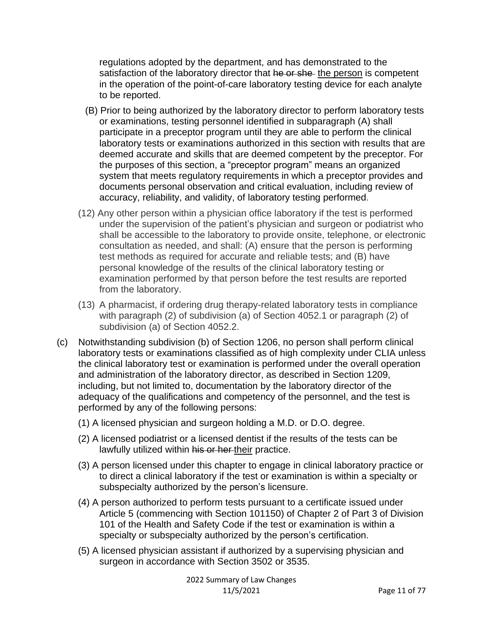regulations adopted by the department, and has demonstrated to the satisfaction of the laboratory director that he or she the person is competent in the operation of the point-of-care laboratory testing device for each analyte to be reported.

- (B) Prior to being authorized by the laboratory director to perform laboratory tests or examinations, testing personnel identified in subparagraph (A) shall participate in a preceptor program until they are able to perform the clinical laboratory tests or examinations authorized in this section with results that are deemed accurate and skills that are deemed competent by the preceptor. For the purposes of this section, a "preceptor program" means an organized system that meets regulatory requirements in which a preceptor provides and documents personal observation and critical evaluation, including review of accuracy, reliability, and validity, of laboratory testing performed.
- (12) Any other person within a physician office laboratory if the test is performed under the supervision of the patient's physician and surgeon or podiatrist who shall be accessible to the laboratory to provide onsite, telephone, or electronic consultation as needed, and shall: (A) ensure that the person is performing test methods as required for accurate and reliable tests; and (B) have personal knowledge of the results of the clinical laboratory testing or examination performed by that person before the test results are reported from the laboratory.
- (13) A pharmacist, if ordering drug therapy-related laboratory tests in compliance with paragraph (2) of subdivision (a) of Section 4052.1 or paragraph (2) of subdivision (a) of Section 4052.2.
- (c) Notwithstanding subdivision (b) of Section 1206, no person shall perform clinical laboratory tests or examinations classified as of high complexity under CLIA unless the clinical laboratory test or examination is performed under the overall operation and administration of the laboratory director, as described in Section 1209, including, but not limited to, documentation by the laboratory director of the adequacy of the qualifications and competency of the personnel, and the test is performed by any of the following persons:
	- (1) A licensed physician and surgeon holding a M.D. or D.O. degree.
	- (2) A licensed podiatrist or a licensed dentist if the results of the tests can be lawfully utilized within his or her their practice.
	- (3) A person licensed under this chapter to engage in clinical laboratory practice or to direct a clinical laboratory if the test or examination is within a specialty or subspecialty authorized by the person's licensure.
	- (4) A person authorized to perform tests pursuant to a certificate issued under Article 5 (commencing with Section 101150) of Chapter 2 of Part 3 of Division 101 of the Health and Safety Code if the test or examination is within a specialty or subspecialty authorized by the person's certification.
	- (5) A licensed physician assistant if authorized by a supervising physician and surgeon in accordance with Section 3502 or 3535.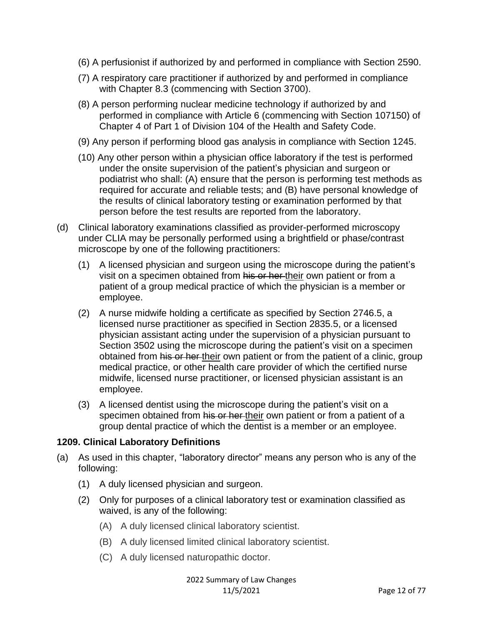- (6) A perfusionist if authorized by and performed in compliance with Section 2590.
- (7) A respiratory care practitioner if authorized by and performed in compliance with Chapter 8.3 (commencing with Section 3700).
- (8) A person performing nuclear medicine technology if authorized by and performed in compliance with Article 6 (commencing with Section 107150) of Chapter 4 of Part 1 of Division 104 of the Health and Safety Code.
- (9) Any person if performing blood gas analysis in compliance with Section 1245.
- (10) Any other person within a physician office laboratory if the test is performed under the onsite supervision of the patient's physician and surgeon or podiatrist who shall: (A) ensure that the person is performing test methods as required for accurate and reliable tests; and (B) have personal knowledge of the results of clinical laboratory testing or examination performed by that person before the test results are reported from the laboratory.
- (d) Clinical laboratory examinations classified as provider-performed microscopy under CLIA may be personally performed using a brightfield or phase/contrast microscope by one of the following practitioners:
	- (1) A licensed physician and surgeon using the microscope during the patient's visit on a specimen obtained from his or her their own patient or from a patient of a group medical practice of which the physician is a member or employee.
	- (2) A nurse midwife holding a certificate as specified by Section 2746.5, a licensed nurse practitioner as specified in Section 2835.5, or a licensed physician assistant acting under the supervision of a physician pursuant to Section 3502 using the microscope during the patient's visit on a specimen obtained from his or her their own patient or from the patient of a clinic, group medical practice, or other health care provider of which the certified nurse midwife, licensed nurse practitioner, or licensed physician assistant is an employee.
	- (3) A licensed dentist using the microscope during the patient's visit on a specimen obtained from his or her their own patient or from a patient of a group dental practice of which the dentist is a member or an employee.

#### **1209. Clinical Laboratory Definitions**

- (a) As used in this chapter, "laboratory director" means any person who is any of the following:
	- (1) A duly licensed physician and surgeon.
	- (2) Only for purposes of a clinical laboratory test or examination classified as waived, is any of the following:
		- (A) A duly licensed clinical laboratory scientist.
		- (B) A duly licensed limited clinical laboratory scientist.
		- (C) A duly licensed naturopathic doctor.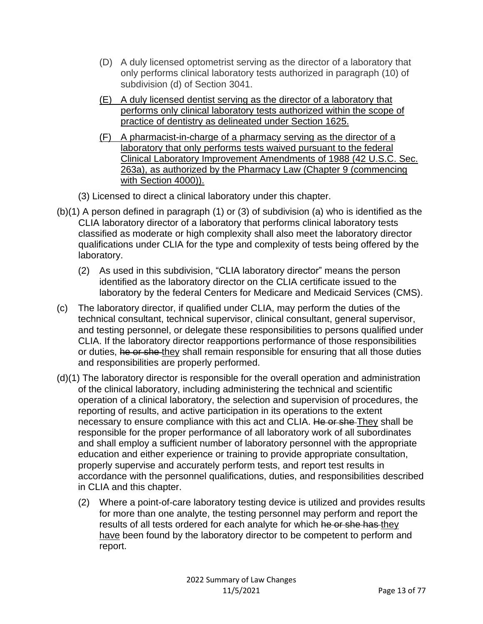- (D) A duly licensed optometrist serving as the director of a laboratory that only performs clinical laboratory tests authorized in paragraph (10) of subdivision (d) of Section 3041.
- (E) A duly licensed dentist serving as the director of a laboratory that performs only clinical laboratory tests authorized within the scope of practice of dentistry as delineated under Section 1625.
- (F) A pharmacist-in-charge of a pharmacy serving as the director of a laboratory that only performs tests waived pursuant to the federal Clinical Laboratory Improvement Amendments of 1988 (42 U.S.C. Sec. 263a), as authorized by the Pharmacy Law (Chapter 9 (commencing with Section 4000)).
- (3) Licensed to direct a clinical laboratory under this chapter.
- (b)(1) A person defined in paragraph (1) or (3) of subdivision (a) who is identified as the CLIA laboratory director of a laboratory that performs clinical laboratory tests classified as moderate or high complexity shall also meet the laboratory director qualifications under CLIA for the type and complexity of tests being offered by the laboratory.
	- (2) As used in this subdivision, "CLIA laboratory director" means the person identified as the laboratory director on the CLIA certificate issued to the laboratory by the federal Centers for Medicare and Medicaid Services (CMS).
- (c) The laboratory director, if qualified under CLIA, may perform the duties of the technical consultant, technical supervisor, clinical consultant, general supervisor, and testing personnel, or delegate these responsibilities to persons qualified under CLIA. If the laboratory director reapportions performance of those responsibilities or duties, he or she they shall remain responsible for ensuring that all those duties and responsibilities are properly performed.
- (d)(1) The laboratory director is responsible for the overall operation and administration of the clinical laboratory, including administering the technical and scientific operation of a clinical laboratory, the selection and supervision of procedures, the reporting of results, and active participation in its operations to the extent necessary to ensure compliance with this act and CLIA. He or she They shall be responsible for the proper performance of all laboratory work of all subordinates and shall employ a sufficient number of laboratory personnel with the appropriate education and either experience or training to provide appropriate consultation, properly supervise and accurately perform tests, and report test results in accordance with the personnel qualifications, duties, and responsibilities described in CLIA and this chapter.
	- (2) Where a point-of-care laboratory testing device is utilized and provides results for more than one analyte, the testing personnel may perform and report the results of all tests ordered for each analyte for which he or she has they have been found by the laboratory director to be competent to perform and report.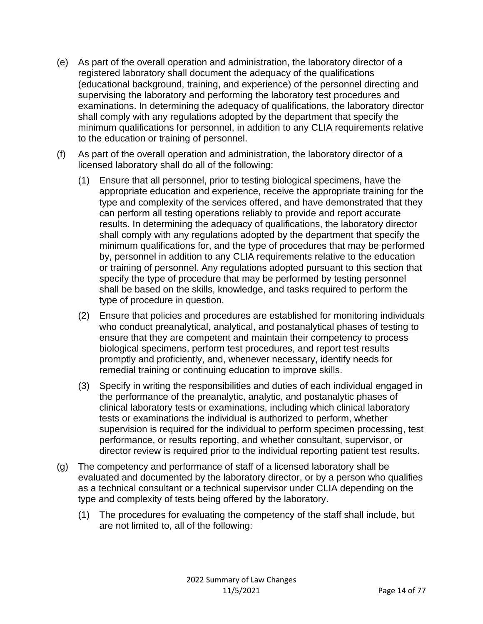- (e) As part of the overall operation and administration, the laboratory director of a registered laboratory shall document the adequacy of the qualifications (educational background, training, and experience) of the personnel directing and supervising the laboratory and performing the laboratory test procedures and examinations. In determining the adequacy of qualifications, the laboratory director shall comply with any regulations adopted by the department that specify the minimum qualifications for personnel, in addition to any CLIA requirements relative to the education or training of personnel.
- (f) As part of the overall operation and administration, the laboratory director of a licensed laboratory shall do all of the following:
	- (1) Ensure that all personnel, prior to testing biological specimens, have the appropriate education and experience, receive the appropriate training for the type and complexity of the services offered, and have demonstrated that they can perform all testing operations reliably to provide and report accurate results. In determining the adequacy of qualifications, the laboratory director shall comply with any regulations adopted by the department that specify the minimum qualifications for, and the type of procedures that may be performed by, personnel in addition to any CLIA requirements relative to the education or training of personnel. Any regulations adopted pursuant to this section that specify the type of procedure that may be performed by testing personnel shall be based on the skills, knowledge, and tasks required to perform the type of procedure in question.
	- (2) Ensure that policies and procedures are established for monitoring individuals who conduct preanalytical, analytical, and postanalytical phases of testing to ensure that they are competent and maintain their competency to process biological specimens, perform test procedures, and report test results promptly and proficiently, and, whenever necessary, identify needs for remedial training or continuing education to improve skills.
	- (3) Specify in writing the responsibilities and duties of each individual engaged in the performance of the preanalytic, analytic, and postanalytic phases of clinical laboratory tests or examinations, including which clinical laboratory tests or examinations the individual is authorized to perform, whether supervision is required for the individual to perform specimen processing, test performance, or results reporting, and whether consultant, supervisor, or director review is required prior to the individual reporting patient test results.
- (g) The competency and performance of staff of a licensed laboratory shall be evaluated and documented by the laboratory director, or by a person who qualifies as a technical consultant or a technical supervisor under CLIA depending on the type and complexity of tests being offered by the laboratory.
	- (1) The procedures for evaluating the competency of the staff shall include, but are not limited to, all of the following: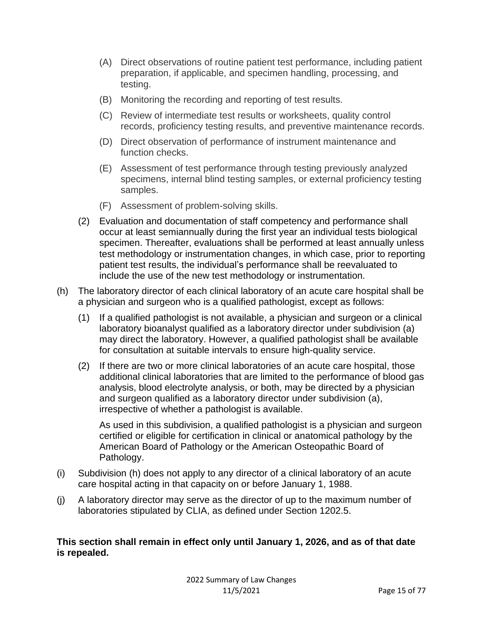- (A) Direct observations of routine patient test performance, including patient preparation, if applicable, and specimen handling, processing, and testing.
- (B) Monitoring the recording and reporting of test results.
- (C) Review of intermediate test results or worksheets, quality control records, proficiency testing results, and preventive maintenance records.
- (D) Direct observation of performance of instrument maintenance and function checks.
- (E) Assessment of test performance through testing previously analyzed specimens, internal blind testing samples, or external proficiency testing samples.
- (F) Assessment of problem-solving skills.
- (2) Evaluation and documentation of staff competency and performance shall occur at least semiannually during the first year an individual tests biological specimen. Thereafter, evaluations shall be performed at least annually unless test methodology or instrumentation changes, in which case, prior to reporting patient test results, the individual's performance shall be reevaluated to include the use of the new test methodology or instrumentation.
- (h) The laboratory director of each clinical laboratory of an acute care hospital shall be a physician and surgeon who is a qualified pathologist, except as follows:
	- (1) If a qualified pathologist is not available, a physician and surgeon or a clinical laboratory bioanalyst qualified as a laboratory director under subdivision (a) may direct the laboratory. However, a qualified pathologist shall be available for consultation at suitable intervals to ensure high-quality service.
	- (2) If there are two or more clinical laboratories of an acute care hospital, those additional clinical laboratories that are limited to the performance of blood gas analysis, blood electrolyte analysis, or both, may be directed by a physician and surgeon qualified as a laboratory director under subdivision (a), irrespective of whether a pathologist is available.

As used in this subdivision, a qualified pathologist is a physician and surgeon certified or eligible for certification in clinical or anatomical pathology by the American Board of Pathology or the American Osteopathic Board of Pathology.

- (i) Subdivision (h) does not apply to any director of a clinical laboratory of an acute care hospital acting in that capacity on or before January 1, 1988.
- (j) A laboratory director may serve as the director of up to the maximum number of laboratories stipulated by CLIA, as defined under Section 1202.5.

#### **This section shall remain in effect only until January 1, 2026, and as of that date is repealed.**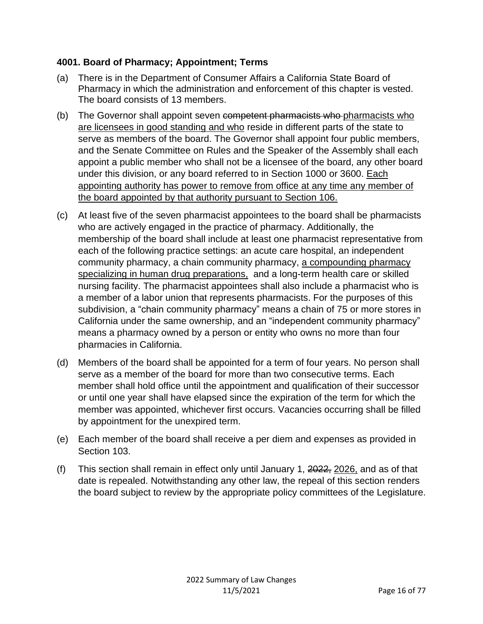### **4001. Board of Pharmacy; Appointment; Terms**

- (a) There is in the Department of Consumer Affairs a California State Board of Pharmacy in which the administration and enforcement of this chapter is vested. The board consists of 13 members.
- (b) The Governor shall appoint seven competent pharmacists who pharmacists who are licensees in good standing and who reside in different parts of the state to serve as members of the board. The Governor shall appoint four public members, and the Senate Committee on Rules and the Speaker of the Assembly shall each appoint a public member who shall not be a licensee of the board, any other board under this division, or any board referred to in Section 1000 or 3600. Each appointing authority has power to remove from office at any time any member of the board appointed by that authority pursuant to Section 106.
- (c) At least five of the seven pharmacist appointees to the board shall be pharmacists who are actively engaged in the practice of pharmacy. Additionally, the membership of the board shall include at least one pharmacist representative from each of the following practice settings: an acute care hospital, an independent community pharmacy, a chain community pharmacy, a compounding pharmacy specializing in human drug preparations, and a long-term health care or skilled nursing facility. The pharmacist appointees shall also include a pharmacist who is a member of a labor union that represents pharmacists. For the purposes of this subdivision, a "chain community pharmacy" means a chain of 75 or more stores in California under the same ownership, and an "independent community pharmacy" means a pharmacy owned by a person or entity who owns no more than four pharmacies in California.
- (d) Members of the board shall be appointed for a term of four years. No person shall serve as a member of the board for more than two consecutive terms. Each member shall hold office until the appointment and qualification of their successor or until one year shall have elapsed since the expiration of the term for which the member was appointed, whichever first occurs. Vacancies occurring shall be filled by appointment for the unexpired term.
- (e) Each member of the board shall receive a per diem and expenses as provided in Section 103.
- (f) This section shall remain in effect only until January 1, 2022, 2026, and as of that date is repealed. Notwithstanding any other law, the repeal of this section renders the board subject to review by the appropriate policy committees of the Legislature.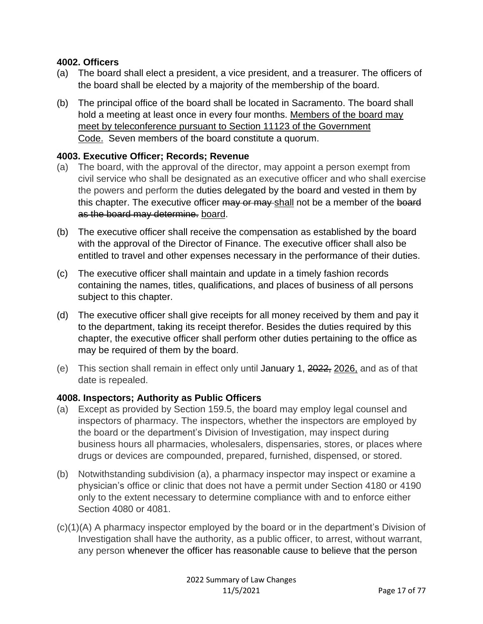#### **4002. Officers**

- (a) The board shall elect a president, a vice president, and a treasurer. The officers of the board shall be elected by a majority of the membership of the board.
- (b) The principal office of the board shall be located in Sacramento. The board shall hold a meeting at least once in every four months. Members of the board may meet by teleconference pursuant to Section 11123 of the Government Code. Seven members of the board constitute a quorum.

#### **4003. Executive Officer; Records; Revenue**

- (a) The board, with the approval of the director, may appoint a person exempt from civil service who shall be designated as an executive officer and who shall exercise the powers and perform the duties delegated by the board and vested in them by this chapter. The executive officer may or may shall not be a member of the board as the board may determine. board.
- (b) The executive officer shall receive the compensation as established by the board with the approval of the Director of Finance. The executive officer shall also be entitled to travel and other expenses necessary in the performance of their duties.
- (c) The executive officer shall maintain and update in a timely fashion records containing the names, titles, qualifications, and places of business of all persons subject to this chapter.
- (d) The executive officer shall give receipts for all money received by them and pay it to the department, taking its receipt therefor. Besides the duties required by this chapter, the executive officer shall perform other duties pertaining to the office as may be required of them by the board.
- (e) This section shall remain in effect only until January 1, 2022, 2026, and as of that date is repealed.

#### **4008. Inspectors; Authority as Public Officers**

- (a) Except as provided by Section 159.5, the board may employ legal counsel and inspectors of pharmacy. The inspectors, whether the inspectors are employed by the board or the department's Division of Investigation, may inspect during business hours all pharmacies, wholesalers, dispensaries, stores, or places where drugs or devices are compounded, prepared, furnished, dispensed, or stored.
- (b) Notwithstanding subdivision (a), a pharmacy inspector may inspect or examine a physician's office or clinic that does not have a permit under Section 4180 or 4190 only to the extent necessary to determine compliance with and to enforce either Section 4080 or 4081.
- (c)(1)(A) A pharmacy inspector employed by the board or in the department's Division of Investigation shall have the authority, as a public officer, to arrest, without warrant, any person whenever the officer has reasonable cause to believe that the person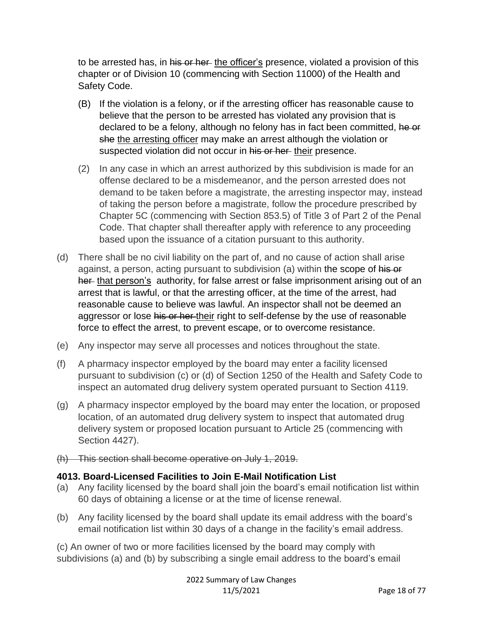to be arrested has, in his or her the officer's presence, violated a provision of this chapter or of Division 10 (commencing with Section 11000) of the Health and Safety Code.

- (B) If the violation is a felony, or if the arresting officer has reasonable cause to believe that the person to be arrested has violated any provision that is declared to be a felony, although no felony has in fact been committed, he or she the arresting officer may make an arrest although the violation or suspected violation did not occur in his or her their presence.
- (2) In any case in which an arrest authorized by this subdivision is made for an offense declared to be a misdemeanor, and the person arrested does not demand to be taken before a magistrate, the arresting inspector may, instead of taking the person before a magistrate, follow the procedure prescribed by Chapter 5C (commencing with Section 853.5) of Title 3 of Part 2 of the Penal Code. That chapter shall thereafter apply with reference to any proceeding based upon the issuance of a citation pursuant to this authority.
- (d) There shall be no civil liability on the part of, and no cause of action shall arise against, a person, acting pursuant to subdivision (a) within the scope of his or her that person's authority, for false arrest or false imprisonment arising out of an arrest that is lawful, or that the arresting officer, at the time of the arrest, had reasonable cause to believe was lawful. An inspector shall not be deemed an aggressor or lose his or her their right to self-defense by the use of reasonable force to effect the arrest, to prevent escape, or to overcome resistance.
- (e) Any inspector may serve all processes and notices throughout the state.
- (f) A pharmacy inspector employed by the board may enter a facility licensed pursuant to subdivision (c) or (d) of Section 1250 of the Health and Safety Code to inspect an automated drug delivery system operated pursuant to Section 4119.
- (g) A pharmacy inspector employed by the board may enter the location, or proposed location, of an automated drug delivery system to inspect that automated drug delivery system or proposed location pursuant to Article 25 (commencing with Section 4427).
- (h) This section shall become operative on July 1, 2019.

# **4013. Board-Licensed Facilities to Join E-Mail Notification List**

- (a) Any facility licensed by the board shall join the board's email notification list within 60 days of obtaining a license or at the time of license renewal.
- (b) Any facility licensed by the board shall update its email address with the board's email notification list within 30 days of a change in the facility's email address.

(c) An owner of two or more facilities licensed by the board may comply with subdivisions (a) and (b) by subscribing a single email address to the board's email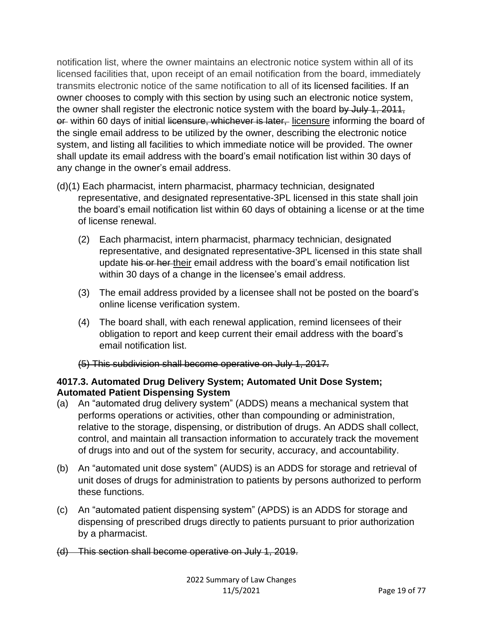notification list, where the owner maintains an electronic notice system within all of its licensed facilities that, upon receipt of an email notification from the board, immediately transmits electronic notice of the same notification to all of its licensed facilities. If an owner chooses to comply with this section by using such an electronic notice system, the owner shall register the electronic notice system with the board by July 1, 2011, or within 60 days of initial licensure, whichever is later, licensure informing the board of the single email address to be utilized by the owner, describing the electronic notice system, and listing all facilities to which immediate notice will be provided. The owner shall update its email address with the board's email notification list within 30 days of any change in the owner's email address.

- (d)(1) Each pharmacist, intern pharmacist, pharmacy technician, designated representative, and designated representative-3PL licensed in this state shall join the board's email notification list within 60 days of obtaining a license or at the time of license renewal.
	- (2) Each pharmacist, intern pharmacist, pharmacy technician, designated representative, and designated representative-3PL licensed in this state shall update his or her their email address with the board's email notification list within 30 days of a change in the licensee's email address.
	- (3) The email address provided by a licensee shall not be posted on the board's online license verification system.
	- (4) The board shall, with each renewal application, remind licensees of their obligation to report and keep current their email address with the board's email notification list.

(5) This subdivision shall become operative on July 1, 2017.

#### **4017.3. Automated Drug Delivery System; Automated Unit Dose System; Automated Patient Dispensing System**

- (a) An "automated drug delivery system" (ADDS) means a mechanical system that performs operations or activities, other than compounding or administration, relative to the storage, dispensing, or distribution of drugs. An ADDS shall collect, control, and maintain all transaction information to accurately track the movement of drugs into and out of the system for security, accuracy, and accountability.
- (b) An "automated unit dose system" (AUDS) is an ADDS for storage and retrieval of unit doses of drugs for administration to patients by persons authorized to perform these functions.
- (c) An "automated patient dispensing system" (APDS) is an ADDS for storage and dispensing of prescribed drugs directly to patients pursuant to prior authorization by a pharmacist.
- (d) This section shall become operative on July 1, 2019.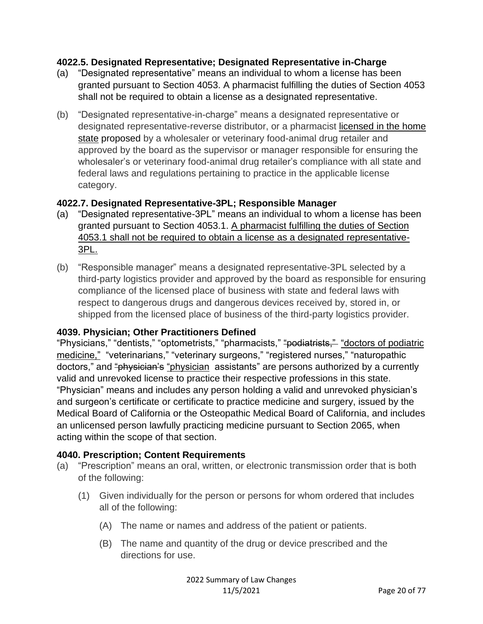#### **4022.5. Designated Representative; Designated Representative in-Charge**

- (a) "Designated representative" means an individual to whom a license has been granted pursuant to Section 4053. A pharmacist fulfilling the duties of Section 4053 shall not be required to obtain a license as a designated representative.
- (b) "Designated representative-in-charge" means a designated representative or designated representative-reverse distributor, or a pharmacist licensed in the home state proposed by a wholesaler or veterinary food-animal drug retailer and approved by the board as the supervisor or manager responsible for ensuring the wholesaler's or veterinary food-animal drug retailer's compliance with all state and federal laws and regulations pertaining to practice in the applicable license category.

#### **4022.7. Designated Representative-3PL; Responsible Manager**

- (a) "Designated representative-3PL" means an individual to whom a license has been granted pursuant to Section 4053.1. A pharmacist fulfilling the duties of Section 4053.1 shall not be required to obtain a license as a designated representative-3PL.
- (b) "Responsible manager" means a designated representative-3PL selected by a third-party logistics provider and approved by the board as responsible for ensuring compliance of the licensed place of business with state and federal laws with respect to dangerous drugs and dangerous devices received by, stored in, or shipped from the licensed place of business of the third-party logistics provider.

#### **4039. Physician; Other Practitioners Defined**

"Physicians," "dentists," "optometrists," "pharmacists," "podiatrists," "doctors of podiatric medicine," "veterinarians," "veterinary surgeons," "registered nurses," "naturopathic doctors," and "physician's "physician assistants" are persons authorized by a currently valid and unrevoked license to practice their respective professions in this state. "Physician" means and includes any person holding a valid and unrevoked physician's and surgeon's certificate or certificate to practice medicine and surgery, issued by the Medical Board of California or the Osteopathic Medical Board of California, and includes an unlicensed person lawfully practicing medicine pursuant to Section 2065, when acting within the scope of that section.

#### **4040. Prescription; Content Requirements**

- (a) "Prescription" means an oral, written, or electronic transmission order that is both of the following:
	- (1) Given individually for the person or persons for whom ordered that includes all of the following:
		- (A) The name or names and address of the patient or patients.
		- (B) The name and quantity of the drug or device prescribed and the directions for use.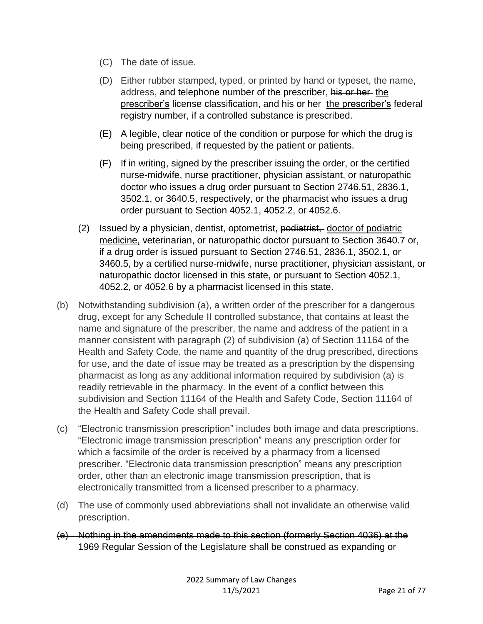- (C) The date of issue.
- (D) Either rubber stamped, typed, or printed by hand or typeset, the name, address, and telephone number of the prescriber, his or her the prescriber's license classification, and his or her the prescriber's federal registry number, if a controlled substance is prescribed.
- (E) A legible, clear notice of the condition or purpose for which the drug is being prescribed, if requested by the patient or patients.
- (F) If in writing, signed by the prescriber issuing the order, or the certified nurse-midwife, nurse practitioner, physician assistant, or naturopathic doctor who issues a drug order pursuant to Section 2746.51, 2836.1, 3502.1, or 3640.5, respectively, or the pharmacist who issues a drug order pursuant to Section 4052.1, 4052.2, or 4052.6.
- (2) Issued by a physician, dentist, optometrist, podiatrist, doctor of podiatric medicine, veterinarian, or naturopathic doctor pursuant to Section 3640.7 or, if a drug order is issued pursuant to Section 2746.51, 2836.1, 3502.1, or 3460.5, by a certified nurse-midwife, nurse practitioner, physician assistant, or naturopathic doctor licensed in this state, or pursuant to Section 4052.1, 4052.2, or 4052.6 by a pharmacist licensed in this state.
- (b) Notwithstanding subdivision (a), a written order of the prescriber for a dangerous drug, except for any Schedule II controlled substance, that contains at least the name and signature of the prescriber, the name and address of the patient in a manner consistent with paragraph (2) of subdivision (a) of Section 11164 of the Health and Safety Code, the name and quantity of the drug prescribed, directions for use, and the date of issue may be treated as a prescription by the dispensing pharmacist as long as any additional information required by subdivision (a) is readily retrievable in the pharmacy. In the event of a conflict between this subdivision and Section 11164 of the Health and Safety Code, Section 11164 of the Health and Safety Code shall prevail.
- (c) "Electronic transmission prescription" includes both image and data prescriptions. "Electronic image transmission prescription" means any prescription order for which a facsimile of the order is received by a pharmacy from a licensed prescriber. "Electronic data transmission prescription" means any prescription order, other than an electronic image transmission prescription, that is electronically transmitted from a licensed prescriber to a pharmacy.
- (d) The use of commonly used abbreviations shall not invalidate an otherwise valid prescription.
- (e) Nothing in the amendments made to this section (formerly Section 4036) at the 1969 Regular Session of the Legislature shall be construed as expanding or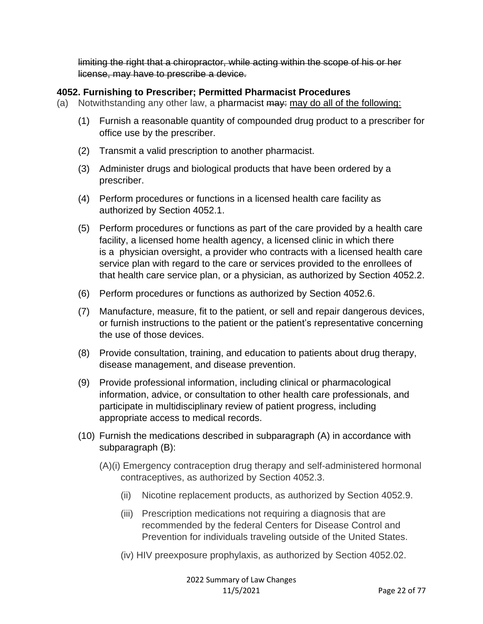limiting the right that a chiropractor, while acting within the scope of his or her license, may have to prescribe a device.

#### **4052. Furnishing to Prescriber; Permitted Pharmacist Procedures**

- (a) Notwithstanding any other law, a pharmacist  $\frac{m}{m}$  may do all of the following:
	- (1) Furnish a reasonable quantity of compounded drug product to a prescriber for office use by the prescriber.
	- (2) Transmit a valid prescription to another pharmacist.
	- (3) Administer drugs and biological products that have been ordered by a prescriber.
	- (4) Perform procedures or functions in a licensed health care facility as authorized by Section 4052.1.
	- (5) Perform procedures or functions as part of the care provided by a health care facility, a licensed home health agency, a licensed clinic in which there is a physician oversight, a provider who contracts with a licensed health care service plan with regard to the care or services provided to the enrollees of that health care service plan, or a physician, as authorized by Section 4052.2.
	- (6) Perform procedures or functions as authorized by Section 4052.6.
	- (7) Manufacture, measure, fit to the patient, or sell and repair dangerous devices, or furnish instructions to the patient or the patient's representative concerning the use of those devices.
	- (8) Provide consultation, training, and education to patients about drug therapy, disease management, and disease prevention.
	- (9) Provide professional information, including clinical or pharmacological information, advice, or consultation to other health care professionals, and participate in multidisciplinary review of patient progress, including appropriate access to medical records.
	- (10) Furnish the medications described in subparagraph (A) in accordance with subparagraph (B):
		- (A)(i) Emergency contraception drug therapy and self-administered hormonal contraceptives, as authorized by Section 4052.3.
			- (ii) Nicotine replacement products, as authorized by Section 4052.9.
			- (iii) Prescription medications not requiring a diagnosis that are recommended by the federal Centers for Disease Control and Prevention for individuals traveling outside of the United States.
			- (iv) HIV preexposure prophylaxis, as authorized by Section 4052.02.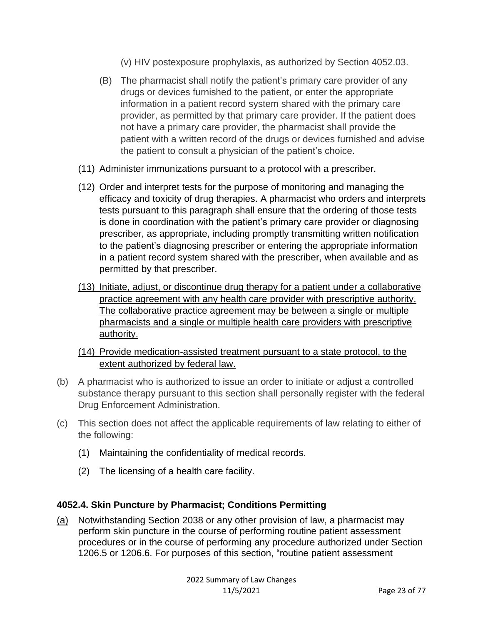- (v) HIV postexposure prophylaxis, as authorized by Section 4052.03.
- (B) The pharmacist shall notify the patient's primary care provider of any drugs or devices furnished to the patient, or enter the appropriate information in a patient record system shared with the primary care provider, as permitted by that primary care provider. If the patient does not have a primary care provider, the pharmacist shall provide the patient with a written record of the drugs or devices furnished and advise the patient to consult a physician of the patient's choice.
- (11) Administer immunizations pursuant to a protocol with a prescriber.
- (12) Order and interpret tests for the purpose of monitoring and managing the efficacy and toxicity of drug therapies. A pharmacist who orders and interprets tests pursuant to this paragraph shall ensure that the ordering of those tests is done in coordination with the patient's primary care provider or diagnosing prescriber, as appropriate, including promptly transmitting written notification to the patient's diagnosing prescriber or entering the appropriate information in a patient record system shared with the prescriber, when available and as permitted by that prescriber.
- (13) Initiate, adjust, or discontinue drug therapy for a patient under a collaborative practice agreement with any health care provider with prescriptive authority. The collaborative practice agreement may be between a single or multiple pharmacists and a single or multiple health care providers with prescriptive authority.
- (14) Provide medication-assisted treatment pursuant to a state protocol, to the extent authorized by federal law.
- (b) A pharmacist who is authorized to issue an order to initiate or adjust a controlled substance therapy pursuant to this section shall personally register with the federal Drug Enforcement Administration.
- (c) This section does not affect the applicable requirements of law relating to either of the following:
	- (1) Maintaining the confidentiality of medical records.
	- (2) The licensing of a health care facility.

#### **4052.4. Skin Puncture by Pharmacist; Conditions Permitting**

(a) Notwithstanding Section 2038 or any other provision of law, a pharmacist may perform skin puncture in the course of performing routine patient assessment procedures or in the course of performing any procedure authorized under Section 1206.5 or 1206.6. For purposes of this section, "routine patient assessment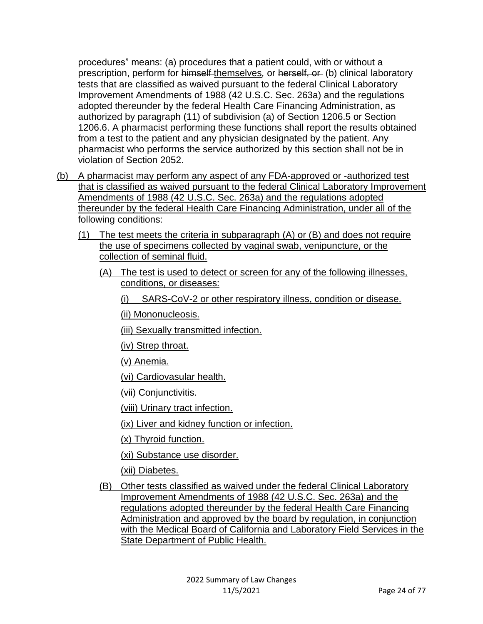procedures" means: (a) procedures that a patient could, with or without a prescription, perform for himself themselves*,* or herself, or (b) clinical laboratory tests that are classified as waived pursuant to the federal Clinical Laboratory Improvement Amendments of 1988 (42 U.S.C. Sec. 263a) and the regulations adopted thereunder by the federal Health Care Financing Administration, as authorized by paragraph (11) of subdivision (a) of Section 1206.5 or Section 1206.6. A pharmacist performing these functions shall report the results obtained from a test to the patient and any physician designated by the patient. Any pharmacist who performs the service authorized by this section shall not be in violation of Section 2052.

- (b) A pharmacist may perform any aspect of any FDA-approved or -authorized test that is classified as waived pursuant to the federal Clinical Laboratory Improvement Amendments of 1988 (42 U.S.C. Sec. 263a) and the regulations adopted thereunder by the federal Health Care Financing Administration, under all of the following conditions:
	- (1) The test meets the criteria in subparagraph (A) or (B) and does not require the use of specimens collected by vaginal swab, venipuncture, or the collection of seminal fluid.
		- (A) The test is used to detect or screen for any of the following illnesses, conditions, or diseases:
			- (i) SARS-CoV-2 or other respiratory illness, condition or disease.

(ii) Mononucleosis.

(iii) Sexually transmitted infection.

(iv) Strep throat.

(v) Anemia.

(vi) Cardiovasular health.

(vii) Conjunctivitis.

(viii) Urinary tract infection.

(ix) Liver and kidney function or infection.

(x) Thyroid function.

(xi) Substance use disorder.

(xii) Diabetes.

(B) Other tests classified as waived under the federal Clinical Laboratory Improvement Amendments of 1988 (42 U.S.C. Sec. 263a) and the regulations adopted thereunder by the federal Health Care Financing Administration and approved by the board by regulation, in conjunction with the Medical Board of California and Laboratory Field Services in the State Department of Public Health.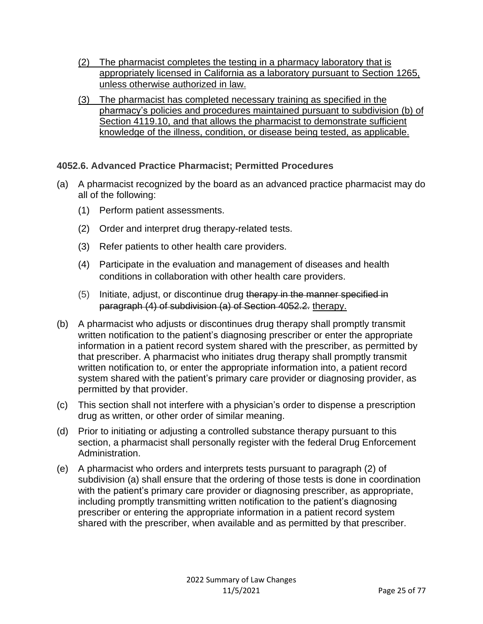- (2) The pharmacist completes the testing in a pharmacy laboratory that is appropriately licensed in California as a laboratory pursuant to Section 1265, unless otherwise authorized in law.
- (3) The pharmacist has completed necessary training as specified in the pharmacy's policies and procedures maintained pursuant to subdivision (b) of Section 4119.10, and that allows the pharmacist to demonstrate sufficient knowledge of the illness, condition, or disease being tested, as applicable.

# **4052.6. Advanced Practice Pharmacist; Permitted Procedures**

- (a) A pharmacist recognized by the board as an advanced practice pharmacist may do all of the following:
	- (1) Perform patient assessments.
	- (2) Order and interpret drug therapy-related tests.
	- (3) Refer patients to other health care providers.
	- (4) Participate in the evaluation and management of diseases and health conditions in collaboration with other health care providers.
	- (5) Initiate, adjust, or discontinue drug therapy in the manner specified in paragraph (4) of subdivision (a) of Section 4052.2. therapy.
- (b) A pharmacist who adjusts or discontinues drug therapy shall promptly transmit written notification to the patient's diagnosing prescriber or enter the appropriate information in a patient record system shared with the prescriber, as permitted by that prescriber. A pharmacist who initiates drug therapy shall promptly transmit written notification to, or enter the appropriate information into, a patient record system shared with the patient's primary care provider or diagnosing provider, as permitted by that provider.
- (c) This section shall not interfere with a physician's order to dispense a prescription drug as written, or other order of similar meaning.
- (d) Prior to initiating or adjusting a controlled substance therapy pursuant to this section, a pharmacist shall personally register with the federal Drug Enforcement Administration.
- (e) A pharmacist who orders and interprets tests pursuant to paragraph (2) of subdivision (a) shall ensure that the ordering of those tests is done in coordination with the patient's primary care provider or diagnosing prescriber, as appropriate, including promptly transmitting written notification to the patient's diagnosing prescriber or entering the appropriate information in a patient record system shared with the prescriber, when available and as permitted by that prescriber.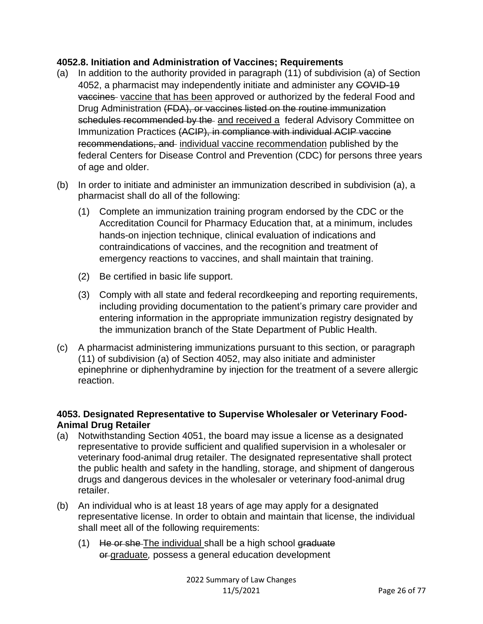#### **4052.8. Initiation and Administration of Vaccines; Requirements**

- (a) In addition to the authority provided in paragraph (11) of subdivision (a) of Section 4052, a pharmacist may independently initiate and administer any COVID-19 vaccines vaccine that has been approved or authorized by the federal Food and Drug Administration (FDA), or vaccines listed on the routine immunization schedules recommended by the and received a federal Advisory Committee on Immunization Practices (ACIP), in compliance with individual ACIP vaccine recommendations, and individual vaccine recommendation published by the federal Centers for Disease Control and Prevention (CDC) for persons three years of age and older.
- (b) In order to initiate and administer an immunization described in subdivision (a), a pharmacist shall do all of the following:
	- (1) Complete an immunization training program endorsed by the CDC or the Accreditation Council for Pharmacy Education that, at a minimum, includes hands-on injection technique, clinical evaluation of indications and contraindications of vaccines, and the recognition and treatment of emergency reactions to vaccines, and shall maintain that training.
	- (2) Be certified in basic life support.
	- (3) Comply with all state and federal recordkeeping and reporting requirements, including providing documentation to the patient's primary care provider and entering information in the appropriate immunization registry designated by the immunization branch of the State Department of Public Health.
- (c) A pharmacist administering immunizations pursuant to this section, or paragraph (11) of subdivision (a) of Section 4052, may also initiate and administer epinephrine or diphenhydramine by injection for the treatment of a severe allergic reaction.

#### **4053. Designated Representative to Supervise Wholesaler or Veterinary Food-Animal Drug Retailer**

- (a) Notwithstanding Section 4051, the board may issue a license as a designated representative to provide sufficient and qualified supervision in a wholesaler or veterinary food-animal drug retailer. The designated representative shall protect the public health and safety in the handling, storage, and shipment of dangerous drugs and dangerous devices in the wholesaler or veterinary food-animal drug retailer.
- (b) An individual who is at least 18 years of age may apply for a designated representative license. In order to obtain and maintain that license, the individual shall meet all of the following requirements:
	- $(1)$  He or she The individual shall be a high school graduate or graduate*,* possess a general education development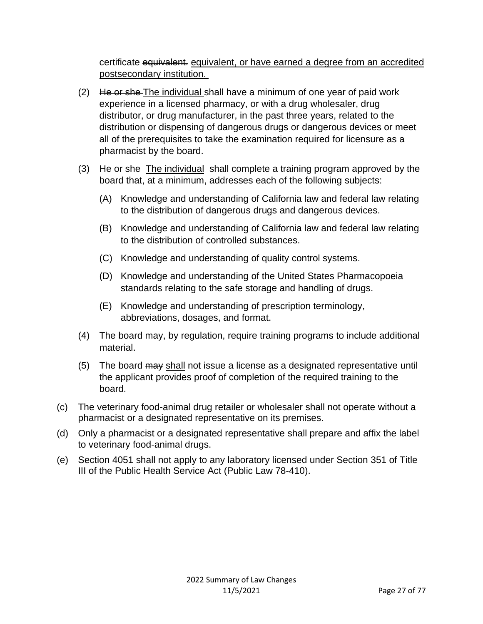certificate equivalent. equivalent, or have earned a degree from an accredited postsecondary institution.

- $(2)$  He or she The individual shall have a minimum of one year of paid work experience in a licensed pharmacy, or with a drug wholesaler, drug distributor, or drug manufacturer, in the past three years, related to the distribution or dispensing of dangerous drugs or dangerous devices or meet all of the prerequisites to take the examination required for licensure as a pharmacist by the board.
- (3) He or she The individual shall complete a training program approved by the board that, at a minimum, addresses each of the following subjects:
	- (A) Knowledge and understanding of California law and federal law relating to the distribution of dangerous drugs and dangerous devices.
	- (B) Knowledge and understanding of California law and federal law relating to the distribution of controlled substances.
	- (C) Knowledge and understanding of quality control systems.
	- (D) Knowledge and understanding of the United States Pharmacopoeia standards relating to the safe storage and handling of drugs.
	- (E) Knowledge and understanding of prescription terminology, abbreviations, dosages, and format.
- (4) The board may, by regulation, require training programs to include additional material.
- (5) The board may shall not issue a license as a designated representative until the applicant provides proof of completion of the required training to the board.
- (c) The veterinary food-animal drug retailer or wholesaler shall not operate without a pharmacist or a designated representative on its premises.
- (d) Only a pharmacist or a designated representative shall prepare and affix the label to veterinary food-animal drugs.
- (e) Section 4051 shall not apply to any laboratory licensed under Section 351 of Title III of the Public Health Service Act (Public Law 78-410).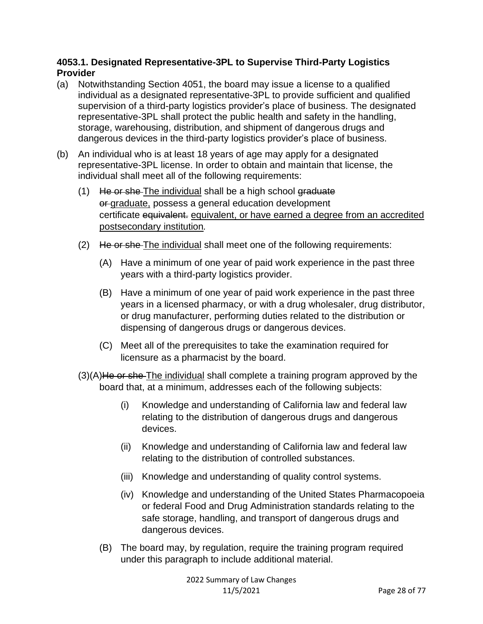#### **4053.1. Designated Representative-3PL to Supervise Third-Party Logistics Provider**

- (a) Notwithstanding Section 4051, the board may issue a license to a qualified individual as a designated representative-3PL to provide sufficient and qualified supervision of a third-party logistics provider's place of business. The designated representative-3PL shall protect the public health and safety in the handling, storage, warehousing, distribution, and shipment of dangerous drugs and dangerous devices in the third-party logistics provider's place of business.
- (b) An individual who is at least 18 years of age may apply for a designated representative-3PL license. In order to obtain and maintain that license, the individual shall meet all of the following requirements:
	- (1) He or she-The individual shall be a high school graduate or graduate, possess a general education development certificate equivalent. equivalent, or have earned a degree from an accredited postsecondary institution*.*
	- (2) He or she The individual shall meet one of the following requirements:
		- (A) Have a minimum of one year of paid work experience in the past three years with a third-party logistics provider.
		- (B) Have a minimum of one year of paid work experience in the past three years in a licensed pharmacy, or with a drug wholesaler, drug distributor, or drug manufacturer, performing duties related to the distribution or dispensing of dangerous drugs or dangerous devices.
		- (C) Meet all of the prerequisites to take the examination required for licensure as a pharmacist by the board.
	- $(3)(A)$ He or she The individual shall complete a training program approved by the board that, at a minimum, addresses each of the following subjects:
		- (i) Knowledge and understanding of California law and federal law relating to the distribution of dangerous drugs and dangerous devices.
		- (ii) Knowledge and understanding of California law and federal law relating to the distribution of controlled substances.
		- (iii) Knowledge and understanding of quality control systems.
		- (iv) Knowledge and understanding of the United States Pharmacopoeia or federal Food and Drug Administration standards relating to the safe storage, handling, and transport of dangerous drugs and dangerous devices.
		- (B) The board may, by regulation, require the training program required under this paragraph to include additional material.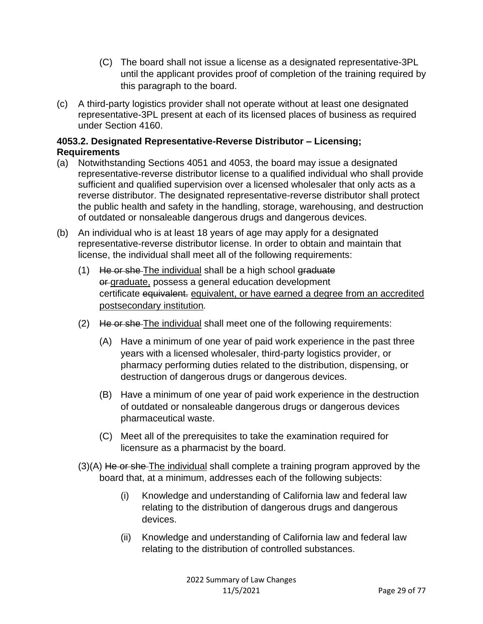- (C) The board shall not issue a license as a designated representative-3PL until the applicant provides proof of completion of the training required by this paragraph to the board.
- (c) A third-party logistics provider shall not operate without at least one designated representative-3PL present at each of its licensed places of business as required under Section 4160.

# **4053.2. Designated Representative-Reverse Distributor – Licensing; Requirements**

- (a) Notwithstanding Sections 4051 and 4053, the board may issue a designated representative-reverse distributor license to a qualified individual who shall provide sufficient and qualified supervision over a licensed wholesaler that only acts as a reverse distributor. The designated representative-reverse distributor shall protect the public health and safety in the handling, storage, warehousing, and destruction of outdated or nonsaleable dangerous drugs and dangerous devices.
- (b) An individual who is at least 18 years of age may apply for a designated representative-reverse distributor license. In order to obtain and maintain that license, the individual shall meet all of the following requirements:
	- (1) He or she-The individual shall be a high school graduate or graduate, possess a general education development certificate equivalent. equivalent, or have earned a degree from an accredited postsecondary institution*.*
	- (2) He or she The individual shall meet one of the following requirements:
		- (A) Have a minimum of one year of paid work experience in the past three years with a licensed wholesaler, third-party logistics provider, or pharmacy performing duties related to the distribution, dispensing, or destruction of dangerous drugs or dangerous devices.
		- (B) Have a minimum of one year of paid work experience in the destruction of outdated or nonsaleable dangerous drugs or dangerous devices pharmaceutical waste.
		- (C) Meet all of the prerequisites to take the examination required for licensure as a pharmacist by the board.
	- $(3)(A)$  He or she The individual shall complete a training program approved by the board that, at a minimum, addresses each of the following subjects:
		- (i) Knowledge and understanding of California law and federal law relating to the distribution of dangerous drugs and dangerous devices.
		- (ii) Knowledge and understanding of California law and federal law relating to the distribution of controlled substances.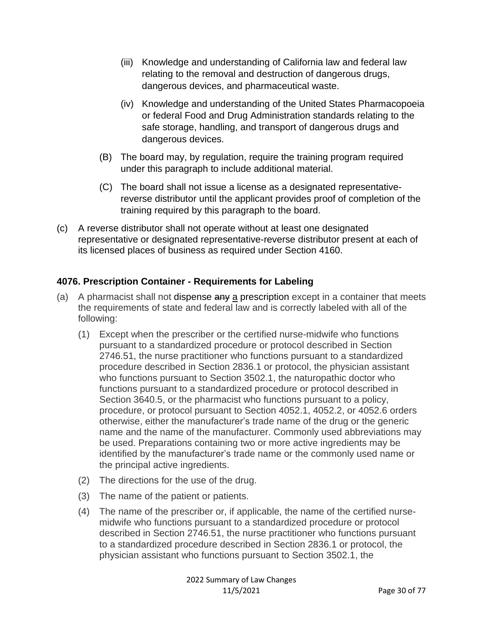- (iii) Knowledge and understanding of California law and federal law relating to the removal and destruction of dangerous drugs, dangerous devices, and pharmaceutical waste.
- (iv) Knowledge and understanding of the United States Pharmacopoeia or federal Food and Drug Administration standards relating to the safe storage, handling, and transport of dangerous drugs and dangerous devices.
- (B) The board may, by regulation, require the training program required under this paragraph to include additional material.
- (C) The board shall not issue a license as a designated representativereverse distributor until the applicant provides proof of completion of the training required by this paragraph to the board.
- (c) A reverse distributor shall not operate without at least one designated representative or designated representative-reverse distributor present at each of its licensed places of business as required under Section 4160.

# **4076. Prescription Container - Requirements for Labeling**

- (a) A pharmacist shall not dispense any a prescription except in a container that meets the requirements of state and federal law and is correctly labeled with all of the following:
	- (1) Except when the prescriber or the certified nurse-midwife who functions pursuant to a standardized procedure or protocol described in Section 2746.51, the nurse practitioner who functions pursuant to a standardized procedure described in Section 2836.1 or protocol, the physician assistant who functions pursuant to Section 3502.1, the naturopathic doctor who functions pursuant to a standardized procedure or protocol described in Section 3640.5, or the pharmacist who functions pursuant to a policy, procedure, or protocol pursuant to Section 4052.1, 4052.2, or 4052.6 orders otherwise, either the manufacturer's trade name of the drug or the generic name and the name of the manufacturer. Commonly used abbreviations may be used. Preparations containing two or more active ingredients may be identified by the manufacturer's trade name or the commonly used name or the principal active ingredients.
	- (2) The directions for the use of the drug.
	- (3) The name of the patient or patients.
	- (4) The name of the prescriber or, if applicable, the name of the certified nursemidwife who functions pursuant to a standardized procedure or protocol described in Section 2746.51, the nurse practitioner who functions pursuant to a standardized procedure described in Section 2836.1 or protocol, the physician assistant who functions pursuant to Section 3502.1, the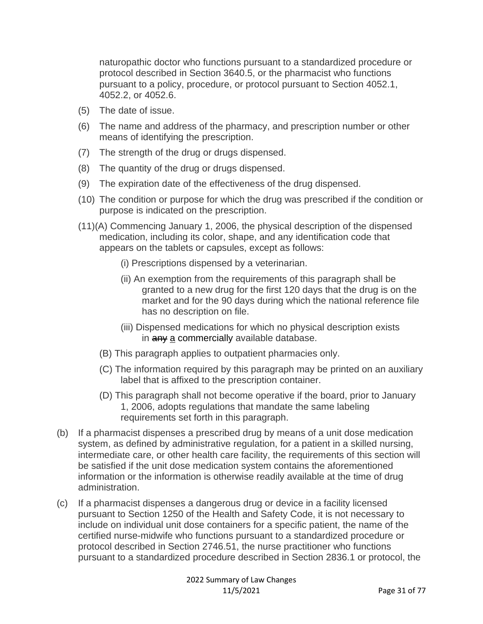naturopathic doctor who functions pursuant to a standardized procedure or protocol described in Section 3640.5, or the pharmacist who functions pursuant to a policy, procedure, or protocol pursuant to Section 4052.1, 4052.2, or 4052.6.

- (5) The date of issue.
- (6) The name and address of the pharmacy, and prescription number or other means of identifying the prescription.
- (7) The strength of the drug or drugs dispensed.
- (8) The quantity of the drug or drugs dispensed.
- (9) The expiration date of the effectiveness of the drug dispensed.
- (10) The condition or purpose for which the drug was prescribed if the condition or purpose is indicated on the prescription.
- (11)(A) Commencing January 1, 2006, the physical description of the dispensed medication, including its color, shape, and any identification code that appears on the tablets or capsules, except as follows:
	- (i) Prescriptions dispensed by a veterinarian.
	- (ii) An exemption from the requirements of this paragraph shall be granted to a new drug for the first 120 days that the drug is on the market and for the 90 days during which the national reference file has no description on file.
	- (iii) Dispensed medications for which no physical description exists in any a commercially available database.
	- (B) This paragraph applies to outpatient pharmacies only.
	- (C) The information required by this paragraph may be printed on an auxiliary label that is affixed to the prescription container.
	- (D) This paragraph shall not become operative if the board, prior to January 1, 2006, adopts regulations that mandate the same labeling requirements set forth in this paragraph.
- (b) If a pharmacist dispenses a prescribed drug by means of a unit dose medication system, as defined by administrative regulation, for a patient in a skilled nursing, intermediate care, or other health care facility, the requirements of this section will be satisfied if the unit dose medication system contains the aforementioned information or the information is otherwise readily available at the time of drug administration.
- (c) If a pharmacist dispenses a dangerous drug or device in a facility licensed pursuant to Section 1250 of the Health and Safety Code, it is not necessary to include on individual unit dose containers for a specific patient, the name of the certified nurse-midwife who functions pursuant to a standardized procedure or protocol described in Section 2746.51, the nurse practitioner who functions pursuant to a standardized procedure described in Section 2836.1 or protocol, the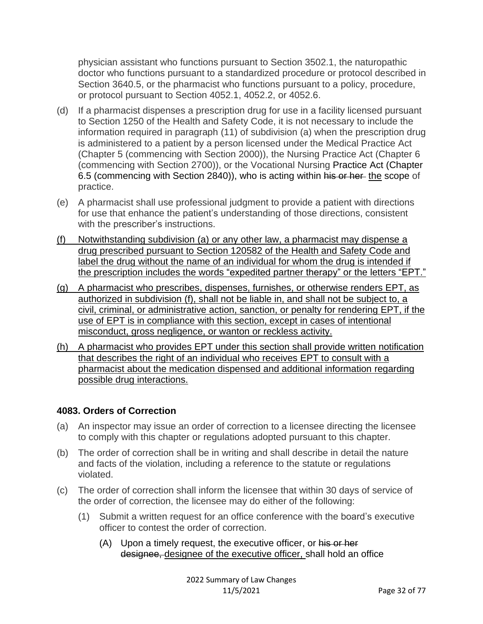physician assistant who functions pursuant to Section 3502.1, the naturopathic doctor who functions pursuant to a standardized procedure or protocol described in Section 3640.5, or the pharmacist who functions pursuant to a policy, procedure, or protocol pursuant to Section 4052.1, 4052.2, or 4052.6.

- (d) If a pharmacist dispenses a prescription drug for use in a facility licensed pursuant to Section 1250 of the Health and Safety Code, it is not necessary to include the information required in paragraph (11) of subdivision (a) when the prescription drug is administered to a patient by a person licensed under the Medical Practice Act (Chapter 5 (commencing with Section 2000)), the Nursing Practice Act (Chapter 6 (commencing with Section 2700)), or the Vocational Nursing Practice Act (Chapter 6.5 (commencing with Section 2840)), who is acting within his or her the scope of practice.
- (e) A pharmacist shall use professional judgment to provide a patient with directions for use that enhance the patient's understanding of those directions, consistent with the prescriber's instructions.
- (f) Notwithstanding subdivision (a) or any other law, a pharmacist may dispense a drug prescribed pursuant to Section 120582 of the Health and Safety Code and label the drug without the name of an individual for whom the drug is intended if the prescription includes the words "expedited partner therapy" or the letters "EPT."
- (g) A pharmacist who prescribes, dispenses, furnishes, or otherwise renders EPT, as authorized in subdivision (f), shall not be liable in, and shall not be subject to, a civil, criminal, or administrative action, sanction, or penalty for rendering EPT, if the use of EPT is in compliance with this section, except in cases of intentional misconduct, gross negligence, or wanton or reckless activity.
- (h) A pharmacist who provides EPT under this section shall provide written notification that describes the right of an individual who receives EPT to consult with a pharmacist about the medication dispensed and additional information regarding possible drug interactions.

# **4083. Orders of Correction**

- (a) An inspector may issue an order of correction to a licensee directing the licensee to comply with this chapter or regulations adopted pursuant to this chapter.
- (b) The order of correction shall be in writing and shall describe in detail the nature and facts of the violation, including a reference to the statute or regulations violated.
- (c) The order of correction shall inform the licensee that within 30 days of service of the order of correction, the licensee may do either of the following:
	- (1) Submit a written request for an office conference with the board's executive officer to contest the order of correction.
		- (A) Upon a timely request, the executive officer, or his or her designee, designee of the executive officer, shall hold an office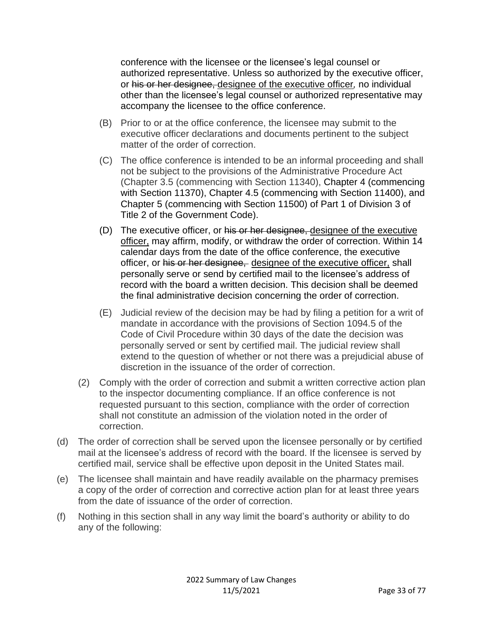conference with the licensee or the licensee's legal counsel or authorized representative. Unless so authorized by the executive officer, or his or her designee, designee of the executive officer*,* no individual other than the licensee's legal counsel or authorized representative may accompany the licensee to the office conference.

- (B) Prior to or at the office conference, the licensee may submit to the executive officer declarations and documents pertinent to the subject matter of the order of correction.
- (C) The office conference is intended to be an informal proceeding and shall not be subject to the provisions of the Administrative Procedure Act (Chapter 3.5 (commencing with Section 11340), Chapter 4 (commencing with Section 11370), Chapter 4.5 (commencing with Section 11400), and Chapter 5 (commencing with Section 11500) of Part 1 of Division 3 of Title 2 of the Government Code).
- (D) The executive officer, or his or her designee, designee of the executive officer, may affirm, modify, or withdraw the order of correction. Within 14 calendar days from the date of the office conference, the executive officer, or his or her designee, designee of the executive officer, shall personally serve or send by certified mail to the licensee's address of record with the board a written decision. This decision shall be deemed the final administrative decision concerning the order of correction.
- (E) Judicial review of the decision may be had by filing a petition for a writ of mandate in accordance with the provisions of Section 1094.5 of the Code of Civil Procedure within 30 days of the date the decision was personally served or sent by certified mail. The judicial review shall extend to the question of whether or not there was a prejudicial abuse of discretion in the issuance of the order of correction.
- (2) Comply with the order of correction and submit a written corrective action plan to the inspector documenting compliance. If an office conference is not requested pursuant to this section, compliance with the order of correction shall not constitute an admission of the violation noted in the order of correction.
- (d) The order of correction shall be served upon the licensee personally or by certified mail at the licensee's address of record with the board. If the licensee is served by certified mail, service shall be effective upon deposit in the United States mail.
- (e) The licensee shall maintain and have readily available on the pharmacy premises a copy of the order of correction and corrective action plan for at least three years from the date of issuance of the order of correction.
- (f) Nothing in this section shall in any way limit the board's authority or ability to do any of the following: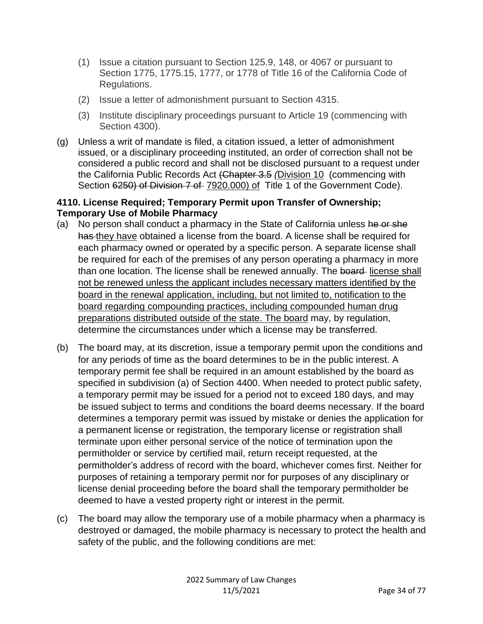- (1) Issue a citation pursuant to Section 125.9, 148, or 4067 or pursuant to Section 1775, 1775.15, 1777, or 1778 of Title 16 of the California Code of Regulations.
- (2) Issue a letter of admonishment pursuant to Section 4315.
- (3) Institute disciplinary proceedings pursuant to Article 19 (commencing with Section 4300).
- (g) Unless a writ of mandate is filed, a citation issued, a letter of admonishment issued, or a disciplinary proceeding instituted, an order of correction shall not be considered a public record and shall not be disclosed pursuant to a request under the California Public Records Act (Chapter 3.5 *(*Division 10 (commencing with Section 6250) of Division 7 of 7920.000) of Title 1 of the Government Code).

#### **4110. License Required; Temporary Permit upon Transfer of Ownership; Temporary Use of Mobile Pharmacy**

- (a) No person shall conduct a pharmacy in the State of California unless he or she has they have obtained a license from the board. A license shall be required for each pharmacy owned or operated by a specific person. A separate license shall be required for each of the premises of any person operating a pharmacy in more than one location. The license shall be renewed annually. The board-license shall not be renewed unless the applicant includes necessary matters identified by the board in the renewal application, including, but not limited to, notification to the board regarding compounding practices, including compounded human drug preparations distributed outside of the state. The board may, by regulation, determine the circumstances under which a license may be transferred.
- (b) The board may, at its discretion, issue a temporary permit upon the conditions and for any periods of time as the board determines to be in the public interest. A temporary permit fee shall be required in an amount established by the board as specified in subdivision (a) of Section 4400. When needed to protect public safety, a temporary permit may be issued for a period not to exceed 180 days, and may be issued subject to terms and conditions the board deems necessary. If the board determines a temporary permit was issued by mistake or denies the application for a permanent license or registration, the temporary license or registration shall terminate upon either personal service of the notice of termination upon the permitholder or service by certified mail, return receipt requested, at the permitholder's address of record with the board, whichever comes first. Neither for purposes of retaining a temporary permit nor for purposes of any disciplinary or license denial proceeding before the board shall the temporary permitholder be deemed to have a vested property right or interest in the permit.
- (c) The board may allow the temporary use of a mobile pharmacy when a pharmacy is destroyed or damaged, the mobile pharmacy is necessary to protect the health and safety of the public, and the following conditions are met: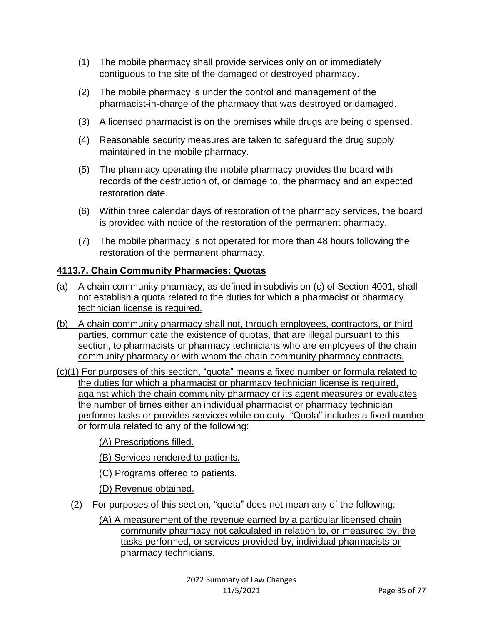- (1) The mobile pharmacy shall provide services only on or immediately contiguous to the site of the damaged or destroyed pharmacy.
- (2) The mobile pharmacy is under the control and management of the pharmacist-in-charge of the pharmacy that was destroyed or damaged.
- (3) A licensed pharmacist is on the premises while drugs are being dispensed.
- (4) Reasonable security measures are taken to safeguard the drug supply maintained in the mobile pharmacy.
- (5) The pharmacy operating the mobile pharmacy provides the board with records of the destruction of, or damage to, the pharmacy and an expected restoration date.
- (6) Within three calendar days of restoration of the pharmacy services, the board is provided with notice of the restoration of the permanent pharmacy.
- (7) The mobile pharmacy is not operated for more than 48 hours following the restoration of the permanent pharmacy.

# **4113.7. Chain Community Pharmacies: Quotas**

- (a) A chain community pharmacy, as defined in subdivision (c) of Section 4001, shall not establish a quota related to the duties for which a pharmacist or pharmacy technician license is required.
- (b) A chain community pharmacy shall not, through employees, contractors, or third parties, communicate the existence of quotas, that are illegal pursuant to this section, to pharmacists or pharmacy technicians who are employees of the chain community pharmacy or with whom the chain community pharmacy contracts.
- (c)(1) For purposes of this section, "quota" means a fixed number or formula related to the duties for which a pharmacist or pharmacy technician license is required, against which the chain community pharmacy or its agent measures or evaluates the number of times either an individual pharmacist or pharmacy technician performs tasks or provides services while on duty. "Quota" includes a fixed number or formula related to any of the following:

(A) Prescriptions filled.

- (B) Services rendered to patients.
- (C) Programs offered to patients.
- (D) Revenue obtained.
- (2) For purposes of this section, "quota" does not mean any of the following:
	- (A) A measurement of the revenue earned by a particular licensed chain community pharmacy not calculated in relation to, or measured by, the tasks performed, or services provided by, individual pharmacists or pharmacy technicians.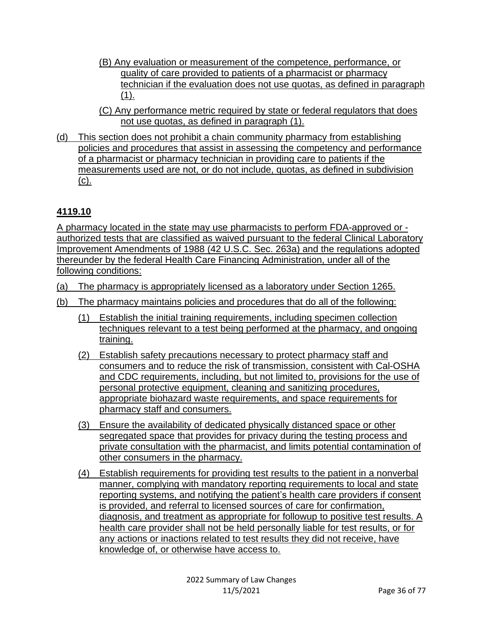- (B) Any evaluation or measurement of the competence, performance, or quality of care provided to patients of a pharmacist or pharmacy technician if the evaluation does not use quotas, as defined in paragraph (1).
- (C) Any performance metric required by state or federal regulators that does not use quotas, as defined in paragraph (1).
- (d) This section does not prohibit a chain community pharmacy from establishing policies and procedures that assist in assessing the competency and performance of a pharmacist or pharmacy technician in providing care to patients if the measurements used are not, or do not include, quotas, as defined in subdivision (c).

# **4119.10**

A pharmacy located in the state may use pharmacists to perform FDA-approved or authorized tests that are classified as waived pursuant to the federal Clinical Laboratory Improvement Amendments of 1988 (42 U.S.C. Sec. 263a) and the regulations adopted thereunder by the federal Health Care Financing Administration, under all of the following conditions:

- (a) The pharmacy is appropriately licensed as a laboratory under Section 1265.
- (b) The pharmacy maintains policies and procedures that do all of the following:
	- (1) Establish the initial training requirements, including specimen collection techniques relevant to a test being performed at the pharmacy, and ongoing training.
	- (2) Establish safety precautions necessary to protect pharmacy staff and consumers and to reduce the risk of transmission, consistent with Cal-OSHA and CDC requirements, including, but not limited to, provisions for the use of personal protective equipment, cleaning and sanitizing procedures, appropriate biohazard waste requirements, and space requirements for pharmacy staff and consumers.
	- (3) Ensure the availability of dedicated physically distanced space or other segregated space that provides for privacy during the testing process and private consultation with the pharmacist, and limits potential contamination of other consumers in the pharmacy.
	- (4) Establish requirements for providing test results to the patient in a nonverbal manner, complying with mandatory reporting requirements to local and state reporting systems, and notifying the patient's health care providers if consent is provided, and referral to licensed sources of care for confirmation, diagnosis, and treatment as appropriate for followup to positive test results. A health care provider shall not be held personally liable for test results, or for any actions or inactions related to test results they did not receive, have knowledge of, or otherwise have access to.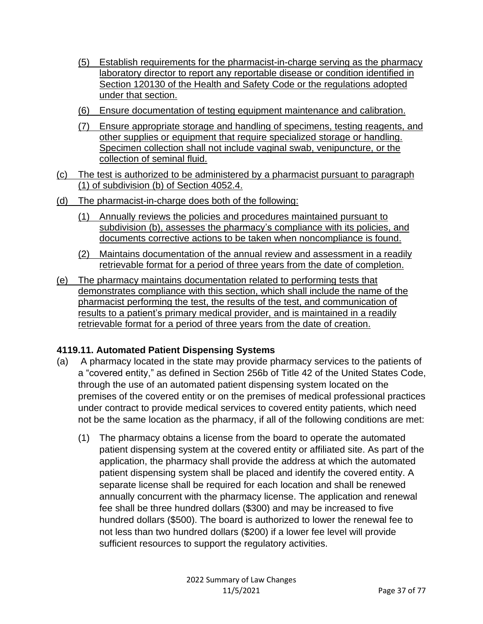- (5) Establish requirements for the pharmacist-in-charge serving as the pharmacy laboratory director to report any reportable disease or condition identified in Section 120130 of the Health and Safety Code or the regulations adopted under that section.
- (6) Ensure documentation of testing equipment maintenance and calibration.
- (7) Ensure appropriate storage and handling of specimens, testing reagents, and other supplies or equipment that require specialized storage or handling. Specimen collection shall not include vaginal swab, venipuncture, or the collection of seminal fluid.
- (c) The test is authorized to be administered by a pharmacist pursuant to paragraph (1) of subdivision (b) of Section 4052.4.
- (d) The pharmacist-in-charge does both of the following:
	- (1) Annually reviews the policies and procedures maintained pursuant to subdivision (b), assesses the pharmacy's compliance with its policies, and documents corrective actions to be taken when noncompliance is found.
	- (2) Maintains documentation of the annual review and assessment in a readily retrievable format for a period of three years from the date of completion.
- (e) The pharmacy maintains documentation related to performing tests that demonstrates compliance with this section, which shall include the name of the pharmacist performing the test, the results of the test, and communication of results to a patient's primary medical provider, and is maintained in a readily retrievable format for a period of three years from the date of creation.

### **4119.11. Automated Patient Dispensing Systems**

- (a) A pharmacy located in the state may provide pharmacy services to the patients of a "covered entity," as defined in Section 256b of Title 42 of the United States Code, through the use of an automated patient dispensing system located on the premises of the covered entity or on the premises of medical professional practices under contract to provide medical services to covered entity patients, which need not be the same location as the pharmacy, if all of the following conditions are met:
	- (1) The pharmacy obtains a license from the board to operate the automated patient dispensing system at the covered entity or affiliated site. As part of the application, the pharmacy shall provide the address at which the automated patient dispensing system shall be placed and identify the covered entity. A separate license shall be required for each location and shall be renewed annually concurrent with the pharmacy license. The application and renewal fee shall be three hundred dollars (\$300) and may be increased to five hundred dollars (\$500). The board is authorized to lower the renewal fee to not less than two hundred dollars (\$200) if a lower fee level will provide sufficient resources to support the regulatory activities.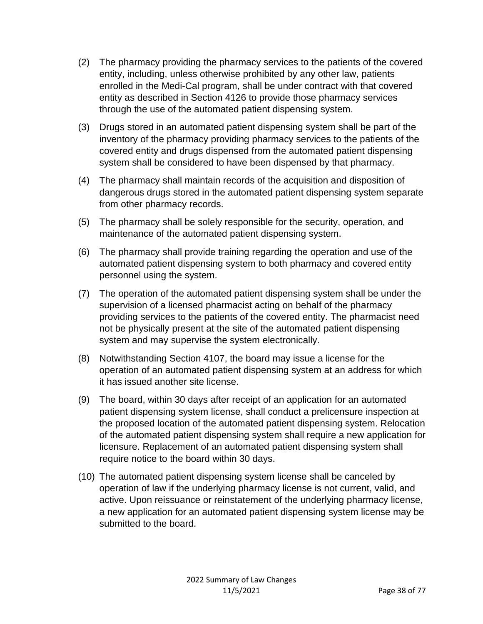- (2) The pharmacy providing the pharmacy services to the patients of the covered entity, including, unless otherwise prohibited by any other law, patients enrolled in the Medi-Cal program, shall be under contract with that covered entity as described in Section 4126 to provide those pharmacy services through the use of the automated patient dispensing system.
- (3) Drugs stored in an automated patient dispensing system shall be part of the inventory of the pharmacy providing pharmacy services to the patients of the covered entity and drugs dispensed from the automated patient dispensing system shall be considered to have been dispensed by that pharmacy.
- (4) The pharmacy shall maintain records of the acquisition and disposition of dangerous drugs stored in the automated patient dispensing system separate from other pharmacy records.
- (5) The pharmacy shall be solely responsible for the security, operation, and maintenance of the automated patient dispensing system.
- (6) The pharmacy shall provide training regarding the operation and use of the automated patient dispensing system to both pharmacy and covered entity personnel using the system.
- (7) The operation of the automated patient dispensing system shall be under the supervision of a licensed pharmacist acting on behalf of the pharmacy providing services to the patients of the covered entity. The pharmacist need not be physically present at the site of the automated patient dispensing system and may supervise the system electronically.
- (8) Notwithstanding Section 4107, the board may issue a license for the operation of an automated patient dispensing system at an address for which it has issued another site license.
- (9) The board, within 30 days after receipt of an application for an automated patient dispensing system license, shall conduct a prelicensure inspection at the proposed location of the automated patient dispensing system. Relocation of the automated patient dispensing system shall require a new application for licensure. Replacement of an automated patient dispensing system shall require notice to the board within 30 days.
- (10) The automated patient dispensing system license shall be canceled by operation of law if the underlying pharmacy license is not current, valid, and active. Upon reissuance or reinstatement of the underlying pharmacy license, a new application for an automated patient dispensing system license may be submitted to the board.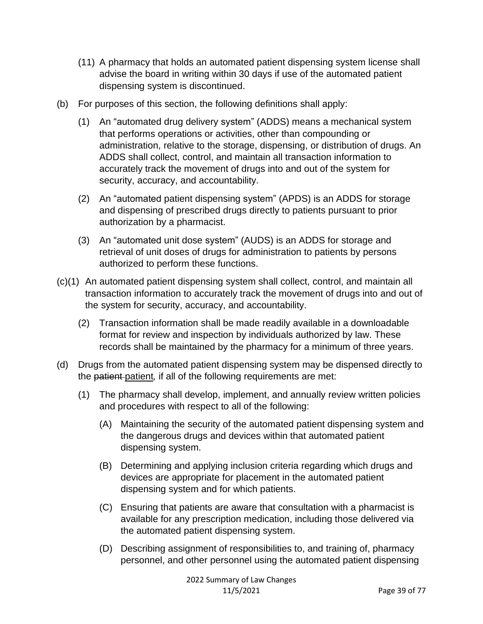- (11) A pharmacy that holds an automated patient dispensing system license shall advise the board in writing within 30 days if use of the automated patient dispensing system is discontinued.
- (b) For purposes of this section, the following definitions shall apply:
	- (1) An "automated drug delivery system" (ADDS) means a mechanical system that performs operations or activities, other than compounding or administration, relative to the storage, dispensing, or distribution of drugs. An ADDS shall collect, control, and maintain all transaction information to accurately track the movement of drugs into and out of the system for security, accuracy, and accountability.
	- (2) An "automated patient dispensing system" (APDS) is an ADDS for storage and dispensing of prescribed drugs directly to patients pursuant to prior authorization by a pharmacist.
	- (3) An "automated unit dose system" (AUDS) is an ADDS for storage and retrieval of unit doses of drugs for administration to patients by persons authorized to perform these functions.
- (c)(1) An automated patient dispensing system shall collect, control, and maintain all transaction information to accurately track the movement of drugs into and out of the system for security, accuracy, and accountability.
	- (2) Transaction information shall be made readily available in a downloadable format for review and inspection by individuals authorized by law. These records shall be maintained by the pharmacy for a minimum of three years.
- (d) Drugs from the automated patient dispensing system may be dispensed directly to the patient patient*,* if all of the following requirements are met:
	- (1) The pharmacy shall develop, implement, and annually review written policies and procedures with respect to all of the following:
		- (A) Maintaining the security of the automated patient dispensing system and the dangerous drugs and devices within that automated patient dispensing system.
		- (B) Determining and applying inclusion criteria regarding which drugs and devices are appropriate for placement in the automated patient dispensing system and for which patients.
		- (C) Ensuring that patients are aware that consultation with a pharmacist is available for any prescription medication, including those delivered via the automated patient dispensing system.
		- (D) Describing assignment of responsibilities to, and training of, pharmacy personnel, and other personnel using the automated patient dispensing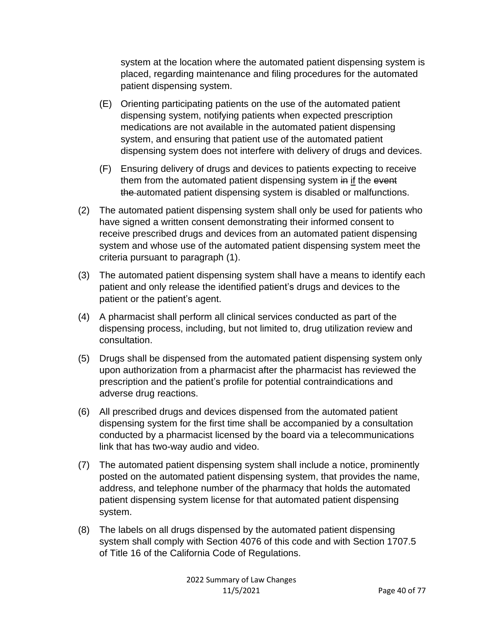system at the location where the automated patient dispensing system is placed, regarding maintenance and filing procedures for the automated patient dispensing system.

- (E) Orienting participating patients on the use of the automated patient dispensing system, notifying patients when expected prescription medications are not available in the automated patient dispensing system, and ensuring that patient use of the automated patient dispensing system does not interfere with delivery of drugs and devices.
- (F) Ensuring delivery of drugs and devices to patients expecting to receive them from the automated patient dispensing system in if the event the automated patient dispensing system is disabled or malfunctions.
- (2) The automated patient dispensing system shall only be used for patients who have signed a written consent demonstrating their informed consent to receive prescribed drugs and devices from an automated patient dispensing system and whose use of the automated patient dispensing system meet the criteria pursuant to paragraph (1).
- (3) The automated patient dispensing system shall have a means to identify each patient and only release the identified patient's drugs and devices to the patient or the patient's agent.
- (4) A pharmacist shall perform all clinical services conducted as part of the dispensing process, including, but not limited to, drug utilization review and consultation.
- (5) Drugs shall be dispensed from the automated patient dispensing system only upon authorization from a pharmacist after the pharmacist has reviewed the prescription and the patient's profile for potential contraindications and adverse drug reactions.
- (6) All prescribed drugs and devices dispensed from the automated patient dispensing system for the first time shall be accompanied by a consultation conducted by a pharmacist licensed by the board via a telecommunications link that has two-way audio and video.
- (7) The automated patient dispensing system shall include a notice, prominently posted on the automated patient dispensing system, that provides the name, address, and telephone number of the pharmacy that holds the automated patient dispensing system license for that automated patient dispensing system.
- (8) The labels on all drugs dispensed by the automated patient dispensing system shall comply with Section 4076 of this code and with Section 1707.5 of Title 16 of the California Code of Regulations.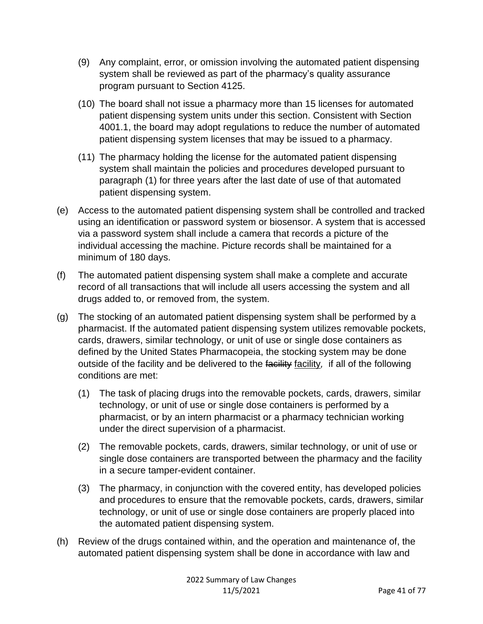- (9) Any complaint, error, or omission involving the automated patient dispensing system shall be reviewed as part of the pharmacy's quality assurance program pursuant to Section 4125.
- (10) The board shall not issue a pharmacy more than 15 licenses for automated patient dispensing system units under this section. Consistent with Section 4001.1, the board may adopt regulations to reduce the number of automated patient dispensing system licenses that may be issued to a pharmacy.
- (11) The pharmacy holding the license for the automated patient dispensing system shall maintain the policies and procedures developed pursuant to paragraph (1) for three years after the last date of use of that automated patient dispensing system.
- (e) Access to the automated patient dispensing system shall be controlled and tracked using an identification or password system or biosensor. A system that is accessed via a password system shall include a camera that records a picture of the individual accessing the machine. Picture records shall be maintained for a minimum of 180 days.
- (f) The automated patient dispensing system shall make a complete and accurate record of all transactions that will include all users accessing the system and all drugs added to, or removed from, the system.
- (g) The stocking of an automated patient dispensing system shall be performed by a pharmacist. If the automated patient dispensing system utilizes removable pockets, cards, drawers, similar technology, or unit of use or single dose containers as defined by the United States Pharmacopeia, the stocking system may be done outside of the facility and be delivered to the facility facility*,* if all of the following conditions are met:
	- (1) The task of placing drugs into the removable pockets, cards, drawers, similar technology, or unit of use or single dose containers is performed by a pharmacist, or by an intern pharmacist or a pharmacy technician working under the direct supervision of a pharmacist.
	- (2) The removable pockets, cards, drawers, similar technology, or unit of use or single dose containers are transported between the pharmacy and the facility in a secure tamper-evident container.
	- (3) The pharmacy, in conjunction with the covered entity, has developed policies and procedures to ensure that the removable pockets, cards, drawers, similar technology, or unit of use or single dose containers are properly placed into the automated patient dispensing system.
- (h) Review of the drugs contained within, and the operation and maintenance of, the automated patient dispensing system shall be done in accordance with law and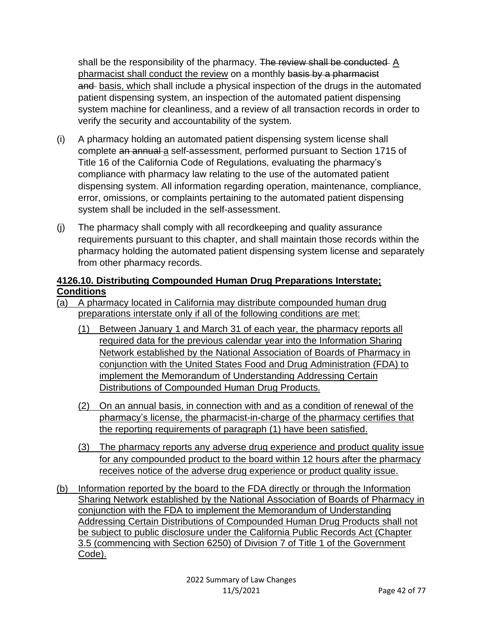shall be the responsibility of the pharmacy. The review shall be conducted A pharmacist shall conduct the review on a monthly basis by a pharmacist and basis, which shall include a physical inspection of the drugs in the automated patient dispensing system, an inspection of the automated patient dispensing system machine for cleanliness, and a review of all transaction records in order to verify the security and accountability of the system.

- (i) A pharmacy holding an automated patient dispensing system license shall complete an annual a self-assessment, performed pursuant to Section 1715 of Title 16 of the California Code of Regulations, evaluating the pharmacy's compliance with pharmacy law relating to the use of the automated patient dispensing system. All information regarding operation, maintenance, compliance, error, omissions, or complaints pertaining to the automated patient dispensing system shall be included in the self-assessment.
- (j) The pharmacy shall comply with all recordkeeping and quality assurance requirements pursuant to this chapter, and shall maintain those records within the pharmacy holding the automated patient dispensing system license and separately from other pharmacy records.

### **4126.10. Distributing Compounded Human Drug Preparations Interstate; Conditions**

- (a) A pharmacy located in California may distribute compounded human drug preparations interstate only if all of the following conditions are met:
	- (1) Between January 1 and March 31 of each year, the pharmacy reports all required data for the previous calendar year into the Information Sharing Network established by the National Association of Boards of Pharmacy in conjunction with the United States Food and Drug Administration (FDA) to implement the Memorandum of Understanding Addressing Certain Distributions of Compounded Human Drug Products.
	- (2) On an annual basis, in connection with and as a condition of renewal of the pharmacy's license, the pharmacist-in-charge of the pharmacy certifies that the reporting requirements of paragraph (1) have been satisfied.
	- (3) The pharmacy reports any adverse drug experience and product quality issue for any compounded product to the board within 12 hours after the pharmacy receives notice of the adverse drug experience or product quality issue.
- (b) Information reported by the board to the FDA directly or through the Information Sharing Network established by the National Association of Boards of Pharmacy in conjunction with the FDA to implement the Memorandum of Understanding Addressing Certain Distributions of Compounded Human Drug Products shall not be subject to public disclosure under the California Public Records Act (Chapter 3.5 (commencing with Section 6250) of Division 7 of Title 1 of the Government Code).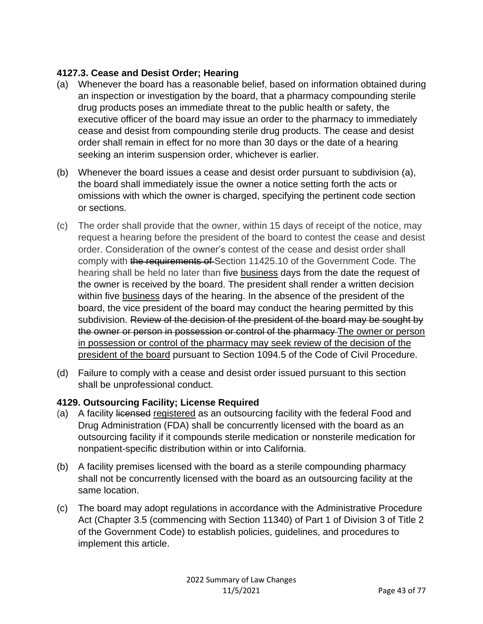### **4127.3. Cease and Desist Order; Hearing**

- (a) Whenever the board has a reasonable belief, based on information obtained during an inspection or investigation by the board, that a pharmacy compounding sterile drug products poses an immediate threat to the public health or safety, the executive officer of the board may issue an order to the pharmacy to immediately cease and desist from compounding sterile drug products. The cease and desist order shall remain in effect for no more than 30 days or the date of a hearing seeking an interim suspension order, whichever is earlier.
- (b) Whenever the board issues a cease and desist order pursuant to subdivision (a), the board shall immediately issue the owner a notice setting forth the acts or omissions with which the owner is charged, specifying the pertinent code section or sections.
- (c) The order shall provide that the owner, within 15 days of receipt of the notice, may request a hearing before the president of the board to contest the cease and desist order. Consideration of the owner's contest of the cease and desist order shall comply with the requirements of Section 11425.10 of the Government Code. The hearing shall be held no later than five business days from the date the request of the owner is received by the board. The president shall render a written decision within five business days of the hearing. In the absence of the president of the board, the vice president of the board may conduct the hearing permitted by this subdivision. Review of the decision of the president of the board may be sought by the owner or person in possession or control of the pharmacy The owner or person in possession or control of the pharmacy may seek review of the decision of the president of the board pursuant to Section 1094.5 of the Code of Civil Procedure.
- (d) Failure to comply with a cease and desist order issued pursuant to this section shall be unprofessional conduct.

### **4129. Outsourcing Facility; License Required**

- (a) A facility licensed registered as an outsourcing facility with the federal Food and Drug Administration (FDA) shall be concurrently licensed with the board as an outsourcing facility if it compounds sterile medication or nonsterile medication for nonpatient-specific distribution within or into California.
- (b) A facility premises licensed with the board as a sterile compounding pharmacy shall not be concurrently licensed with the board as an outsourcing facility at the same location.
- (c) The board may adopt regulations in accordance with the Administrative Procedure Act (Chapter 3.5 (commencing with Section 11340) of Part 1 of Division 3 of Title 2 of the Government Code) to establish policies, guidelines, and procedures to implement this article.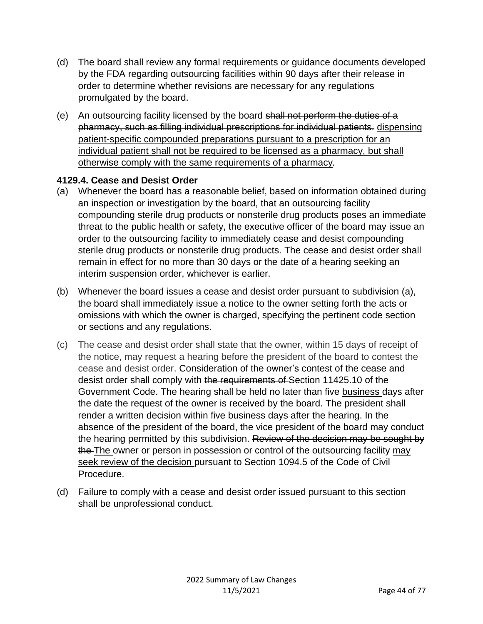- (d) The board shall review any formal requirements or guidance documents developed by the FDA regarding outsourcing facilities within 90 days after their release in order to determine whether revisions are necessary for any regulations promulgated by the board.
- (e) An outsourcing facility licensed by the board shall not perform the duties of a pharmacy, such as filling individual prescriptions for individual patients. dispensing patient-specific compounded preparations pursuant to a prescription for an individual patient shall not be required to be licensed as a pharmacy, but shall otherwise comply with the same requirements of a pharmacy*.*

#### **4129.4. Cease and Desist Order**

- (a) Whenever the board has a reasonable belief, based on information obtained during an inspection or investigation by the board, that an outsourcing facility compounding sterile drug products or nonsterile drug products poses an immediate threat to the public health or safety, the executive officer of the board may issue an order to the outsourcing facility to immediately cease and desist compounding sterile drug products or nonsterile drug products. The cease and desist order shall remain in effect for no more than 30 days or the date of a hearing seeking an interim suspension order, whichever is earlier.
- (b) Whenever the board issues a cease and desist order pursuant to subdivision (a), the board shall immediately issue a notice to the owner setting forth the acts or omissions with which the owner is charged, specifying the pertinent code section or sections and any regulations.
- (c) The cease and desist order shall state that the owner, within 15 days of receipt of the notice, may request a hearing before the president of the board to contest the cease and desist order. Consideration of the owner's contest of the cease and desist order shall comply with the requirements of Section 11425.10 of the Government Code. The hearing shall be held no later than five business days after the date the request of the owner is received by the board. The president shall render a written decision within five business days after the hearing. In the absence of the president of the board, the vice president of the board may conduct the hearing permitted by this subdivision. Review of the decision may be sought by the The owner or person in possession or control of the outsourcing facility may seek review of the decision pursuant to Section 1094.5 of the Code of Civil Procedure.
- (d) Failure to comply with a cease and desist order issued pursuant to this section shall be unprofessional conduct.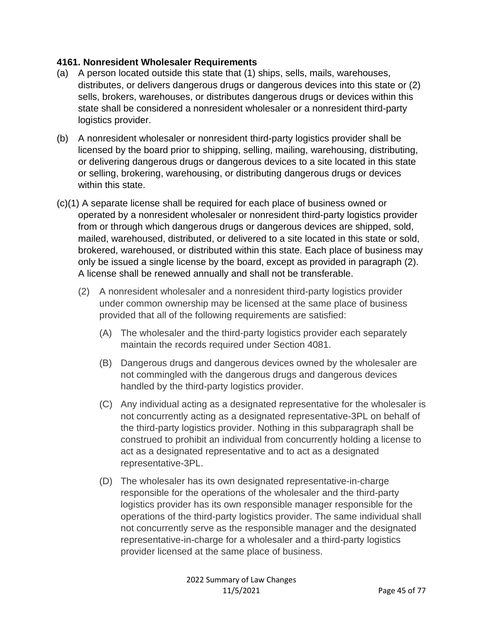### **4161. Nonresident Wholesaler Requirements**

- (a) A person located outside this state that (1) ships, sells, mails, warehouses, distributes, or delivers dangerous drugs or dangerous devices into this state or (2) sells, brokers, warehouses, or distributes dangerous drugs or devices within this state shall be considered a nonresident wholesaler or a nonresident third-party logistics provider.
- (b) A nonresident wholesaler or nonresident third-party logistics provider shall be licensed by the board prior to shipping, selling, mailing, warehousing, distributing, or delivering dangerous drugs or dangerous devices to a site located in this state or selling, brokering, warehousing, or distributing dangerous drugs or devices within this state.
- (c)(1) A separate license shall be required for each place of business owned or operated by a nonresident wholesaler or nonresident third-party logistics provider from or through which dangerous drugs or dangerous devices are shipped, sold, mailed, warehoused, distributed, or delivered to a site located in this state or sold, brokered, warehoused, or distributed within this state. Each place of business may only be issued a single license by the board, except as provided in paragraph (2). A license shall be renewed annually and shall not be transferable.
	- (2) A nonresident wholesaler and a nonresident third-party logistics provider under common ownership may be licensed at the same place of business provided that all of the following requirements are satisfied:
		- (A) The wholesaler and the third-party logistics provider each separately maintain the records required under Section 4081.
		- (B) Dangerous drugs and dangerous devices owned by the wholesaler are not commingled with the dangerous drugs and dangerous devices handled by the third-party logistics provider.
		- (C) Any individual acting as a designated representative for the wholesaler is not concurrently acting as a designated representative-3PL on behalf of the third-party logistics provider. Nothing in this subparagraph shall be construed to prohibit an individual from concurrently holding a license to act as a designated representative and to act as a designated representative-3PL.
		- (D) The wholesaler has its own designated representative-in-charge responsible for the operations of the wholesaler and the third-party logistics provider has its own responsible manager responsible for the operations of the third-party logistics provider. The same individual shall not concurrently serve as the responsible manager and the designated representative-in-charge for a wholesaler and a third-party logistics provider licensed at the same place of business.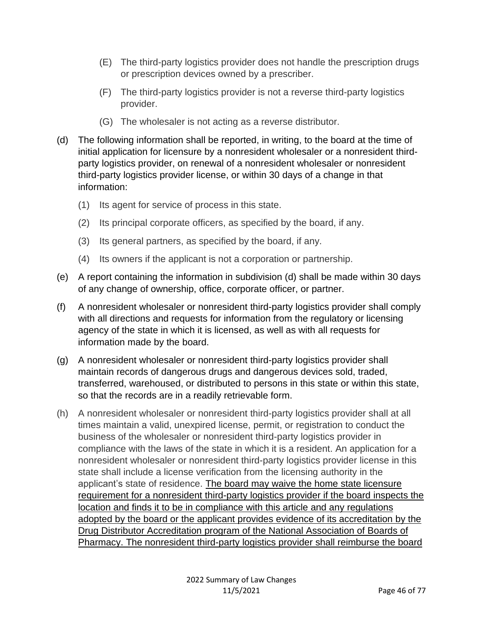- (E) The third-party logistics provider does not handle the prescription drugs or prescription devices owned by a prescriber.
- (F) The third-party logistics provider is not a reverse third-party logistics provider.
- (G) The wholesaler is not acting as a reverse distributor.
- (d) The following information shall be reported, in writing, to the board at the time of initial application for licensure by a nonresident wholesaler or a nonresident thirdparty logistics provider, on renewal of a nonresident wholesaler or nonresident third-party logistics provider license, or within 30 days of a change in that information:
	- (1) Its agent for service of process in this state.
	- (2) Its principal corporate officers, as specified by the board, if any.
	- (3) Its general partners, as specified by the board, if any.
	- (4) Its owners if the applicant is not a corporation or partnership.
- (e) A report containing the information in subdivision (d) shall be made within 30 days of any change of ownership, office, corporate officer, or partner.
- (f) A nonresident wholesaler or nonresident third-party logistics provider shall comply with all directions and requests for information from the regulatory or licensing agency of the state in which it is licensed, as well as with all requests for information made by the board.
- (g) A nonresident wholesaler or nonresident third-party logistics provider shall maintain records of dangerous drugs and dangerous devices sold, traded, transferred, warehoused, or distributed to persons in this state or within this state, so that the records are in a readily retrievable form.
- (h) A nonresident wholesaler or nonresident third-party logistics provider shall at all times maintain a valid, unexpired license, permit, or registration to conduct the business of the wholesaler or nonresident third-party logistics provider in compliance with the laws of the state in which it is a resident. An application for a nonresident wholesaler or nonresident third-party logistics provider license in this state shall include a license verification from the licensing authority in the applicant's state of residence. The board may waive the home state licensure requirement for a nonresident third-party logistics provider if the board inspects the location and finds it to be in compliance with this article and any regulations adopted by the board or the applicant provides evidence of its accreditation by the Drug Distributor Accreditation program of the National Association of Boards of Pharmacy. The nonresident third-party logistics provider shall reimburse the board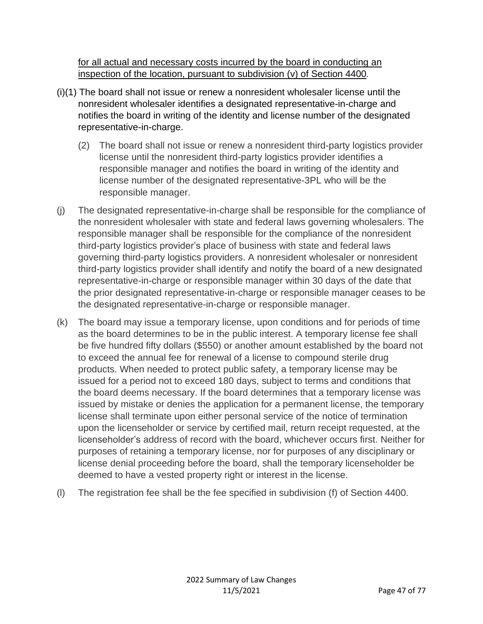for all actual and necessary costs incurred by the board in conducting an inspection of the location, pursuant to subdivision (v) of Section 4400*.*

- (i)(1) The board shall not issue or renew a nonresident wholesaler license until the nonresident wholesaler identifies a designated representative-in-charge and notifies the board in writing of the identity and license number of the designated representative-in-charge.
	- (2) The board shall not issue or renew a nonresident third-party logistics provider license until the nonresident third-party logistics provider identifies a responsible manager and notifies the board in writing of the identity and license number of the designated representative-3PL who will be the responsible manager.
- (j) The designated representative-in-charge shall be responsible for the compliance of the nonresident wholesaler with state and federal laws governing wholesalers. The responsible manager shall be responsible for the compliance of the nonresident third-party logistics provider's place of business with state and federal laws governing third-party logistics providers. A nonresident wholesaler or nonresident third-party logistics provider shall identify and notify the board of a new designated representative-in-charge or responsible manager within 30 days of the date that the prior designated representative-in-charge or responsible manager ceases to be the designated representative-in-charge or responsible manager.
- (k) The board may issue a temporary license, upon conditions and for periods of time as the board determines to be in the public interest. A temporary license fee shall be five hundred fifty dollars (\$550) or another amount established by the board not to exceed the annual fee for renewal of a license to compound sterile drug products. When needed to protect public safety, a temporary license may be issued for a period not to exceed 180 days, subject to terms and conditions that the board deems necessary. If the board determines that a temporary license was issued by mistake or denies the application for a permanent license, the temporary license shall terminate upon either personal service of the notice of termination upon the licenseholder or service by certified mail, return receipt requested, at the licenseholder's address of record with the board, whichever occurs first. Neither for purposes of retaining a temporary license, nor for purposes of any disciplinary or license denial proceeding before the board, shall the temporary licenseholder be deemed to have a vested property right or interest in the license.
- (l) The registration fee shall be the fee specified in subdivision (f) of Section 4400.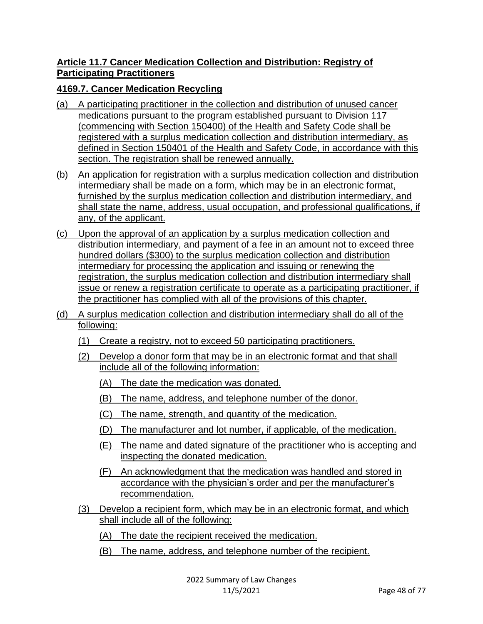### **Article 11.7 Cancer Medication Collection and Distribution: Registry of Participating Practitioners**

## **4169.7. Cancer Medication Recycling**

- (a) A participating practitioner in the collection and distribution of unused cancer medications pursuant to the program established pursuant to Division 117 (commencing with Section 150400) of the Health and Safety Code shall be registered with a surplus medication collection and distribution intermediary, as defined in Section 150401 of the Health and Safety Code, in accordance with this section. The registration shall be renewed annually.
- (b) An application for registration with a surplus medication collection and distribution intermediary shall be made on a form, which may be in an electronic format, furnished by the surplus medication collection and distribution intermediary, and shall state the name, address, usual occupation, and professional qualifications, if any, of the applicant.
- (c) Upon the approval of an application by a surplus medication collection and distribution intermediary, and payment of a fee in an amount not to exceed three hundred dollars (\$300) to the surplus medication collection and distribution intermediary for processing the application and issuing or renewing the registration, the surplus medication collection and distribution intermediary shall issue or renew a registration certificate to operate as a participating practitioner, if the practitioner has complied with all of the provisions of this chapter.
- (d) A surplus medication collection and distribution intermediary shall do all of the following:
	- (1) Create a registry, not to exceed 50 participating practitioners.
	- (2) Develop a donor form that may be in an electronic format and that shall include all of the following information:
		- (A) The date the medication was donated.
		- (B) The name, address, and telephone number of the donor.
		- (C) The name, strength, and quantity of the medication.
		- (D) The manufacturer and lot number, if applicable, of the medication.
		- (E) The name and dated signature of the practitioner who is accepting and inspecting the donated medication.
		- (F) An acknowledgment that the medication was handled and stored in accordance with the physician's order and per the manufacturer's recommendation.
	- (3) Develop a recipient form, which may be in an electronic format, and which shall include all of the following:
		- (A) The date the recipient received the medication.
		- (B) The name, address, and telephone number of the recipient.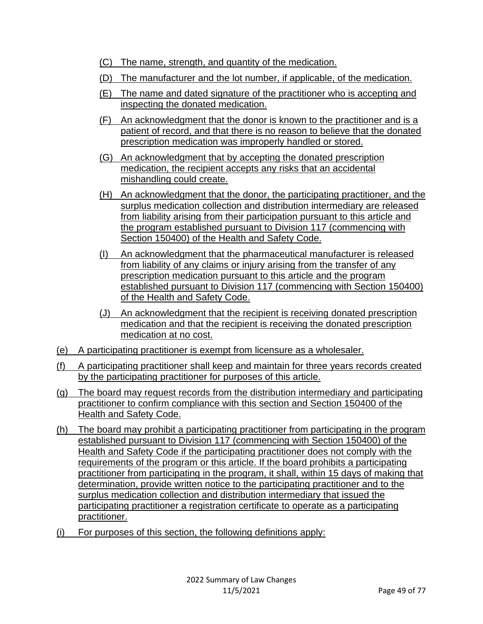- (C) The name, strength, and quantity of the medication.
- (D) The manufacturer and the lot number, if applicable, of the medication.
- (E) The name and dated signature of the practitioner who is accepting and inspecting the donated medication.
- (F) An acknowledgment that the donor is known to the practitioner and is a patient of record, and that there is no reason to believe that the donated prescription medication was improperly handled or stored.
- (G) An acknowledgment that by accepting the donated prescription medication, the recipient accepts any risks that an accidental mishandling could create.
- (H) An acknowledgment that the donor, the participating practitioner, and the surplus medication collection and distribution intermediary are released from liability arising from their participation pursuant to this article and the program established pursuant to Division 117 (commencing with Section 150400) of the Health and Safety Code.
- (I) An acknowledgment that the pharmaceutical manufacturer is released from liability of any claims or injury arising from the transfer of any prescription medication pursuant to this article and the program established pursuant to Division 117 (commencing with Section 150400) of the Health and Safety Code.
- (J) An acknowledgment that the recipient is receiving donated prescription medication and that the recipient is receiving the donated prescription medication at no cost.
- (e) A participating practitioner is exempt from licensure as a wholesaler.
- (f) A participating practitioner shall keep and maintain for three years records created by the participating practitioner for purposes of this article.
- (g) The board may request records from the distribution intermediary and participating practitioner to confirm compliance with this section and Section 150400 of the Health and Safety Code.
- (h) The board may prohibit a participating practitioner from participating in the program established pursuant to Division 117 (commencing with Section 150400) of the Health and Safety Code if the participating practitioner does not comply with the requirements of the program or this article. If the board prohibits a participating practitioner from participating in the program, it shall, within 15 days of making that determination, provide written notice to the participating practitioner and to the surplus medication collection and distribution intermediary that issued the participating practitioner a registration certificate to operate as a participating practitioner.
- (i) For purposes of this section, the following definitions apply: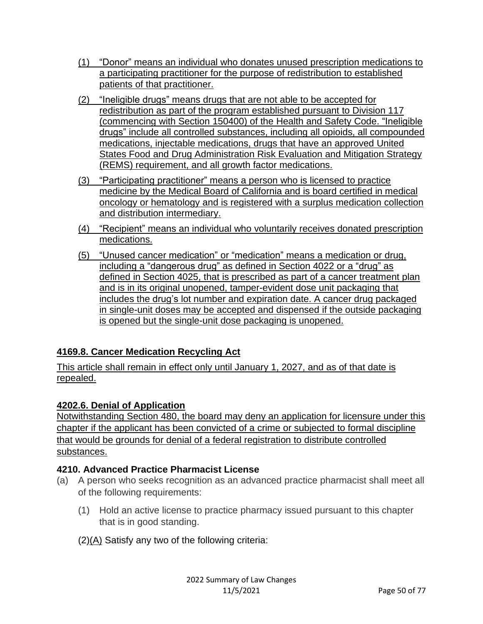- (1) "Donor" means an individual who donates unused prescription medications to a participating practitioner for the purpose of redistribution to established patients of that practitioner.
- (2) "Ineligible drugs" means drugs that are not able to be accepted for redistribution as part of the program established pursuant to Division 117 (commencing with Section 150400) of the Health and Safety Code. "Ineligible drugs" include all controlled substances, including all opioids, all compounded medications, injectable medications, drugs that have an approved United States Food and Drug Administration Risk Evaluation and Mitigation Strategy (REMS) requirement, and all growth factor medications.
- (3) "Participating practitioner" means a person who is licensed to practice medicine by the Medical Board of California and is board certified in medical oncology or hematology and is registered with a surplus medication collection and distribution intermediary.
- (4) "Recipient" means an individual who voluntarily receives donated prescription medications.
- (5) "Unused cancer medication" or "medication" means a medication or drug, including a "dangerous drug" as defined in Section 4022 or a "drug" as defined in Section 4025, that is prescribed as part of a cancer treatment plan and is in its original unopened, tamper-evident dose unit packaging that includes the drug's lot number and expiration date. A cancer drug packaged in single-unit doses may be accepted and dispensed if the outside packaging is opened but the single-unit dose packaging is unopened.

## **4169.8. Cancer Medication Recycling Act**

This article shall remain in effect only until January 1, 2027, and as of that date is repealed.

## **4202.6. Denial of Application**

Notwithstanding Section 480, the board may deny an application for licensure under this chapter if the applicant has been convicted of a crime or subjected to formal discipline that would be grounds for denial of a federal registration to distribute controlled substances.

## **4210. Advanced Practice Pharmacist License**

- (a) A person who seeks recognition as an advanced practice pharmacist shall meet all of the following requirements:
	- (1) Hold an active license to practice pharmacy issued pursuant to this chapter that is in good standing.

(2)(A) Satisfy any two of the following criteria: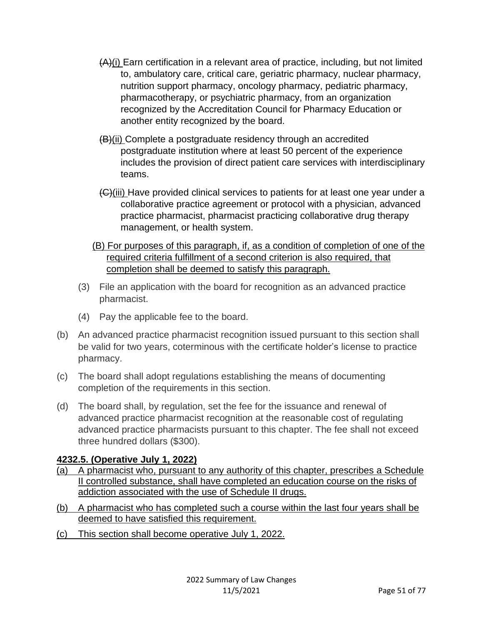- (A)(i) Earn certification in a relevant area of practice, including, but not limited to, ambulatory care, critical care, geriatric pharmacy, nuclear pharmacy, nutrition support pharmacy, oncology pharmacy, pediatric pharmacy, pharmacotherapy, or psychiatric pharmacy, from an organization recognized by the Accreditation Council for Pharmacy Education or another entity recognized by the board.
- (B)(ii) Complete a postgraduate residency through an accredited postgraduate institution where at least 50 percent of the experience includes the provision of direct patient care services with interdisciplinary teams.
- (C)(iii) Have provided clinical services to patients for at least one year under a collaborative practice agreement or protocol with a physician, advanced practice pharmacist, pharmacist practicing collaborative drug therapy management, or health system.
- (B) For purposes of this paragraph, if, as a condition of completion of one of the required criteria fulfillment of a second criterion is also required, that completion shall be deemed to satisfy this paragraph.
- (3) File an application with the board for recognition as an advanced practice pharmacist.
- (4) Pay the applicable fee to the board.
- (b) An advanced practice pharmacist recognition issued pursuant to this section shall be valid for two years, coterminous with the certificate holder's license to practice pharmacy.
- (c) The board shall adopt regulations establishing the means of documenting completion of the requirements in this section.
- (d) The board shall, by regulation, set the fee for the issuance and renewal of advanced practice pharmacist recognition at the reasonable cost of regulating advanced practice pharmacists pursuant to this chapter. The fee shall not exceed three hundred dollars (\$300).

### **4232.5. (Operative July 1, 2022)**

- (a) A pharmacist who, pursuant to any authority of this chapter, prescribes a Schedule II controlled substance, shall have completed an education course on the risks of addiction associated with the use of Schedule II drugs.
- (b) A pharmacist who has completed such a course within the last four years shall be deemed to have satisfied this requirement.
- (c) This section shall become operative July 1, 2022.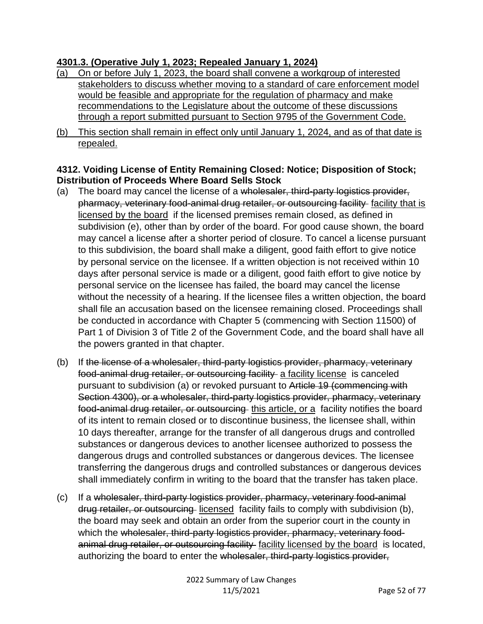#### **4301.3. (Operative July 1, 2023; Repealed January 1, 2024)**

- (a) On or before July 1, 2023, the board shall convene a workgroup of interested stakeholders to discuss whether moving to a standard of care enforcement model would be feasible and appropriate for the regulation of pharmacy and make recommendations to the Legislature about the outcome of these discussions through a report submitted pursuant to Section 9795 of the Government Code.
- (b) This section shall remain in effect only until January 1, 2024, and as of that date is repealed.

#### **4312. Voiding License of Entity Remaining Closed: Notice; Disposition of Stock; Distribution of Proceeds Where Board Sells Stock**

- (a) The board may cancel the license of a wholesaler, third-party logistics provider, pharmacy, veterinary food-animal drug retailer, or outsourcing facility facility that is licensed by the board if the licensed premises remain closed, as defined in subdivision (e), other than by order of the board. For good cause shown, the board may cancel a license after a shorter period of closure. To cancel a license pursuant to this subdivision, the board shall make a diligent, good faith effort to give notice by personal service on the licensee. If a written objection is not received within 10 days after personal service is made or a diligent, good faith effort to give notice by personal service on the licensee has failed, the board may cancel the license without the necessity of a hearing. If the licensee files a written objection, the board shall file an accusation based on the licensee remaining closed. Proceedings shall be conducted in accordance with Chapter 5 (commencing with Section 11500) of Part 1 of Division 3 of Title 2 of the Government Code, and the board shall have all the powers granted in that chapter.
- (b) If the license of a wholesaler, third-party logistics provider, pharmacy, veterinary food-animal drug retailer, or outsourcing facility a facility license is canceled pursuant to subdivision (a) or revoked pursuant to Article 19 (commencing with Section 4300), or a wholesaler, third-party logistics provider, pharmacy, veterinary food-animal drug retailer, or outsourcing this article, or a facility notifies the board of its intent to remain closed or to discontinue business, the licensee shall, within 10 days thereafter, arrange for the transfer of all dangerous drugs and controlled substances or dangerous devices to another licensee authorized to possess the dangerous drugs and controlled substances or dangerous devices. The licensee transferring the dangerous drugs and controlled substances or dangerous devices shall immediately confirm in writing to the board that the transfer has taken place.
- (c) If a wholesaler, third-party logistics provider, pharmacy, veterinary food-animal drug retailer, or outsourcing licensed facility fails to comply with subdivision (b), the board may seek and obtain an order from the superior court in the county in which the wholesaler, third-party logistics provider, pharmacy, veterinary foodanimal drug retailer, or outsourcing facility facility licensed by the board is located, authorizing the board to enter the wholesaler, third-party logistics provider,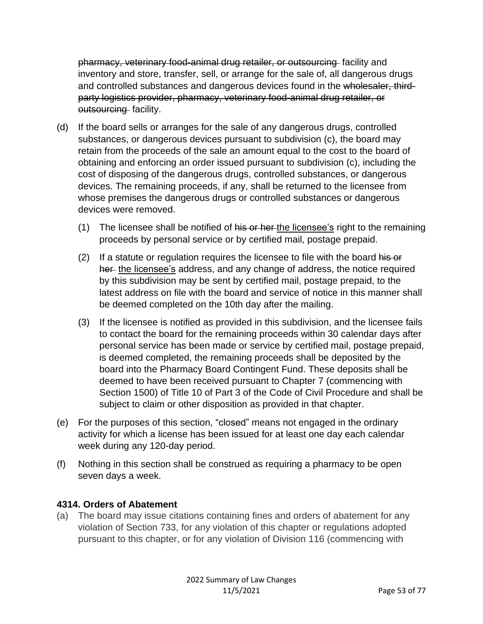pharmacy, veterinary food-animal drug retailer, or outsourcing facility and inventory and store, transfer, sell, or arrange for the sale of, all dangerous drugs and controlled substances and dangerous devices found in the wholesaler, thirdparty logistics provider, pharmacy, veterinary food-animal drug retailer, or outsourcing facility.

- (d) If the board sells or arranges for the sale of any dangerous drugs, controlled substances, or dangerous devices pursuant to subdivision (c), the board may retain from the proceeds of the sale an amount equal to the cost to the board of obtaining and enforcing an order issued pursuant to subdivision (c), including the cost of disposing of the dangerous drugs, controlled substances, or dangerous devices. The remaining proceeds, if any, shall be returned to the licensee from whose premises the dangerous drugs or controlled substances or dangerous devices were removed.
	- (1) The licensee shall be notified of his or her the licensee's right to the remaining proceeds by personal service or by certified mail, postage prepaid.
	- $(2)$  If a statute or regulation requires the licensee to file with the board his or her the licensee's address, and any change of address, the notice required by this subdivision may be sent by certified mail, postage prepaid, to the latest address on file with the board and service of notice in this manner shall be deemed completed on the 10th day after the mailing.
	- (3) If the licensee is notified as provided in this subdivision, and the licensee fails to contact the board for the remaining proceeds within 30 calendar days after personal service has been made or service by certified mail, postage prepaid, is deemed completed, the remaining proceeds shall be deposited by the board into the Pharmacy Board Contingent Fund. These deposits shall be deemed to have been received pursuant to Chapter 7 (commencing with Section 1500) of Title 10 of Part 3 of the Code of Civil Procedure and shall be subject to claim or other disposition as provided in that chapter.
- (e) For the purposes of this section, "closed" means not engaged in the ordinary activity for which a license has been issued for at least one day each calendar week during any 120-day period.
- (f) Nothing in this section shall be construed as requiring a pharmacy to be open seven days a week.

### **4314. Orders of Abatement**

(a) The board may issue citations containing fines and orders of abatement for any violation of Section 733, for any violation of this chapter or regulations adopted pursuant to this chapter, or for any violation of Division 116 (commencing with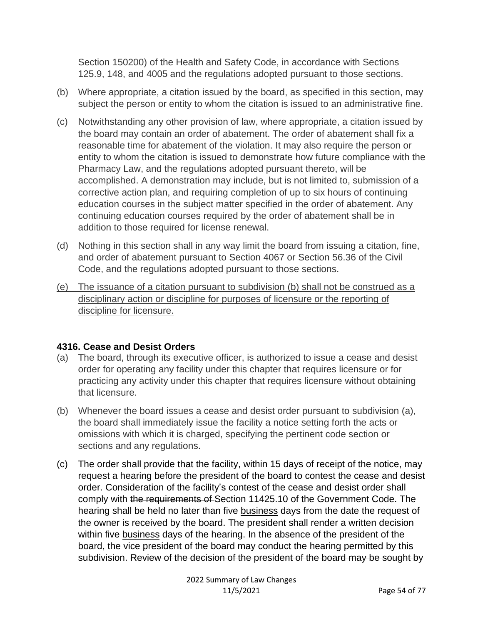Section 150200) of the Health and Safety Code, in accordance with Sections 125.9, 148, and 4005 and the regulations adopted pursuant to those sections.

- (b) Where appropriate, a citation issued by the board, as specified in this section, may subject the person or entity to whom the citation is issued to an administrative fine.
- (c) Notwithstanding any other provision of law, where appropriate, a citation issued by the board may contain an order of abatement. The order of abatement shall fix a reasonable time for abatement of the violation. It may also require the person or entity to whom the citation is issued to demonstrate how future compliance with the Pharmacy Law, and the regulations adopted pursuant thereto, will be accomplished. A demonstration may include, but is not limited to, submission of a corrective action plan, and requiring completion of up to six hours of continuing education courses in the subject matter specified in the order of abatement. Any continuing education courses required by the order of abatement shall be in addition to those required for license renewal.
- (d) Nothing in this section shall in any way limit the board from issuing a citation, fine, and order of abatement pursuant to Section 4067 or Section 56.36 of the Civil Code, and the regulations adopted pursuant to those sections.
- (e) The issuance of a citation pursuant to subdivision (b) shall not be construed as a disciplinary action or discipline for purposes of licensure or the reporting of discipline for licensure.

### **4316. Cease and Desist Orders**

- (a) The board, through its executive officer, is authorized to issue a cease and desist order for operating any facility under this chapter that requires licensure or for practicing any activity under this chapter that requires licensure without obtaining that licensure.
- (b) Whenever the board issues a cease and desist order pursuant to subdivision (a), the board shall immediately issue the facility a notice setting forth the acts or omissions with which it is charged, specifying the pertinent code section or sections and any regulations.
- (c) The order shall provide that the facility, within 15 days of receipt of the notice, may request a hearing before the president of the board to contest the cease and desist order. Consideration of the facility's contest of the cease and desist order shall comply with the requirements of Section 11425.10 of the Government Code. The hearing shall be held no later than five business days from the date the request of the owner is received by the board. The president shall render a written decision within five business days of the hearing. In the absence of the president of the board, the vice president of the board may conduct the hearing permitted by this subdivision. Review of the decision of the president of the board may be sought by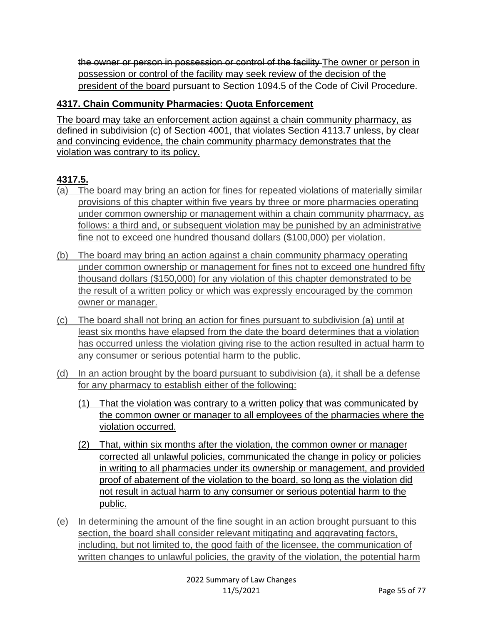the owner or person in possession or control of the facility The owner or person in possession or control of the facility may seek review of the decision of the president of the board pursuant to Section 1094.5 of the Code of Civil Procedure.

# **4317. Chain Community Pharmacies: Quota Enforcement**

The board may take an enforcement action against a chain community pharmacy, as defined in subdivision (c) of Section 4001, that violates Section 4113.7 unless, by clear and convincing evidence, the chain community pharmacy demonstrates that the violation was contrary to its policy.

# **4317.5.**

- (a) The board may bring an action for fines for repeated violations of materially similar provisions of this chapter within five years by three or more pharmacies operating under common ownership or management within a chain community pharmacy, as follows: a third and, or subsequent violation may be punished by an administrative fine not to exceed one hundred thousand dollars (\$100,000) per violation.
- (b) The board may bring an action against a chain community pharmacy operating under common ownership or management for fines not to exceed one hundred fifty thousand dollars (\$150,000) for any violation of this chapter demonstrated to be the result of a written policy or which was expressly encouraged by the common owner or manager.
- (c) The board shall not bring an action for fines pursuant to subdivision (a) until at least six months have elapsed from the date the board determines that a violation has occurred unless the violation giving rise to the action resulted in actual harm to any consumer or serious potential harm to the public.
- (d) In an action brought by the board pursuant to subdivision (a), it shall be a defense for any pharmacy to establish either of the following:
	- (1) That the violation was contrary to a written policy that was communicated by the common owner or manager to all employees of the pharmacies where the violation occurred.
	- (2) That, within six months after the violation, the common owner or manager corrected all unlawful policies, communicated the change in policy or policies in writing to all pharmacies under its ownership or management, and provided proof of abatement of the violation to the board, so long as the violation did not result in actual harm to any consumer or serious potential harm to the public.
- (e) In determining the amount of the fine sought in an action brought pursuant to this section, the board shall consider relevant mitigating and aggravating factors, including, but not limited to, the good faith of the licensee, the communication of written changes to unlawful policies, the gravity of the violation, the potential harm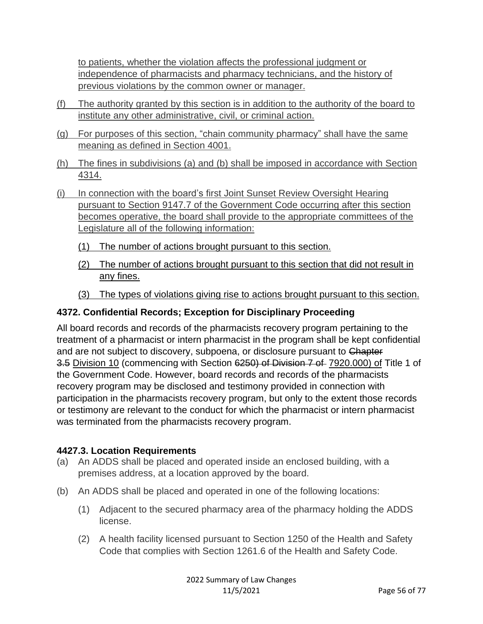to patients, whether the violation affects the professional judgment or independence of pharmacists and pharmacy technicians, and the history of previous violations by the common owner or manager.

- (f) The authority granted by this section is in addition to the authority of the board to institute any other administrative, civil, or criminal action.
- (g) For purposes of this section, "chain community pharmacy" shall have the same meaning as defined in Section 4001.
- (h) The fines in subdivisions (a) and (b) shall be imposed in accordance with Section 4314.
- (i) In connection with the board's first Joint Sunset Review Oversight Hearing pursuant to Section 9147.7 of the Government Code occurring after this section becomes operative, the board shall provide to the appropriate committees of the Legislature all of the following information:
	- (1) The number of actions brought pursuant to this section.
	- (2) The number of actions brought pursuant to this section that did not result in any fines.
	- (3) The types of violations giving rise to actions brought pursuant to this section.

### **4372. Confidential Records; Exception for Disciplinary Proceeding**

All board records and records of the pharmacists recovery program pertaining to the treatment of a pharmacist or intern pharmacist in the program shall be kept confidential and are not subject to discovery, subpoena, or disclosure pursuant to Chapter 3.5 Division 10 (commencing with Section 6250) of Division 7 of 7920.000) of Title 1 of the Government Code. However, board records and records of the pharmacists recovery program may be disclosed and testimony provided in connection with participation in the pharmacists recovery program, but only to the extent those records or testimony are relevant to the conduct for which the pharmacist or intern pharmacist was terminated from the pharmacists recovery program.

### **4427.3. Location Requirements**

- (a) An ADDS shall be placed and operated inside an enclosed building, with a premises address, at a location approved by the board.
- (b) An ADDS shall be placed and operated in one of the following locations:
	- (1) Adjacent to the secured pharmacy area of the pharmacy holding the ADDS license.
	- (2) A health facility licensed pursuant to Section 1250 of the Health and Safety Code that complies with Section 1261.6 of the Health and Safety Code.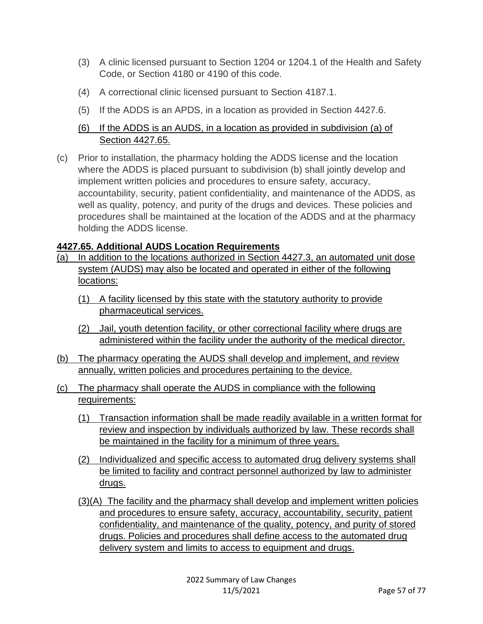- (3) A clinic licensed pursuant to Section 1204 or 1204.1 of the Health and Safety Code, or Section 4180 or 4190 of this code.
- (4) A correctional clinic licensed pursuant to Section 4187.1.
- (5) If the ADDS is an APDS, in a location as provided in Section 4427.6.

# (6) If the ADDS is an AUDS, in a location as provided in subdivision (a) of Section 4427.65.

(c) Prior to installation, the pharmacy holding the ADDS license and the location where the ADDS is placed pursuant to subdivision (b) shall jointly develop and implement written policies and procedures to ensure safety, accuracy, accountability, security, patient confidentiality, and maintenance of the ADDS, as well as quality, potency, and purity of the drugs and devices. These policies and procedures shall be maintained at the location of the ADDS and at the pharmacy holding the ADDS license.

# **4427.65. Additional AUDS Location Requirements**

- (a) In addition to the locations authorized in Section 4427.3, an automated unit dose system (AUDS) may also be located and operated in either of the following locations:
	- (1) A facility licensed by this state with the statutory authority to provide pharmaceutical services.
	- (2) Jail, youth detention facility, or other correctional facility where drugs are administered within the facility under the authority of the medical director.
- (b) The pharmacy operating the AUDS shall develop and implement, and review annually, written policies and procedures pertaining to the device.
- (c) The pharmacy shall operate the AUDS in compliance with the following requirements:
	- (1) Transaction information shall be made readily available in a written format for review and inspection by individuals authorized by law. These records shall be maintained in the facility for a minimum of three years.
	- (2) Individualized and specific access to automated drug delivery systems shall be limited to facility and contract personnel authorized by law to administer drugs.
	- (3)(A) The facility and the pharmacy shall develop and implement written policies and procedures to ensure safety, accuracy, accountability, security, patient confidentiality, and maintenance of the quality, potency, and purity of stored drugs. Policies and procedures shall define access to the automated drug delivery system and limits to access to equipment and drugs.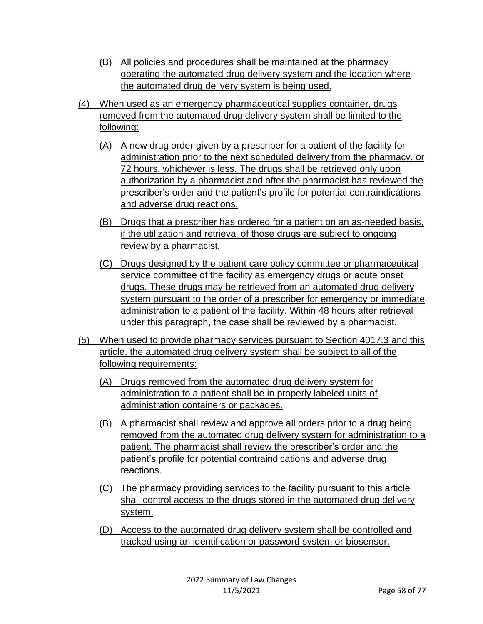- (B) All policies and procedures shall be maintained at the pharmacy operating the automated drug delivery system and the location where the automated drug delivery system is being used.
- (4) When used as an emergency pharmaceutical supplies container, drugs removed from the automated drug delivery system shall be limited to the following:
	- (A) A new drug order given by a prescriber for a patient of the facility for administration prior to the next scheduled delivery from the pharmacy, or 72 hours, whichever is less. The drugs shall be retrieved only upon authorization by a pharmacist and after the pharmacist has reviewed the prescriber's order and the patient's profile for potential contraindications and adverse drug reactions.
	- (B) Drugs that a prescriber has ordered for a patient on an as-needed basis, if the utilization and retrieval of those drugs are subject to ongoing review by a pharmacist.
	- (C) Drugs designed by the patient care policy committee or pharmaceutical service committee of the facility as emergency drugs or acute onset drugs. These drugs may be retrieved from an automated drug delivery system pursuant to the order of a prescriber for emergency or immediate administration to a patient of the facility. Within 48 hours after retrieval under this paragraph, the case shall be reviewed by a pharmacist.
- (5) When used to provide pharmacy services pursuant to Section 4017.3 and this article, the automated drug delivery system shall be subject to all of the following requirements:
	- (A) Drugs removed from the automated drug delivery system for administration to a patient shall be in properly labeled units of administration containers or packages.
	- (B) A pharmacist shall review and approve all orders prior to a drug being removed from the automated drug delivery system for administration to a patient. The pharmacist shall review the prescriber's order and the patient's profile for potential contraindications and adverse drug reactions.
	- (C) The pharmacy providing services to the facility pursuant to this article shall control access to the drugs stored in the automated drug delivery system.
	- (D) Access to the automated drug delivery system shall be controlled and tracked using an identification or password system or biosensor.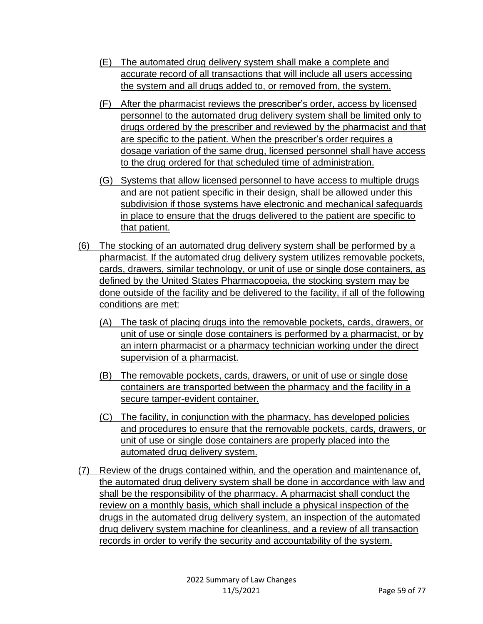- (E) The automated drug delivery system shall make a complete and accurate record of all transactions that will include all users accessing the system and all drugs added to, or removed from, the system.
- (F) After the pharmacist reviews the prescriber's order, access by licensed personnel to the automated drug delivery system shall be limited only to drugs ordered by the prescriber and reviewed by the pharmacist and that are specific to the patient. When the prescriber's order requires a dosage variation of the same drug, licensed personnel shall have access to the drug ordered for that scheduled time of administration.
- (G) Systems that allow licensed personnel to have access to multiple drugs and are not patient specific in their design, shall be allowed under this subdivision if those systems have electronic and mechanical safeguards in place to ensure that the drugs delivered to the patient are specific to that patient.
- (6) The stocking of an automated drug delivery system shall be performed by a pharmacist. If the automated drug delivery system utilizes removable pockets, cards, drawers, similar technology, or unit of use or single dose containers, as defined by the United States Pharmacopoeia, the stocking system may be done outside of the facility and be delivered to the facility, if all of the following conditions are met:
	- (A) The task of placing drugs into the removable pockets, cards, drawers, or unit of use or single dose containers is performed by a pharmacist, or by an intern pharmacist or a pharmacy technician working under the direct supervision of a pharmacist.
	- (B) The removable pockets, cards, drawers, or unit of use or single dose containers are transported between the pharmacy and the facility in a secure tamper-evident container.
	- (C) The facility, in conjunction with the pharmacy, has developed policies and procedures to ensure that the removable pockets, cards, drawers, or unit of use or single dose containers are properly placed into the automated drug delivery system.
- (7) Review of the drugs contained within, and the operation and maintenance of, the automated drug delivery system shall be done in accordance with law and shall be the responsibility of the pharmacy. A pharmacist shall conduct the review on a monthly basis, which shall include a physical inspection of the drugs in the automated drug delivery system, an inspection of the automated drug delivery system machine for cleanliness, and a review of all transaction records in order to verify the security and accountability of the system.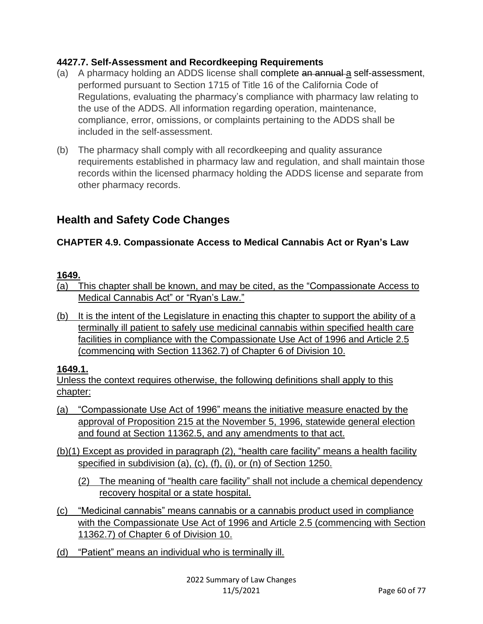### **4427.7. Self-Assessment and Recordkeeping Requirements**

- (a) A pharmacy holding an ADDS license shall complete an annual a self-assessment, performed pursuant to Section 1715 of Title 16 of the California Code of Regulations, evaluating the pharmacy's compliance with pharmacy law relating to the use of the ADDS. All information regarding operation, maintenance, compliance, error, omissions, or complaints pertaining to the ADDS shall be included in the self-assessment.
- (b) The pharmacy shall comply with all recordkeeping and quality assurance requirements established in pharmacy law and regulation, and shall maintain those records within the licensed pharmacy holding the ADDS license and separate from other pharmacy records.

# **Health and Safety Code Changes**

## **CHAPTER 4.9. Compassionate Access to Medical Cannabis Act or Ryan's Law**

### **1649.**

- (a) This chapter shall be known, and may be cited, as the "Compassionate Access to Medical Cannabis Act" or "Ryan's Law."
- (b) It is the intent of the Legislature in enacting this chapter to support the ability of a terminally ill patient to safely use medicinal cannabis within specified health care facilities in compliance with the Compassionate Use Act of 1996 and Article 2.5 (commencing with Section 11362.7) of Chapter 6 of Division 10.

### **1649.1.**

Unless the context requires otherwise, the following definitions shall apply to this chapter:

- (a) "Compassionate Use Act of 1996" means the initiative measure enacted by the approval of Proposition 215 at the November 5, 1996, statewide general election and found at Section 11362.5, and any amendments to that act.
- (b)(1) Except as provided in paragraph (2), "health care facility" means a health facility specified in subdivision (a), (c), (f), (i), or (n) of Section 1250.
	- (2) The meaning of "health care facility" shall not include a chemical dependency recovery hospital or a state hospital.
- (c) "Medicinal cannabis" means cannabis or a cannabis product used in compliance with the Compassionate Use Act of 1996 and Article 2.5 (commencing with Section 11362.7) of Chapter 6 of Division 10.
- (d) "Patient" means an individual who is terminally ill.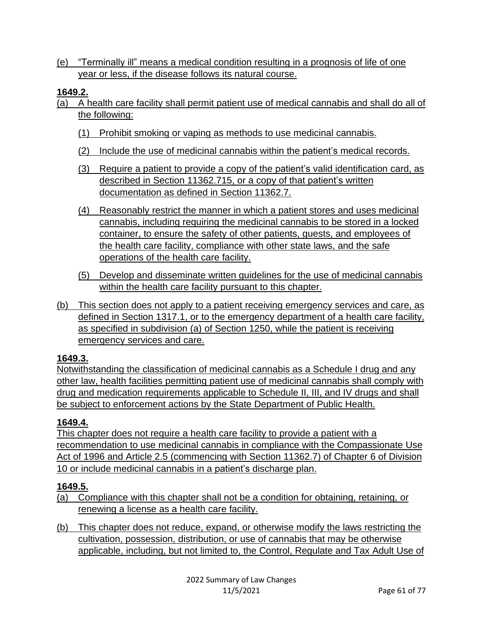(e) "Terminally ill" means a medical condition resulting in a prognosis of life of one year or less, if the disease follows its natural course.

### **1649.2.**

- (a) A health care facility shall permit patient use of medical cannabis and shall do all of the following:
	- (1) Prohibit smoking or vaping as methods to use medicinal cannabis.
	- (2) Include the use of medicinal cannabis within the patient's medical records.
	- (3) Require a patient to provide a copy of the patient's valid identification card, as described in Section 11362.715, or a copy of that patient's written documentation as defined in Section 11362.7.
	- (4) Reasonably restrict the manner in which a patient stores and uses medicinal cannabis, including requiring the medicinal cannabis to be stored in a locked container, to ensure the safety of other patients, guests, and employees of the health care facility, compliance with other state laws, and the safe operations of the health care facility.
	- (5) Develop and disseminate written guidelines for the use of medicinal cannabis within the health care facility pursuant to this chapter.
- (b) This section does not apply to a patient receiving emergency services and care, as defined in Section 1317.1, or to the emergency department of a health care facility, as specified in subdivision (a) of Section 1250, while the patient is receiving emergency services and care.

### **1649.3.**

Notwithstanding the classification of medicinal cannabis as a Schedule I drug and any other law, health facilities permitting patient use of medicinal cannabis shall comply with drug and medication requirements applicable to Schedule II, III, and IV drugs and shall be subject to enforcement actions by the State Department of Public Health.

### **1649.4.**

This chapter does not require a health care facility to provide a patient with a recommendation to use medicinal cannabis in compliance with the Compassionate Use Act of 1996 and Article 2.5 (commencing with Section 11362.7) of Chapter 6 of Division 10 or include medicinal cannabis in a patient's discharge plan.

## **1649.5.**

- (a) Compliance with this chapter shall not be a condition for obtaining, retaining, or renewing a license as a health care facility.
- (b) This chapter does not reduce, expand, or otherwise modify the laws restricting the cultivation, possession, distribution, or use of cannabis that may be otherwise applicable, including, but not limited to, the Control, Regulate and Tax Adult Use of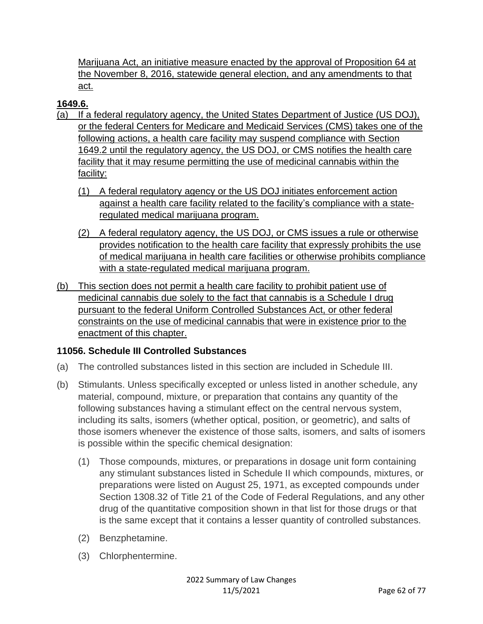Marijuana Act, an initiative measure enacted by the approval of Proposition 64 at the November 8, 2016, statewide general election, and any amendments to that act.

## **1649.6.**

- (a) If a federal regulatory agency, the United States Department of Justice (US DOJ), or the federal Centers for Medicare and Medicaid Services (CMS) takes one of the following actions, a health care facility may suspend compliance with Section 1649.2 until the regulatory agency, the US DOJ, or CMS notifies the health care facility that it may resume permitting the use of medicinal cannabis within the facility:
	- (1) A federal regulatory agency or the US DOJ initiates enforcement action against a health care facility related to the facility's compliance with a stateregulated medical marijuana program.
	- (2) A federal regulatory agency, the US DOJ, or CMS issues a rule or otherwise provides notification to the health care facility that expressly prohibits the use of medical marijuana in health care facilities or otherwise prohibits compliance with a state-regulated medical marijuana program.
- (b) This section does not permit a health care facility to prohibit patient use of medicinal cannabis due solely to the fact that cannabis is a Schedule I drug pursuant to the federal Uniform Controlled Substances Act, or other federal constraints on the use of medicinal cannabis that were in existence prior to the enactment of this chapter.

## **11056. Schedule III Controlled Substances**

- (a) The controlled substances listed in this section are included in Schedule III.
- (b) Stimulants. Unless specifically excepted or unless listed in another schedule, any material, compound, mixture, or preparation that contains any quantity of the following substances having a stimulant effect on the central nervous system, including its salts, isomers (whether optical, position, or geometric), and salts of those isomers whenever the existence of those salts, isomers, and salts of isomers is possible within the specific chemical designation:
	- (1) Those compounds, mixtures, or preparations in dosage unit form containing any stimulant substances listed in Schedule II which compounds, mixtures, or preparations were listed on August 25, 1971, as excepted compounds under Section 1308.32 of Title 21 of the Code of Federal Regulations, and any other drug of the quantitative composition shown in that list for those drugs or that is the same except that it contains a lesser quantity of controlled substances.
	- (2) Benzphetamine.
	- (3) Chlorphentermine.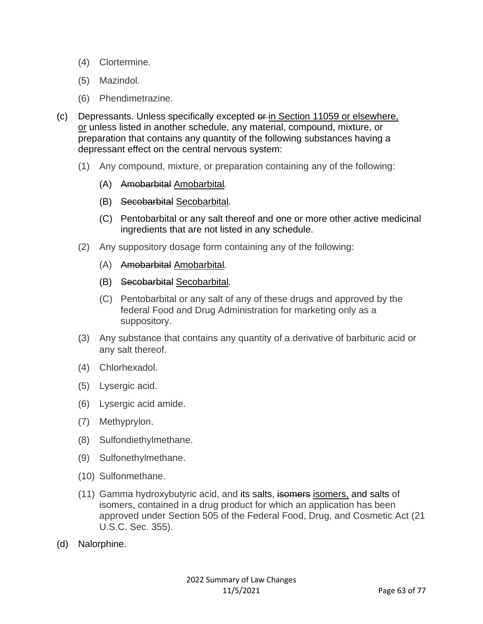- (4) Clortermine.
- (5) Mazindol.
- (6) Phendimetrazine.
- (c) Depressants. Unless specifically excepted or in Section 11059 or elsewhere, or unless listed in another schedule, any material, compound, mixture, or preparation that contains any quantity of the following substances having a depressant effect on the central nervous system:
	- (1) Any compound, mixture, or preparation containing any of the following:
		- (A) Amobarbital Amobarbital*.*
		- (B) Secobarbital Secobarbital*.*
		- (C) Pentobarbital or any salt thereof and one or more other active medicinal ingredients that are not listed in any schedule.
	- (2) Any suppository dosage form containing any of the following:
		- (A) Amobarbital Amobarbital*.*
		- (B) Secobarbital Secobarbital*.*
		- (C) Pentobarbital or any salt of any of these drugs and approved by the federal Food and Drug Administration for marketing only as a suppository.
	- (3) Any substance that contains any quantity of a derivative of barbituric acid or any salt thereof.
	- (4) Chlorhexadol.
	- (5) Lysergic acid.
	- (6) Lysergic acid amide.
	- (7) Methyprylon.
	- (8) Sulfondiethylmethane.
	- (9) Sulfonethylmethane.
	- (10) Sulfonmethane.
	- (11) Gamma hydroxybutyric acid, and its salts, isomers isomers, and salts of isomers, contained in a drug product for which an application has been approved under Section 505 of the Federal Food, Drug, and Cosmetic Act (21 U.S.C. Sec. 355).
- (d) Nalorphine.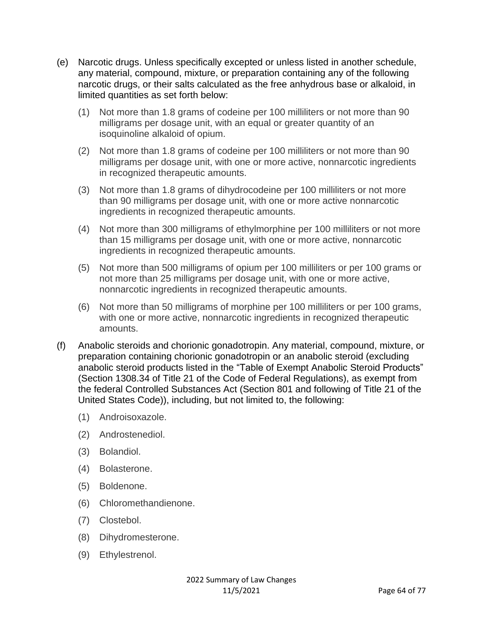- (e) Narcotic drugs. Unless specifically excepted or unless listed in another schedule, any material, compound, mixture, or preparation containing any of the following narcotic drugs, or their salts calculated as the free anhydrous base or alkaloid, in limited quantities as set forth below:
	- (1) Not more than 1.8 grams of codeine per 100 milliliters or not more than 90 milligrams per dosage unit, with an equal or greater quantity of an isoquinoline alkaloid of opium.
	- (2) Not more than 1.8 grams of codeine per 100 milliliters or not more than 90 milligrams per dosage unit, with one or more active, nonnarcotic ingredients in recognized therapeutic amounts.
	- (3) Not more than 1.8 grams of dihydrocodeine per 100 milliliters or not more than 90 milligrams per dosage unit, with one or more active nonnarcotic ingredients in recognized therapeutic amounts.
	- (4) Not more than 300 milligrams of ethylmorphine per 100 milliliters or not more than 15 milligrams per dosage unit, with one or more active, nonnarcotic ingredients in recognized therapeutic amounts.
	- (5) Not more than 500 milligrams of opium per 100 milliliters or per 100 grams or not more than 25 milligrams per dosage unit, with one or more active, nonnarcotic ingredients in recognized therapeutic amounts.
	- (6) Not more than 50 milligrams of morphine per 100 milliliters or per 100 grams, with one or more active, nonnarcotic ingredients in recognized therapeutic amounts.
- (f) Anabolic steroids and chorionic gonadotropin. Any material, compound, mixture, or preparation containing chorionic gonadotropin or an anabolic steroid (excluding anabolic steroid products listed in the "Table of Exempt Anabolic Steroid Products" (Section 1308.34 of Title 21 of the Code of Federal Regulations), as exempt from the federal Controlled Substances Act (Section 801 and following of Title 21 of the United States Code)), including, but not limited to, the following:
	- (1) Androisoxazole.
	- (2) Androstenediol.
	- (3) Bolandiol.
	- (4) Bolasterone.
	- (5) Boldenone.
	- (6) Chloromethandienone.
	- (7) Clostebol.
	- (8) Dihydromesterone.
	- (9) Ethylestrenol.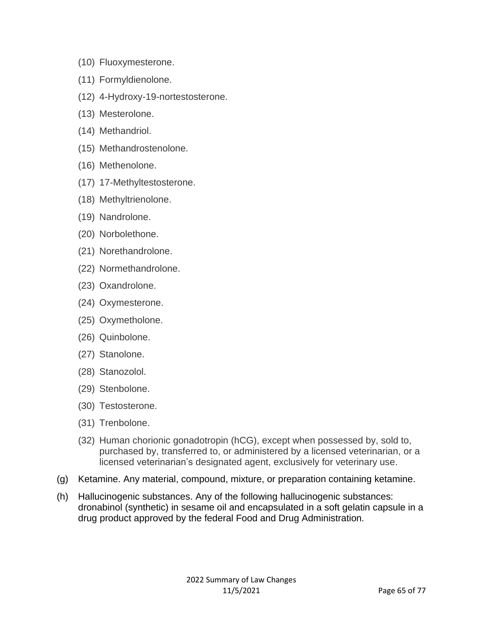- (10) Fluoxymesterone.
- (11) Formyldienolone.
- (12) 4-Hydroxy-19-nortestosterone.
- (13) Mesterolone.
- (14) Methandriol.
- (15) Methandrostenolone.
- (16) Methenolone.
- (17) 17-Methyltestosterone.
- (18) Methyltrienolone.
- (19) Nandrolone.
- (20) Norbolethone.
- (21) Norethandrolone.
- (22) Normethandrolone.
- (23) Oxandrolone.
- (24) Oxymesterone.
- (25) Oxymetholone.
- (26) Quinbolone.
- (27) Stanolone.
- (28) Stanozolol.
- (29) Stenbolone.
- (30) Testosterone.
- (31) Trenbolone.
- (32) Human chorionic gonadotropin (hCG), except when possessed by, sold to, purchased by, transferred to, or administered by a licensed veterinarian, or a licensed veterinarian's designated agent, exclusively for veterinary use.
- (g) Ketamine. Any material, compound, mixture, or preparation containing ketamine.
- (h) Hallucinogenic substances. Any of the following hallucinogenic substances: dronabinol (synthetic) in sesame oil and encapsulated in a soft gelatin capsule in a drug product approved by the federal Food and Drug Administration.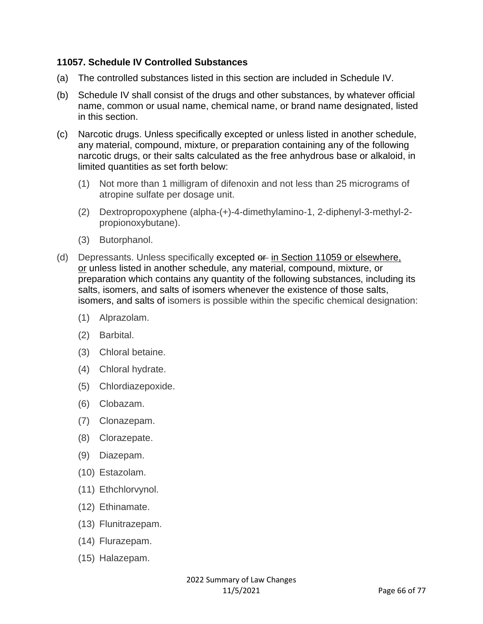#### **11057. Schedule IV Controlled Substances**

- (a) The controlled substances listed in this section are included in Schedule IV.
- (b) Schedule IV shall consist of the drugs and other substances, by whatever official name, common or usual name, chemical name, or brand name designated, listed in this section.
- (c) Narcotic drugs. Unless specifically excepted or unless listed in another schedule, any material, compound, mixture, or preparation containing any of the following narcotic drugs, or their salts calculated as the free anhydrous base or alkaloid, in limited quantities as set forth below:
	- (1) Not more than 1 milligram of difenoxin and not less than 25 micrograms of atropine sulfate per dosage unit.
	- (2) Dextropropoxyphene (alpha-(+)-4-dimethylamino-1, 2-diphenyl-3-methyl-2 propionoxybutane).
	- (3) Butorphanol.
- (d) Depressants. Unless specifically excepted or in Section 11059 or elsewhere, or unless listed in another schedule, any material, compound, mixture, or preparation which contains any quantity of the following substances, including its salts, isomers, and salts of isomers whenever the existence of those salts, isomers, and salts of isomers is possible within the specific chemical designation:
	- (1) Alprazolam.
	- (2) Barbital.
	- (3) Chloral betaine.
	- (4) Chloral hydrate.
	- (5) Chlordiazepoxide.
	- (6) Clobazam.
	- (7) Clonazepam.
	- (8) Clorazepate.
	- (9) Diazepam.
	- (10) Estazolam.
	- (11) Ethchlorvynol.
	- (12) Ethinamate.
	- (13) Flunitrazepam.
	- (14) Flurazepam.
	- (15) Halazepam.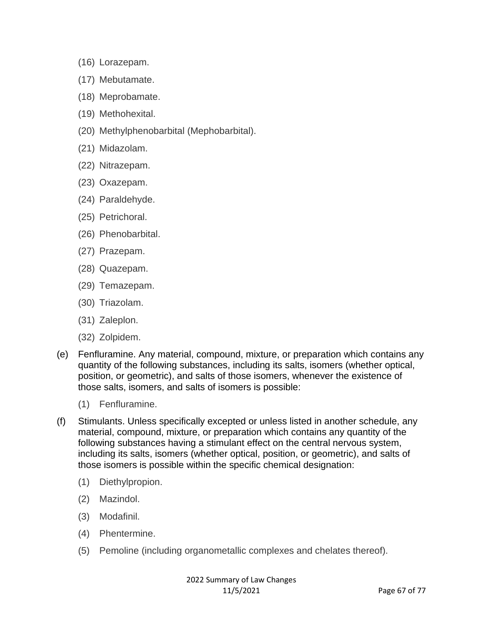- (16) Lorazepam.
- (17) Mebutamate.
- (18) Meprobamate.
- (19) Methohexital.
- (20) Methylphenobarbital (Mephobarbital).
- (21) Midazolam.
- (22) Nitrazepam.
- (23) Oxazepam.
- (24) Paraldehyde.
- (25) Petrichoral.
- (26) Phenobarbital.
- (27) Prazepam.
- (28) Quazepam.
- (29) Temazepam.
- (30) Triazolam.
- (31) Zaleplon.
- (32) Zolpidem.
- (e) Fenfluramine. Any material, compound, mixture, or preparation which contains any quantity of the following substances, including its salts, isomers (whether optical, position, or geometric), and salts of those isomers, whenever the existence of those salts, isomers, and salts of isomers is possible:
	- (1) Fenfluramine.
- (f) Stimulants. Unless specifically excepted or unless listed in another schedule, any material, compound, mixture, or preparation which contains any quantity of the following substances having a stimulant effect on the central nervous system, including its salts, isomers (whether optical, position, or geometric), and salts of those isomers is possible within the specific chemical designation:
	- (1) Diethylpropion.
	- (2) Mazindol.
	- (3) Modafinil.
	- (4) Phentermine.
	- (5) Pemoline (including organometallic complexes and chelates thereof).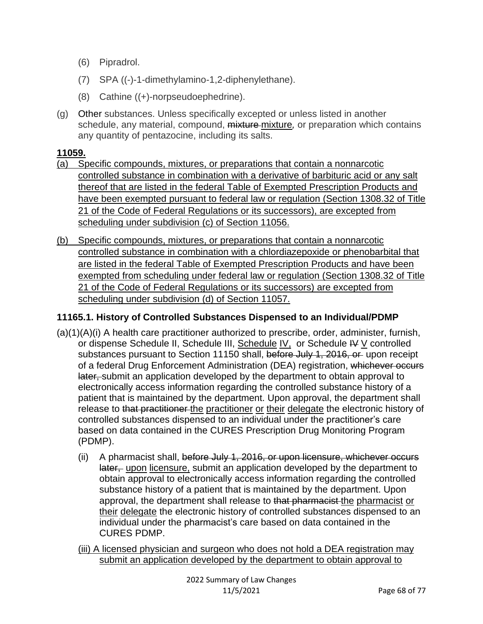- (6) Pipradrol.
- (7) SPA ((-)-1-dimethylamino-1,2-diphenylethane).
- (8) Cathine ((+)-norpseudoephedrine).
- (g) Other substances. Unless specifically excepted or unless listed in another schedule, any material, compound, mixture mixture*,* or preparation which contains any quantity of pentazocine, including its salts.

#### **11059.**

- (a) Specific compounds, mixtures, or preparations that contain a nonnarcotic controlled substance in combination with a derivative of barbituric acid or any salt thereof that are listed in the federal Table of Exempted Prescription Products and have been exempted pursuant to federal law or regulation (Section 1308.32 of Title 21 of the Code of Federal Regulations or its successors), are excepted from scheduling under subdivision (c) of Section 11056.
- (b) Specific compounds, mixtures, or preparations that contain a nonnarcotic controlled substance in combination with a chlordiazepoxide or phenobarbital that are listed in the federal Table of Exempted Prescription Products and have been exempted from scheduling under federal law or regulation (Section 1308.32 of Title 21 of the Code of Federal Regulations or its successors) are excepted from scheduling under subdivision (d) of Section 11057.

### **11165.1. History of Controlled Substances Dispensed to an Individual/PDMP**

- (a)(1)(A)(i) A health care practitioner authorized to prescribe, order, administer, furnish, or dispense Schedule II, Schedule III, Schedule IV, or Schedule IV V controlled substances pursuant to Section 11150 shall, before July 1, 2016, or upon receipt of a federal Drug Enforcement Administration (DEA) registration, whichever occurs later, submit an application developed by the department to obtain approval to electronically access information regarding the controlled substance history of a patient that is maintained by the department. Upon approval, the department shall release to that practitioner the practitioner or their delegate the electronic history of controlled substances dispensed to an individual under the practitioner's care based on data contained in the CURES Prescription Drug Monitoring Program (PDMP).
	- (ii) A pharmacist shall, before July 1, 2016, or upon licensure, whichever occurs later, upon licensure, submit an application developed by the department to obtain approval to electronically access information regarding the controlled substance history of a patient that is maintained by the department. Upon approval, the department shall release to that pharmacist the pharmacist or their delegate the electronic history of controlled substances dispensed to an individual under the pharmacist's care based on data contained in the CURES PDMP.
	- (iii) A licensed physician and surgeon who does not hold a DEA registration may submit an application developed by the department to obtain approval to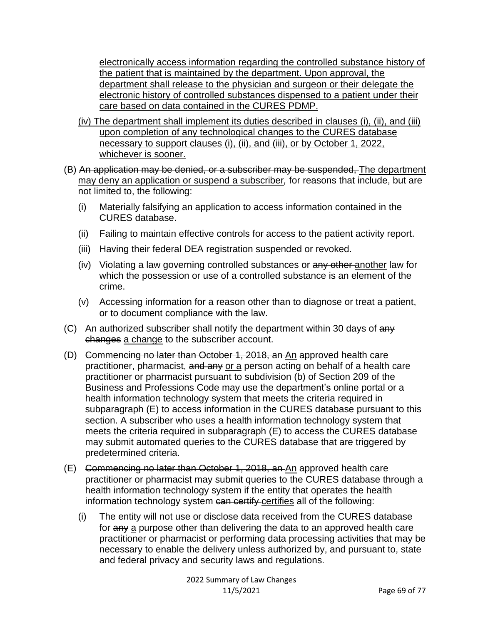electronically access information regarding the controlled substance history of the patient that is maintained by the department. Upon approval, the department shall release to the physician and surgeon or their delegate the electronic history of controlled substances dispensed to a patient under their care based on data contained in the CURES PDMP.

- (iv) The department shall implement its duties described in clauses (i), (ii), and (iii) upon completion of any technological changes to the CURES database necessary to support clauses (i), (ii), and (iii), or by October 1, 2022, whichever is sooner.
- (B) An application may be denied, or a subscriber may be suspended, The department may deny an application or suspend a subscriber*,* for reasons that include, but are not limited to, the following:
	- (i) Materially falsifying an application to access information contained in the CURES database.
	- (ii) Failing to maintain effective controls for access to the patient activity report.
	- (iii) Having their federal DEA registration suspended or revoked.
	- (iv) Violating a law governing controlled substances or any other another law for which the possession or use of a controlled substance is an element of the crime.
	- (v) Accessing information for a reason other than to diagnose or treat a patient, or to document compliance with the law.
- (C) An authorized subscriber shall notify the department within 30 days of any changes a change to the subscriber account.
- (D) Commencing no later than October 1, 2018, an An approved health care practitioner, pharmacist, and any or a person acting on behalf of a health care practitioner or pharmacist pursuant to subdivision (b) of Section 209 of the Business and Professions Code may use the department's online portal or a health information technology system that meets the criteria required in subparagraph (E) to access information in the CURES database pursuant to this section. A subscriber who uses a health information technology system that meets the criteria required in subparagraph (E) to access the CURES database may submit automated queries to the CURES database that are triggered by predetermined criteria.
- (E) Commencing no later than October 1, 2018, an An approved health care practitioner or pharmacist may submit queries to the CURES database through a health information technology system if the entity that operates the health information technology system can certify certifies all of the following:
	- (i) The entity will not use or disclose data received from the CURES database for any a purpose other than delivering the data to an approved health care practitioner or pharmacist or performing data processing activities that may be necessary to enable the delivery unless authorized by, and pursuant to, state and federal privacy and security laws and regulations.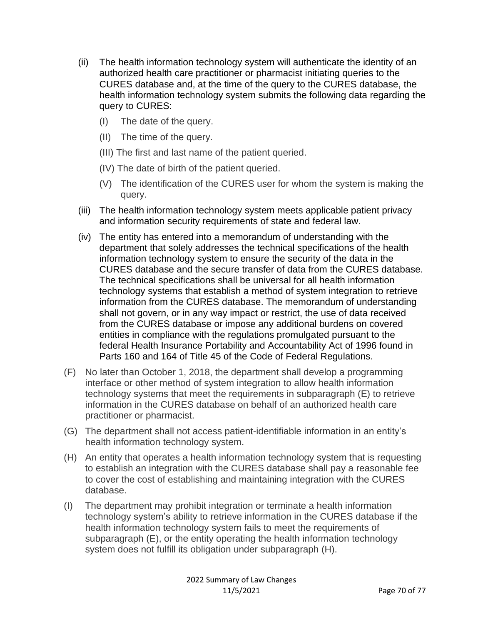- (ii) The health information technology system will authenticate the identity of an authorized health care practitioner or pharmacist initiating queries to the CURES database and, at the time of the query to the CURES database, the health information technology system submits the following data regarding the query to CURES:
	- (I) The date of the query.
	- (II) The time of the query.
	- (III) The first and last name of the patient queried.
	- (IV) The date of birth of the patient queried.
	- (V) The identification of the CURES user for whom the system is making the query.
- (iii) The health information technology system meets applicable patient privacy and information security requirements of state and federal law.
- (iv) The entity has entered into a memorandum of understanding with the department that solely addresses the technical specifications of the health information technology system to ensure the security of the data in the CURES database and the secure transfer of data from the CURES database. The technical specifications shall be universal for all health information technology systems that establish a method of system integration to retrieve information from the CURES database. The memorandum of understanding shall not govern, or in any way impact or restrict, the use of data received from the CURES database or impose any additional burdens on covered entities in compliance with the regulations promulgated pursuant to the federal Health Insurance Portability and Accountability Act of 1996 found in Parts 160 and 164 of Title 45 of the Code of Federal Regulations.
- (F) No later than October 1, 2018, the department shall develop a programming interface or other method of system integration to allow health information technology systems that meet the requirements in subparagraph (E) to retrieve information in the CURES database on behalf of an authorized health care practitioner or pharmacist.
- (G) The department shall not access patient-identifiable information in an entity's health information technology system.
- (H) An entity that operates a health information technology system that is requesting to establish an integration with the CURES database shall pay a reasonable fee to cover the cost of establishing and maintaining integration with the CURES database.
- (I) The department may prohibit integration or terminate a health information technology system's ability to retrieve information in the CURES database if the health information technology system fails to meet the requirements of subparagraph (E), or the entity operating the health information technology system does not fulfill its obligation under subparagraph (H).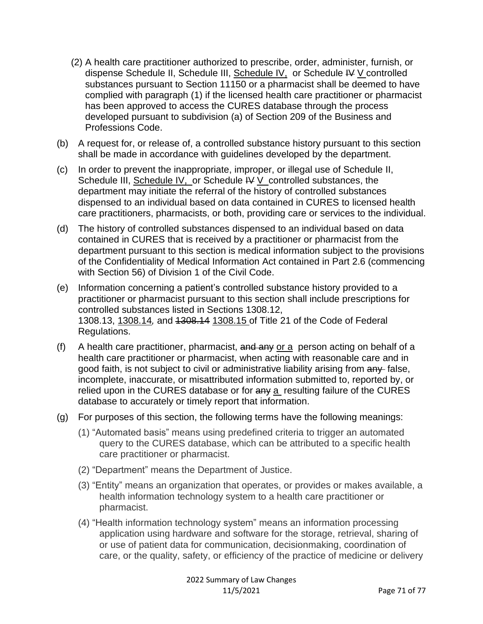- (2) A health care practitioner authorized to prescribe, order, administer, furnish, or dispense Schedule II, Schedule III, Schedule IV, or Schedule IV V controlled substances pursuant to Section 11150 or a pharmacist shall be deemed to have complied with paragraph (1) if the licensed health care practitioner or pharmacist has been approved to access the CURES database through the process developed pursuant to subdivision (a) of Section 209 of the Business and Professions Code.
- (b) A request for, or release of, a controlled substance history pursuant to this section shall be made in accordance with guidelines developed by the department.
- (c) In order to prevent the inappropriate, improper, or illegal use of Schedule II, Schedule III, Schedule IV, or Schedule  $\forall y \in \mathcal{Y}$  controlled substances, the department may initiate the referral of the history of controlled substances dispensed to an individual based on data contained in CURES to licensed health care practitioners, pharmacists, or both, providing care or services to the individual.
- (d) The history of controlled substances dispensed to an individual based on data contained in CURES that is received by a practitioner or pharmacist from the department pursuant to this section is medical information subject to the provisions of the Confidentiality of Medical Information Act contained in Part 2.6 (commencing with Section 56) of Division 1 of the Civil Code.
- (e) Information concerning a patient's controlled substance history provided to a practitioner or pharmacist pursuant to this section shall include prescriptions for controlled substances listed in Sections 1308.12, 1308.13, 1308.14*,* and 1308.14 1308.15 of Title 21 of the Code of Federal Regulations.
- (f) A health care practitioner, pharmacist, and any or a person acting on behalf of a health care practitioner or pharmacist, when acting with reasonable care and in good faith, is not subject to civil or administrative liability arising from any false, incomplete, inaccurate, or misattributed information submitted to, reported by, or relied upon in the CURES database or for  $a_n$  a resulting failure of the CURES database to accurately or timely report that information.
- (g) For purposes of this section, the following terms have the following meanings:
	- (1) "Automated basis" means using predefined criteria to trigger an automated query to the CURES database, which can be attributed to a specific health care practitioner or pharmacist.
	- (2) "Department" means the Department of Justice.
	- (3) "Entity" means an organization that operates, or provides or makes available, a health information technology system to a health care practitioner or pharmacist.
	- (4) "Health information technology system" means an information processing application using hardware and software for the storage, retrieval, sharing of or use of patient data for communication, decisionmaking, coordination of care, or the quality, safety, or efficiency of the practice of medicine or delivery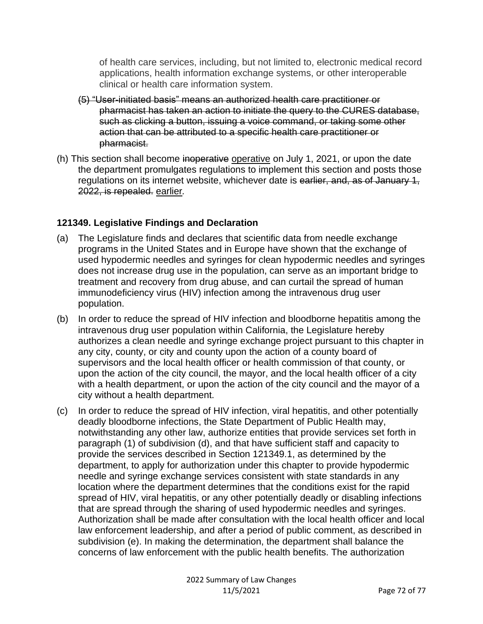of health care services, including, but not limited to, electronic medical record applications, health information exchange systems, or other interoperable clinical or health care information system.

- (5) "User-initiated basis" means an authorized health care practitioner or pharmacist has taken an action to initiate the query to the CURES database, such as clicking a button, issuing a voice command, or taking some other action that can be attributed to a specific health care practitioner or pharmacist.
- (h) This section shall become inoperative operative on July 1, 2021, or upon the date the department promulgates regulations to implement this section and posts those regulations on its internet website, whichever date is earlier, and, as of January 1, 2022, is repealed. earlier*.*

### **121349. Legislative Findings and Declaration**

- (a) The Legislature finds and declares that scientific data from needle exchange programs in the United States and in Europe have shown that the exchange of used hypodermic needles and syringes for clean hypodermic needles and syringes does not increase drug use in the population, can serve as an important bridge to treatment and recovery from drug abuse, and can curtail the spread of human immunodeficiency virus (HIV) infection among the intravenous drug user population.
- (b) In order to reduce the spread of HIV infection and bloodborne hepatitis among the intravenous drug user population within California, the Legislature hereby authorizes a clean needle and syringe exchange project pursuant to this chapter in any city, county, or city and county upon the action of a county board of supervisors and the local health officer or health commission of that county, or upon the action of the city council, the mayor, and the local health officer of a city with a health department, or upon the action of the city council and the mayor of a city without a health department.
- (c) In order to reduce the spread of HIV infection, viral hepatitis, and other potentially deadly bloodborne infections, the State Department of Public Health may, notwithstanding any other law, authorize entities that provide services set forth in paragraph (1) of subdivision (d), and that have sufficient staff and capacity to provide the services described in Section 121349.1, as determined by the department, to apply for authorization under this chapter to provide hypodermic needle and syringe exchange services consistent with state standards in any location where the department determines that the conditions exist for the rapid spread of HIV, viral hepatitis, or any other potentially deadly or disabling infections that are spread through the sharing of used hypodermic needles and syringes. Authorization shall be made after consultation with the local health officer and local law enforcement leadership, and after a period of public comment, as described in subdivision (e). In making the determination, the department shall balance the concerns of law enforcement with the public health benefits. The authorization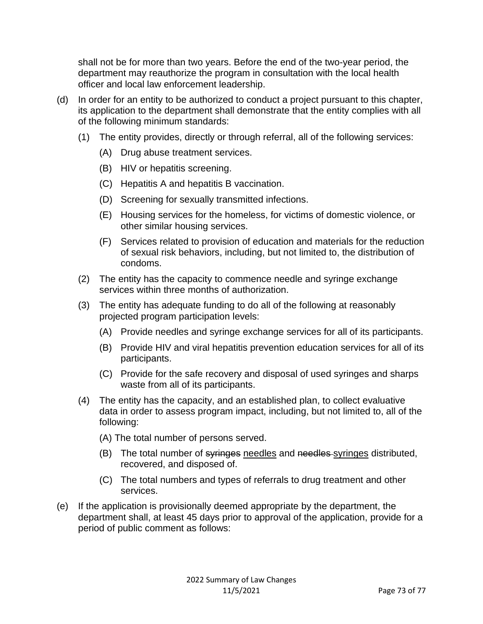shall not be for more than two years. Before the end of the two-year period, the department may reauthorize the program in consultation with the local health officer and local law enforcement leadership.

- (d) In order for an entity to be authorized to conduct a project pursuant to this chapter, its application to the department shall demonstrate that the entity complies with all of the following minimum standards:
	- (1) The entity provides, directly or through referral, all of the following services:
		- (A) Drug abuse treatment services.
		- (B) HIV or hepatitis screening.
		- (C) Hepatitis A and hepatitis B vaccination.
		- (D) Screening for sexually transmitted infections.
		- (E) Housing services for the homeless, for victims of domestic violence, or other similar housing services.
		- (F) Services related to provision of education and materials for the reduction of sexual risk behaviors, including, but not limited to, the distribution of condoms.
	- (2) The entity has the capacity to commence needle and syringe exchange services within three months of authorization.
	- (3) The entity has adequate funding to do all of the following at reasonably projected program participation levels:
		- (A) Provide needles and syringe exchange services for all of its participants.
		- (B) Provide HIV and viral hepatitis prevention education services for all of its participants.
		- (C) Provide for the safe recovery and disposal of used syringes and sharps waste from all of its participants.
	- (4) The entity has the capacity, and an established plan, to collect evaluative data in order to assess program impact, including, but not limited to, all of the following:
		- (A) The total number of persons served.
		- (B) The total number of syringes needles and needles syringes distributed, recovered, and disposed of.
		- (C) The total numbers and types of referrals to drug treatment and other services.
- (e) If the application is provisionally deemed appropriate by the department, the department shall, at least 45 days prior to approval of the application, provide for a period of public comment as follows: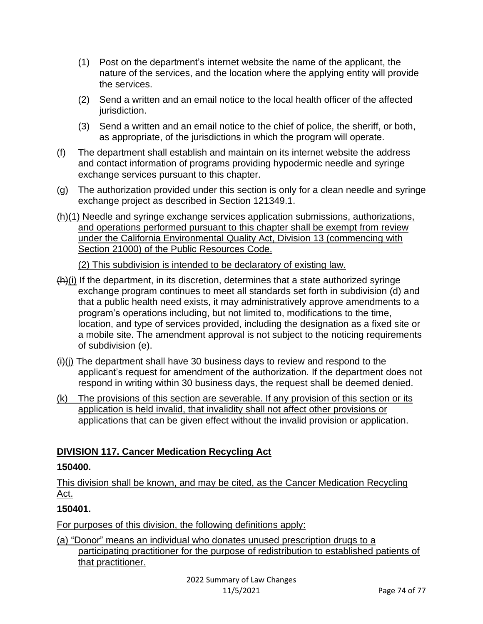- (1) Post on the department's internet website the name of the applicant, the nature of the services, and the location where the applying entity will provide the services.
- (2) Send a written and an email notice to the local health officer of the affected jurisdiction.
- (3) Send a written and an email notice to the chief of police, the sheriff, or both, as appropriate, of the jurisdictions in which the program will operate.
- (f) The department shall establish and maintain on its internet website the address and contact information of programs providing hypodermic needle and syringe exchange services pursuant to this chapter.
- (g) The authorization provided under this section is only for a clean needle and syringe exchange project as described in Section 121349.1.
- (h)(1) Needle and syringe exchange services application submissions, authorizations, and operations performed pursuant to this chapter shall be exempt from review under the California Environmental Quality Act, Division 13 (commencing with Section 21000) of the Public Resources Code.

(2) This subdivision is intended to be declaratory of existing law.

- (h)(i) If the department, in its discretion, determines that a state authorized syringe exchange program continues to meet all standards set forth in subdivision (d) and that a public health need exists, it may administratively approve amendments to a program's operations including, but not limited to, modifications to the time, location, and type of services provided, including the designation as a fixed site or a mobile site. The amendment approval is not subject to the noticing requirements of subdivision (e).
- $(i)$ (i) The department shall have 30 business days to review and respond to the applicant's request for amendment of the authorization. If the department does not respond in writing within 30 business days, the request shall be deemed denied.
- (k) The provisions of this section are severable. If any provision of this section or its application is held invalid, that invalidity shall not affect other provisions or applications that can be given effect without the invalid provision or application.

# **DIVISION 117. Cancer Medication Recycling Act**

## **150400.**

This division shall be known, and may be cited, as the Cancer Medication Recycling Act.

# **150401.**

For purposes of this division, the following definitions apply:

(a) "Donor" means an individual who donates unused prescription drugs to a participating practitioner for the purpose of redistribution to established patients of that practitioner.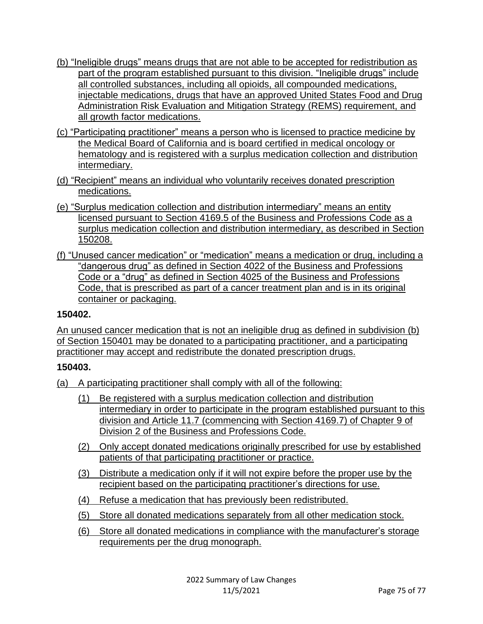- (b) "Ineligible drugs" means drugs that are not able to be accepted for redistribution as part of the program established pursuant to this division. "Ineligible drugs" include all controlled substances, including all opioids, all compounded medications, injectable medications, drugs that have an approved United States Food and Drug Administration Risk Evaluation and Mitigation Strategy (REMS) requirement, and all growth factor medications.
- (c) "Participating practitioner" means a person who is licensed to practice medicine by the Medical Board of California and is board certified in medical oncology or hematology and is registered with a surplus medication collection and distribution intermediary.
- (d) "Recipient" means an individual who voluntarily receives donated prescription medications.
- (e) "Surplus medication collection and distribution intermediary" means an entity licensed pursuant to Section 4169.5 of the Business and Professions Code as a surplus medication collection and distribution intermediary, as described in Section 150208.
- (f) "Unused cancer medication" or "medication" means a medication or drug, including a "dangerous drug" as defined in Section 4022 of the Business and Professions Code or a "drug" as defined in Section 4025 of the Business and Professions Code, that is prescribed as part of a cancer treatment plan and is in its original container or packaging.

## **150402.**

An unused cancer medication that is not an ineligible drug as defined in subdivision (b) of Section 150401 may be donated to a participating practitioner, and a participating practitioner may accept and redistribute the donated prescription drugs.

## **150403.**

- (a) A participating practitioner shall comply with all of the following:
	- (1) Be registered with a surplus medication collection and distribution intermediary in order to participate in the program established pursuant to this division and Article 11.7 (commencing with Section 4169.7) of Chapter 9 of Division 2 of the Business and Professions Code.
	- (2) Only accept donated medications originally prescribed for use by established patients of that participating practitioner or practice.
	- (3) Distribute a medication only if it will not expire before the proper use by the recipient based on the participating practitioner's directions for use.
	- (4) Refuse a medication that has previously been redistributed.
	- (5) Store all donated medications separately from all other medication stock.
	- (6) Store all donated medications in compliance with the manufacturer's storage requirements per the drug monograph.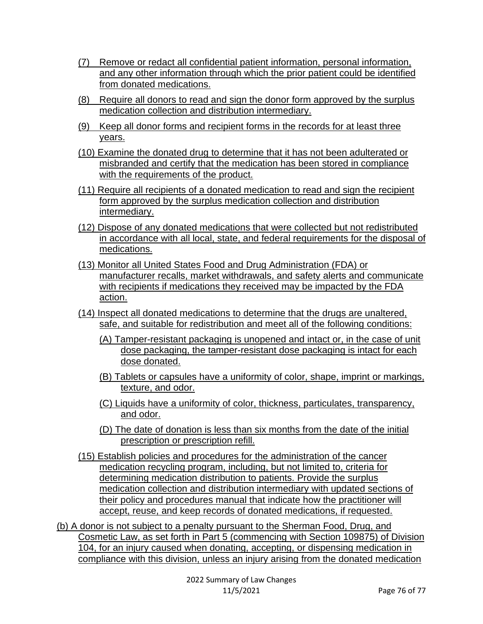- (7) Remove or redact all confidential patient information, personal information, and any other information through which the prior patient could be identified from donated medications.
- (8) Require all donors to read and sign the donor form approved by the surplus medication collection and distribution intermediary.
- (9) Keep all donor forms and recipient forms in the records for at least three years.
- (10) Examine the donated drug to determine that it has not been adulterated or misbranded and certify that the medication has been stored in compliance with the requirements of the product.
- (11) Require all recipients of a donated medication to read and sign the recipient form approved by the surplus medication collection and distribution intermediary.
- (12) Dispose of any donated medications that were collected but not redistributed in accordance with all local, state, and federal requirements for the disposal of medications.
- (13) Monitor all United States Food and Drug Administration (FDA) or manufacturer recalls, market withdrawals, and safety alerts and communicate with recipients if medications they received may be impacted by the FDA action.
- (14) Inspect all donated medications to determine that the drugs are unaltered, safe, and suitable for redistribution and meet all of the following conditions:
	- (A) Tamper-resistant packaging is unopened and intact or, in the case of unit dose packaging, the tamper-resistant dose packaging is intact for each dose donated.
	- (B) Tablets or capsules have a uniformity of color, shape, imprint or markings, texture, and odor.
	- (C) Liquids have a uniformity of color, thickness, particulates, transparency, and odor.
	- (D) The date of donation is less than six months from the date of the initial prescription or prescription refill.
- (15) Establish policies and procedures for the administration of the cancer medication recycling program, including, but not limited to, criteria for determining medication distribution to patients. Provide the surplus medication collection and distribution intermediary with updated sections of their policy and procedures manual that indicate how the practitioner will accept, reuse, and keep records of donated medications, if requested.

(b) A donor is not subject to a penalty pursuant to the Sherman Food, Drug, and Cosmetic Law, as set forth in Part 5 (commencing with Section 109875) of Division 104, for an injury caused when donating, accepting, or dispensing medication in compliance with this division, unless an injury arising from the donated medication